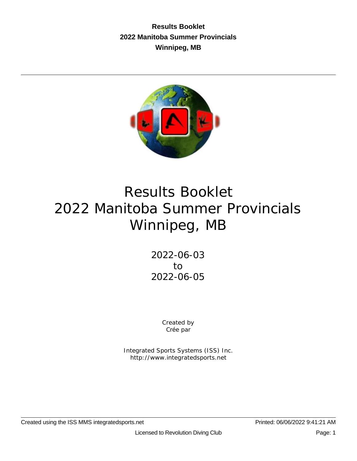**Results Booklet 2022 Manitoba Summer Provincials Winnipeg, MB**



# Results Booklet 2022 Manitoba Summer Provincials Winnipeg, MB

2022-06-03 to 2022-06-05

> Created by Crée par

Integrated Sports Systems (ISS) Inc. http://www.integratedsports.net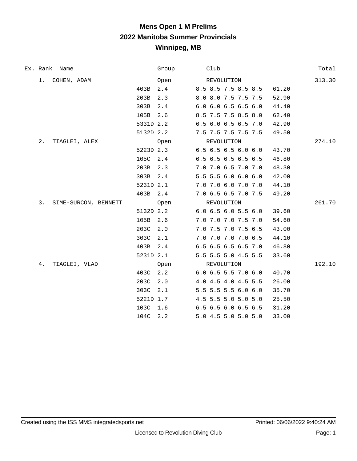# **Mens Open 1 M Prelims 2022 Manitoba Summer Provincials Winnipeg, MB**

| Ex. Rank Name              |           | Group | Club                          | Total  |
|----------------------------|-----------|-------|-------------------------------|--------|
| COHEN, ADAM<br>1. .        |           | Open  | REVOLUTION                    | 313.30 |
|                            | 403B      | 2.4   | 8.5 8.5 7.5 8.5 8.5           | 61.20  |
|                            | 203B      | 2.3   | 8.0 8.0 7.5 7.5 7.5           | 52.90  |
|                            | 303B      | 2.4   | $6.0$ $6.0$ $6.5$ $6.5$ $6.0$ | 44.40  |
|                            | 105B      | 2.6   | 8.5 7.5 7.5 8.5 8.0           | 62.40  |
|                            | 5331D 2.2 |       | 6.5 6.0 6.5 6.5 7.0           | 42.90  |
|                            | 5132D 2.2 |       | 7.5 7.5 7.5 7.5 7.5           | 49.50  |
| 2.<br>TIAGLEI, ALEX        |           | Open  | REVOLUTION                    | 274.10 |
|                            | 5223D 2.3 |       | $6.5$ $6.5$ $6.5$ $6.0$ $6.0$ | 43.70  |
|                            | 105C 2.4  |       | 6.5 6.5 6.5 6.5 6.5           | 46.80  |
|                            | 203B      | 2.3   | 7.0 7.0 6.5 7.0 7.0           | 48.30  |
|                            | 303B      | 2.4   | 5.5 5.5 6.0 6.0 6.0           | 42.00  |
|                            | 5231D 2.1 |       | 7.0 7.0 6.0 7.0 7.0           | 44.10  |
|                            | 403B 2.4  |       | 7.0 6.5 6.5 7.0 7.5           | 49.20  |
| 3.<br>SIME-SURCON, BENNETT |           | Open  | REVOLUTION                    | 261.70 |
|                            | 5132D 2.2 |       | $6.0$ $6.5$ $6.0$ $5.5$ $6.0$ | 39.60  |
|                            | 105B      | 2.6   | 7.0 7.0 7.0 7.5 7.0           | 54.60  |
|                            | 203C      | 2.0   | 7.0 7.5 7.0 7.5 6.5           | 43.00  |
|                            | 303C      | 2.1   | 7.0 7.0 7.0 7.0 6.5           | 44.10  |
|                            | 403B      | 2.4   | 6.5 6.5 6.5 6.5 7.0           | 46.80  |
|                            | 5231D 2.1 |       | 5.5 5.5 5.0 4.5 5.5           | 33.60  |
| 4.<br>TIAGLEI, VLAD        |           | Open  | REVOLUTION                    | 192.10 |
|                            | 403C 2.2  |       | $6.0$ $6.5$ $5.5$ $7.0$ $6.0$ | 40.70  |
|                            | 203C      | 2.0   | 4.0 4.5 4.0 4.5 5.5           | 26.00  |
|                            | 303C      | 2.1   | 5.5 5.5 5.5 6.0 6.0           | 35.70  |
|                            | 5221D 1.7 |       | 4.5 5.5 5.0 5.0 5.0           | 25.50  |
|                            | 103C 1.6  |       | 6.5 6.5 6.0 6.5 6.5           | 31.20  |
|                            | 104C 2.2  |       | 5.0 4.5 5.0 5.0 5.0           | 33.00  |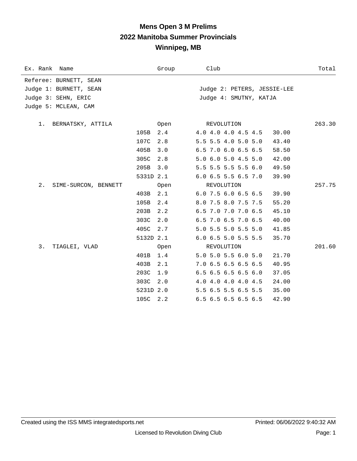## **Mens Open 3 M Prelims 2022 Manitoba Summer Provincials Winnipeg, MB**

| Ex. Rank Name                 | Group     | Club                             | Total  |
|-------------------------------|-----------|----------------------------------|--------|
| Referee: BURNETT, SEAN        |           |                                  |        |
| Judge 1: BURNETT, SEAN        |           | Judge 2: PETERS, JESSIE-LEE      |        |
| Judge 3: SEHN, ERIC           |           | Judge 4: SMUTNY, KATJA           |        |
| Judge 5: MCLEAN, CAM          |           |                                  |        |
|                               |           |                                  |        |
| 1. BERNATSKY, ATTILA          | Open      | REVOLUTION                       | 263.30 |
| 105B                          | 2.4       | 4.0 4.0 4.0 4.5 4.5<br>30.00     |        |
| 107C                          | 2.8       | 5.5 5.5 4.0 5.0 5.0<br>43.40     |        |
| 405B                          | 3.0       | $6.5$ 7.0 6.0 6.5 6.5<br>58.50   |        |
| 305C                          | 2.8       | 5.0 6.0 5.0 4.5 5.0<br>42.00     |        |
| 205B                          | 3.0       | 5.5 5.5 5.5 5.5 6.0<br>49.50     |        |
|                               | 5331D 2.1 | 6.0 6.5 5.5 6.5 7.0<br>39.90     |        |
| $2$ .<br>SIME-SURCON, BENNETT | Open      | REVOLUTION                       | 257.75 |
| 403B                          | 2.1       | $6.0$ 7.5 $6.0$ 6.5 6.5<br>39.90 |        |
| 105B                          | 2.4       | 8.0 7.5 8.0 7.5 7.5<br>55.20     |        |
| 203B                          | 2.2       | 6.5 7.0 7.0 7.0 6.5<br>45.10     |        |
| 303C                          | 2.0       | 6.5 7.0 6.5 7.0 6.5<br>40.00     |        |
| 405C                          | 2.7       | 5.0 5.5 5.0 5.5 5.0<br>41.85     |        |
|                               | 5132D 2.1 | 6.0 6.5 5.0 5.5 5.5<br>35.70     |        |
| 3.<br>TIAGLEI, VLAD           | Open      | REVOLUTION                       | 201.60 |
| 401B                          | 1.4       | 5.0 5.0 5.5 6.0 5.0<br>21.70     |        |
| 403B                          | 2.1       | 7.0 6.5 6.5 6.5 6.5<br>40.95     |        |
| 203C                          | 1.9       | 6.5 6.5 6.5 6.5 6.0<br>37.05     |        |
| 303C                          | 2.0       | 4.0 4.0 4.0 4.0 4.5<br>24.00     |        |
|                               | 5231D 2.0 | 5.5 6.5 5.5 6.5 5.5<br>35.00     |        |
|                               | 105C 2.2  | 6.5 6.5 6.5 6.5 6.5<br>42.90     |        |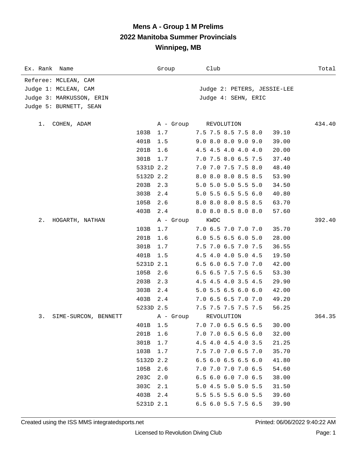## **Mens A - Group 1 M Prelims 2022 Manitoba Summer Provincials Winnipeg, MB**

| Ex. Rank Name              |           | Group            | Club                          | Total  |
|----------------------------|-----------|------------------|-------------------------------|--------|
| Referee: MCLEAN, CAM       |           |                  |                               |        |
| Judge 1: MCLEAN, CAM       |           |                  | Judge 2: PETERS, JESSIE-LEE   |        |
| Judge 3: MARKUSSON, ERIN   |           |                  | Judge 4: SEHN, ERIC           |        |
| Judge 5: BURNETT, SEAN     |           |                  |                               |        |
| COHEN, ADAM<br>1.          |           |                  | REVOLUTION                    | 434.40 |
|                            | 103B      | A - Group<br>1.7 | 7.5 7.5 8.5 7.5 8.0           | 39.10  |
|                            | 401B      | 1.5              | 9.0 8.0 8.0 9.0 9.0           | 39.00  |
|                            | 201B      | 1.6              | 4.5 4.5 4.0 4.0 4.0           | 20.00  |
|                            | 301B      | 1.7              | 7.0 7.5 8.0 6.5 7.5           | 37.40  |
|                            | 5331D 2.2 |                  | 7.0 7.0 7.5 7.5 8.0           | 48.40  |
|                            |           |                  |                               |        |
|                            | 5132D 2.2 |                  | 8.0 8.0 8.0 8.5 8.5           | 53.90  |
|                            | 203B      | 2.3              | 5.0 5.0 5.0 5.5 5.0           | 34.50  |
|                            | 303B      | 2.4              | 5.0 5.5 6.5 5.5 6.0           | 40.80  |
|                            | 105B      | 2.6              | 8.0 8.0 8.0 8.5 8.5           | 63.70  |
|                            | 403B 2.4  |                  | 8.0 8.0 8.5 8.0 8.0           | 57.60  |
| 2.<br>HOGARTH, NATHAN      |           | A - Group        | KWDC                          | 392.40 |
|                            | 103B      | 1.7              | 7.0 6.5 7.0 7.0 7.0           | 35.70  |
|                            | 201B      | 1.6              | $6.0$ 5.5 6.5 6.0 5.0         | 28.00  |
|                            | 301B      | 1.7              | 7.5 7.0 6.5 7.0 7.5           | 36.55  |
|                            | 401B      | 1.5              | 4.5 4.0 4.0 5.0 4.5           | 19.50  |
|                            | 5231D 2.1 |                  | 6.5 6.0 6.5 7.0 7.0           | 42.00  |
|                            | 105B      | 2.6              | 6.5 6.5 7.5 7.5 6.5           | 53.30  |
|                            | 203B      | 2.3              | 4.5 4.5 4.0 3.5 4.5           | 29.90  |
|                            | 303B      | 2.4              | 5.0 5.5 6.5 6.0 6.0           | 42.00  |
|                            | 403B 2.4  |                  | 7.0 6.5 6.5 7.0 7.0           | 49.20  |
|                            | 5233D 2.5 |                  | 7.5 7.5 7.5 7.5 7.5           | 56.25  |
| 3.<br>SIME-SURCON, BENNETT |           | A - Group        | REVOLUTION                    | 364.35 |
|                            | 401B      | 1.5              | 7.0 7.0 6.5 6.5 6.5           | 30.00  |
|                            | 201B      | 1.6              | 7.0 7.0 6.5 6.5 6.0           | 32.00  |
|                            | 301B      | 1.7              | 4.5 4.0 4.5 4.0 3.5           | 21.25  |
|                            | 103B      | 1.7              | 7.5 7.0 7.0 6.5 7.0           | 35.70  |
|                            | 5132D 2.2 |                  | $6.5$ $6.0$ $6.5$ $6.5$ $6.0$ | 41.80  |
|                            | 105B      | 2.6              | 7.0 7.0 7.0 7.0 6.5           | 54.60  |
|                            | 203C      | 2.0              | 6.5 6.0 6.0 7.0 6.5           | 38.00  |
|                            | 303C      | 2.1              | 5.0 4.5 5.0 5.0 5.5           | 31.50  |
|                            | 403B      | 2.4              | 5.5 5.5 5.5 6.0 5.5           | 39.60  |
|                            | 5231D 2.1 |                  | 6.5 6.0 5.5 7.5 6.5           | 39.90  |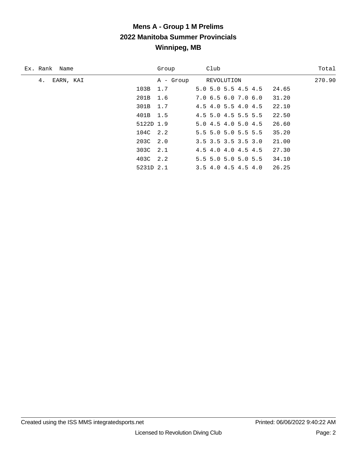# **Mens A - Group 1 M Prelims 2022 Manitoba Summer Provincials Winnipeg, MB**

| Ex. Rank Name   |           | Group     | Club                          | Total  |
|-----------------|-----------|-----------|-------------------------------|--------|
| 4.<br>EARN, KAI |           | A - Group | REVOLUTION                    | 270.90 |
|                 | 103B 1.7  |           | $5.0$ $5.0$ $5.5$ $4.5$ $4.5$ | 24.65  |
|                 | 201B 1.6  |           | 7.0 6.5 6.0 7.0 6.0           | 31.20  |
|                 | 301B 1.7  |           | 4.5 4.0 5.5 4.0 4.5           | 22.10  |
|                 | 401B 1.5  |           | 4.5 5.0 4.5 5.5 5.5           | 22.50  |
|                 | 5122D 1.9 |           | 5.04.54.05.04.5               | 26.60  |
|                 | 104C 2.2  |           | 5.5 5.0 5.0 5.5 5.5           | 35.20  |
|                 | 203C 2.0  |           | $3.5$ $3.5$ $3.5$ $3.5$ $3.0$ | 21.00  |
|                 | 303C 2.1  |           | 4.5 4.0 4.0 4.5 4.5           | 27.30  |
|                 | 403C 2.2  |           | 5.5 5.0 5.0 5.0 5.5           | 34.10  |
|                 | 5231D 2.1 |           | $3.5$ 4.0 4.5 4.5 4.0         | 26.25  |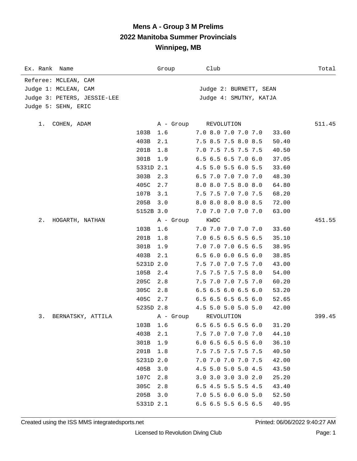## **Mens A - Group 3 M Prelims 2022 Manitoba Summer Provincials Winnipeg, MB**

| Ex. Rank Name               |                     | Group     | Club                                       |                | Total  |
|-----------------------------|---------------------|-----------|--------------------------------------------|----------------|--------|
| Referee: MCLEAN, CAM        |                     |           |                                            |                |        |
| Judge 1: MCLEAN, CAM        |                     |           | Judge 2: BURNETT, SEAN                     |                |        |
| Judge 3: PETERS, JESSIE-LEE |                     |           | Judge 4: SMUTNY, KATJA                     |                |        |
| Judge 5: SEHN, ERIC         |                     |           |                                            |                |        |
|                             |                     |           |                                            |                |        |
| COHEN, ADAM<br>1.           | 1.6                 | A - Group | REVOLUTION                                 |                | 511.45 |
|                             | 103B<br>403B<br>2.1 |           | 7.0 8.0 7.0 7.0 7.0<br>7.5 8.5 7.5 8.0 8.5 | 33.60<br>50.40 |        |
|                             | 201B<br>1.8         |           | 7.0 7.5 7.5 7.5 7.5                        | 40.50          |        |
|                             | 301B<br>1.9         |           | 6.5 6.5 6.5 7.0 6.0                        | 37.05          |        |
|                             | 5331D 2.1           |           | 4.5 5.0 5.5 6.0 5.5                        | 33.60          |        |
|                             | 303B<br>2.3         |           | 6.5 7.0 7.0 7.0 7.0                        | 48.30          |        |
|                             | 405C<br>2.7         |           | 8.0 8.0 7.5 8.0 8.0                        | 64.80          |        |
|                             | 107B<br>3.1         |           | 7.5 7.5 7.0 7.0 7.5                        | 68.20          |        |
|                             | 205B 3.0            |           | 8.0 8.0 8.0 8.0 8.5                        | 72.00          |        |
|                             | 5152B 3.0           |           | 7.0 7.0 7.0 7.0 7.0                        | 63.00          |        |
| 2.<br>HOGARTH, NATHAN       |                     | A - Group | KWDC                                       |                | 451.55 |
|                             | 103B<br>1.6         |           | 7.0 7.0 7.0 7.0 7.0                        | 33.60          |        |
|                             | 201B<br>1.8         |           | 7.0 6.5 6.5 6.5 6.5                        | 35.10          |        |
|                             | 301B<br>1.9         |           | 7.0 7.0 7.0 6.5 6.5                        | 38.95          |        |
|                             | 2.1<br>403B         |           | $6.5$ $6.0$ $6.0$ $6.5$ $6.0$              | 38.85          |        |
|                             | 5231D 2.0           |           | 7.5 7.0 7.0 7.5 7.0                        | 43.00          |        |
|                             | 2.4<br>105B         |           | 7.5 7.5 7.5 7.5 8.0                        | 54.00          |        |
|                             | 205C<br>2.8         |           | 7.5 7.0 7.0 7.5 7.0                        | 60.20          |        |
|                             | 305C<br>2.8         |           | $6.5$ $6.5$ $6.0$ $6.5$ $6.0$              | 53.20          |        |
|                             | 405C 2.7            |           | 6.5 6.5 6.5 6.5 6.0                        | 52.65          |        |
|                             | 5235D 2.8           |           | 4.5 5.0 5.0 5.0 5.0                        | 42.00          |        |
| 3.<br>BERNATSKY, ATTILA     |                     | A - Group | REVOLUTION                                 |                | 399.45 |
|                             | 103B 1.6            |           | 6.5 6.5 6.5 6.5 6.0                        | 31.20          |        |
|                             | 403B<br>2.1         |           | 7.5 7.0 7.0 7.0 7.0                        | 44.10          |        |
|                             | 301B<br>1.9         |           | $6.0$ 6.5 6.5 6.5 6.0                      | 36.10          |        |
|                             | 201B<br>1.8         |           | 7.5 7.5 7.5 7.5 7.5                        | 40.50          |        |
|                             | 5231D 2.0           |           | 7.0 7.0 7.0 7.0 7.5                        | 42.00          |        |
|                             | 405B<br>3.0         |           | 4.5 5.0 5.0 5.0 4.5                        | 43.50          |        |
|                             | 107C<br>2.8         |           | 3.0 3.0 3.0 3.0 2.0                        | 25.20          |        |
|                             | 305C<br>2.8         |           | 6.5 4.5 5.5 5.5 4.5                        | 43.40          |        |
|                             | 205B<br>3.0         |           | 7.0 5.5 6.0 6.0 5.0                        | 52.50          |        |
|                             | 5331D 2.1           |           | 6.5 6.5 5.5 6.5 6.5                        | 40.95          |        |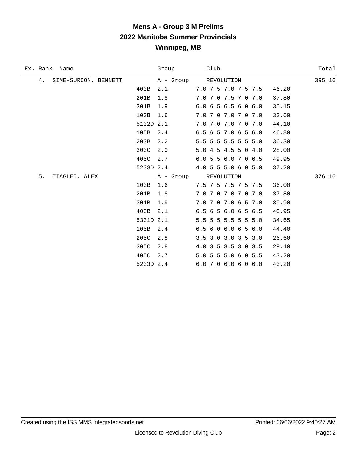# **Mens A - Group 3 M Prelims 2022 Manitoba Summer Provincials Winnipeg, MB**

|    | Ex. Rank Name        |           | Group     | Club                                   | Total  |
|----|----------------------|-----------|-----------|----------------------------------------|--------|
| 4. | SIME-SURCON, BENNETT |           |           | A - Group REVOLUTION                   | 395.10 |
|    |                      | 403B      | 2.1       | 7.0 7.5 7.0 7.5 7.5<br>46.20           |        |
|    |                      | 201B      | 1.8       | 7.0 7.0 7.5 7.0 7.0<br>37.80           |        |
|    |                      | 301B      | 1.9       | $6.0$ $6.5$ $6.5$ $6.0$ $6.0$<br>35.15 |        |
|    |                      | 103B      | 1.6       | 7.0 7.0 7.0 7.0 7.0<br>33.60           |        |
|    |                      | 5132D 2.1 |           | 7.0 7.0 7.0 7.0 7.0<br>44.10           |        |
|    |                      | 105B      | 2.4       | $6.5$ $6.5$ $7.0$ $6.5$ $6.0$<br>46.80 |        |
|    |                      | 203B      | 2.2       | 5.5 5.5 5.5 5.5 5.0<br>36.30           |        |
|    |                      | 303C      | 2.0       | 5.0 4.5 4.5 5.0 4.0<br>28.00           |        |
|    |                      | 405C      | 2.7       | 6.0 5.5 6.0 7.0 6.5<br>49.95           |        |
|    |                      | 5233D 2.4 |           | 4.0 5.5 5.0 6.0 5.0<br>37.20           |        |
| 5. | TIAGLEI, ALEX        |           | A - Group | REVOLUTION                             | 376.10 |
|    |                      | 103B      | 1.6       | 7.5 7.5 7.5 7.5 7.5<br>36.00           |        |
|    |                      | 201B      | 1.8       | 7.0 7.0 7.0 7.0 7.0<br>37.80           |        |
|    |                      | 301B      | 1.9       | 7.0 7.0 7.0 6.5 7.0<br>39.90           |        |
|    |                      | 403B      | 2.1       | 6.5 6.5 6.0 6.5 6.5<br>40.95           |        |
|    |                      | 5331D 2.1 |           | 5.5 5.5 5.5 5.5 5.0<br>34.65           |        |
|    |                      | 105B      | 2.4       | 6.56.06.06.56.0<br>44.40               |        |
|    |                      | 205C      | 2.8       | 3.5 3.0 3.0 3.5 3.0<br>26.60           |        |
|    |                      | 305C      | 2.8       | 4.0 3.5 3.5 3.0 3.5<br>29.40           |        |
|    |                      | 405C      | 2.7       | 5.0 5.5 5.0 6.0 5.5<br>43.20           |        |
|    |                      | 5233D 2.4 |           | $6.0$ 7.0 $6.0$ $6.0$ $6.0$<br>43.20   |        |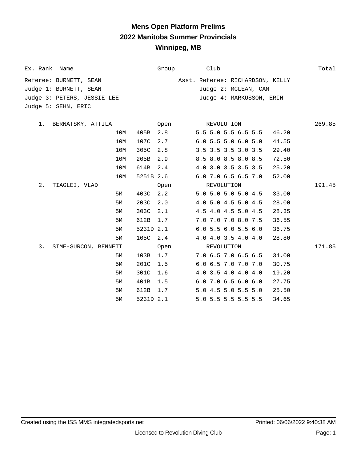## **Mens Open Platform Prelims 2022 Manitoba Summer Provincials Winnipeg, MB**

| Ex. Rank Name               |     |           | Group | Club                             | Total  |
|-----------------------------|-----|-----------|-------|----------------------------------|--------|
| Referee: BURNETT, SEAN      |     |           |       | Asst. Referee: RICHARDSON, KELLY |        |
| Judge 1: BURNETT, SEAN      |     |           |       | Judge 2: MCLEAN, CAM             |        |
| Judge 3: PETERS, JESSIE-LEE |     |           |       | Judge 4: MARKUSSON, ERIN         |        |
| Judge 5: SEHN, ERIC         |     |           |       |                                  |        |
|                             |     |           |       |                                  |        |
| 1. BERNATSKY, ATTILA        |     |           | Open  | REVOLUTION                       | 269.85 |
|                             | 10M | 405B      | 2.8   | 5.5 5.0 5.5 6.5 5.5              | 46.20  |
|                             | 10M | 107C      | 2.7   | $6.0$ 5.5 5.0 6.0 5.0            | 44.55  |
|                             | 10M | 305C      | 2.8   | 3.5 3.5 3.5 3.0 3.5              | 29.40  |
|                             | 10M | 205B      | 2.9   | 8.5 8.0 8.5 8.0 8.5              | 72.50  |
|                             | 10M | 614B      | 2.4   | 4.0 3.0 3.5 3.5 3.5              | 25.20  |
|                             | 10M | 5251B 2.6 |       | 6.0 7.0 6.5 6.5 7.0              | 52.00  |
| 2.<br>TIAGLEI, VLAD         |     |           | Open  | REVOLUTION                       | 191.45 |
|                             | 5M  | 403C      | 2.2   | 5.0 5.0 5.0 5.0 4.5              | 33.00  |
|                             | 5M  | 203C      | 2.0   | 4.0 5.0 4.5 5.0 4.5              | 28.00  |
|                             | 5M  | 303C      | 2.1   | 4.5 4.0 4.5 5.0 4.5              | 28.35  |
|                             | 5M  | 612B      | 1.7   | 7.0 7.0 7.0 8.0 7.5              | 36.55  |
|                             | 5M  | 5231D 2.1 |       | 6.0 5.5 6.0 5.5 6.0              | 36.75  |
|                             | 5M  | 105C 2.4  |       | 4.0 4.0 3.5 4.0 4.0              | 28.80  |
| 3.<br>SIME-SURCON, BENNETT  |     |           | Open  | REVOLUTION                       | 171.85 |
|                             | 5М  | 103B      | 1.7   | 7.0 6.5 7.0 6.5 6.5              | 34.00  |
|                             | 5M  | 201C      | 1.5   | 6.0 6.5 7.0 7.0 7.0              | 30.75  |
|                             | 5M  | 301C      | 1.6   | 4.0 3.5 4.0 4.0 4.0              | 19.20  |
|                             | 5M  | 401B      | 1.5   | $6.0$ 7.0 $6.5$ $6.0$ $6.0$      | 27.75  |
|                             | 5M  | 612B      | 1.7   | 5.0 4.5 5.0 5.5 5.0              | 25.50  |
|                             | 5М  | 5231D 2.1 |       | 5.0 5.5 5.5 5.5 5.5              | 34.65  |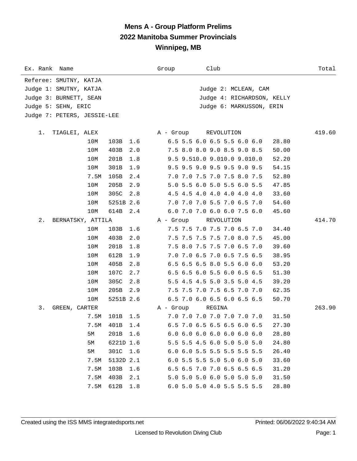## **Mens A - Group Platform Prelims 2022 Manitoba Summer Provincials Winnipeg, MB**

| Ex. Rank Name               |                   |      |           |     | Group     | Club                        |                                                 |       | Total  |
|-----------------------------|-------------------|------|-----------|-----|-----------|-----------------------------|-------------------------------------------------|-------|--------|
| Referee: SMUTNY, KATJA      |                   |      |           |     |           |                             |                                                 |       |        |
| Judge 1: SMUTNY, KATJA      |                   |      |           |     |           |                             | Judge 2: MCLEAN, CAM                            |       |        |
| Judge 3: BURNETT, SEAN      |                   |      |           |     |           |                             | Judge 4: RICHARDSON, KELLY                      |       |        |
| Judge 5: SEHN, ERIC         |                   |      |           |     |           |                             | Judge 6: MARKUSSON, ERIN                        |       |        |
| Judge 7: PETERS, JESSIE-LEE |                   |      |           |     |           |                             |                                                 |       |        |
|                             |                   |      |           |     |           |                             |                                                 |       |        |
| 1.                          | TIAGLEI, ALEX     |      |           |     | A - Group | REVOLUTION                  |                                                 |       | 419.60 |
|                             |                   | 10M  | 103B      | 1.6 |           |                             | 6.5 5.5 6.0 6.5 5.5 6.0 6.0                     | 28.80 |        |
|                             |                   | 10M  | 403B      | 2.0 |           |                             | 7.5 8.0 8.0 9.0 8.5 9.0 8.5                     | 50.00 |        |
|                             |                   | 10M  | 201B      | 1.8 |           |                             | 9.5 9.510.0 9.010.0 9.010.0                     | 52.20 |        |
|                             |                   | 10M  | 301B      | 1.9 |           | 9.5 9.5 9.0 9.5 9.5 9.0 9.5 |                                                 | 54.15 |        |
|                             |                   | 7.5M | 105B      | 2.4 |           | 7.0 7.0 7.5 7.0 7.5 8.0 7.5 |                                                 | 52.80 |        |
|                             |                   | 10M  | 205B      | 2.9 |           | 5.0 5.5 6.0 5.0 5.5 6.0 5.5 |                                                 | 47.85 |        |
|                             |                   | 10M  | 305C      | 2.8 |           |                             | 4.5 4.5 4.0 4.0 4.0 4.0 4.0                     | 33.60 |        |
|                             |                   | 10M  | 5251B 2.6 |     |           |                             | 7.0 7.0 7.0 5.5 7.0 6.5 7.0                     | 54.60 |        |
|                             |                   | 10M  | 614B      | 2.4 |           |                             | 6.0 7.0 7.0 6.0 6.0 7.5 6.0                     | 45.60 |        |
| $2$ .                       | BERNATSKY, ATTILA |      |           |     | A - Group | REVOLUTION                  |                                                 |       | 414.70 |
|                             |                   | 10M  | 103B      | 1.6 |           |                             | 7.5 7.5 7.0 7.5 7.0 6.5 7.0                     | 34.40 |        |
|                             |                   | 10M  | 403B      | 2.0 |           | 7.5 7.5 7.5 7.5 7.0 8.0 7.5 |                                                 | 45.00 |        |
|                             |                   | 10M  | 201B      | 1.8 |           |                             | 7.5 8.0 7.5 7.5 7.0 6.5 7.0                     | 39.60 |        |
|                             |                   | 10M  | 612B      | 1.9 |           | 7.0 7.0 6.5 7.0 6.5 7.5 6.5 |                                                 | 38.95 |        |
|                             |                   | 10M  | 405B      | 2.8 |           | 6.5 6.5 6.5 8.0 5.5 6.0 6.0 |                                                 | 53.20 |        |
|                             |                   | 10M  | 107C      | 2.7 |           | 6.5 6.5 6.0 5.5 6.0 6.5 6.5 |                                                 | 51.30 |        |
|                             |                   | 10M  | 305C      | 2.8 |           | 5.5 4.5 4.5 5.0 3.5 5.0 4.5 |                                                 | 39.20 |        |
|                             |                   | 10M  | 205B      | 2.9 |           |                             | 7.5 7.5 7.0 7.5 6.5 7.0 7.0                     | 62.35 |        |
|                             |                   | 10M  | 5251B 2.6 |     |           |                             | 6.5 7.0 6.0 6.5 6.0 6.5 6.5                     | 50.70 |        |
| 3.                          | GREEN, CARTER     |      |           |     | A - Group | REGINA                      |                                                 |       | 263.90 |
|                             |                   | 7.5M | 101B 1.5  |     |           |                             | 7.0 7.0 7.0 7.0 7.0 7.0 7.0                     | 31.50 |        |
|                             |                   |      | 7.5M 401B | 1.4 |           |                             | 6.5 7.0 6.5 6.5 6.5 6.0 6.5                     | 27.30 |        |
|                             |                   | 5M   | 201B      | 1.6 |           |                             | $6.0$ $6.0$ $6.0$ $6.0$ $6.0$ $6.0$ $6.0$ $6.0$ | 28.80 |        |
|                             |                   | 5M   | 6221D 1.6 |     |           |                             | 5.5 5.5 4.5 6.0 5.0 5.0 5.0                     | 24.80 |        |
|                             |                   | 5M   | 301C 1.6  |     |           |                             | 6.0 6.0 5.5 5.5 5.5 5.5 5.5                     | 26.40 |        |
|                             |                   | 7.5M | 5132D 2.1 |     |           |                             | 6.0 5.5 5.5 5.0 5.0 6.0 5.0                     | 33.60 |        |
|                             |                   | 7.5M | 103B      | 1.6 |           | 6.5 6.5 7.0 7.0 6.5 6.5 6.5 |                                                 | 31.20 |        |
|                             |                   | 7.5M | 403B      | 2.1 |           |                             | 5.0 5.0 5.0 6.0 5.0 5.0 5.0                     | 31.50 |        |
|                             |                   | 7.5M | 612B      | 1.8 |           |                             | 6.0 5.0 5.0 4.0 5.5 5.5 5.5                     | 28.80 |        |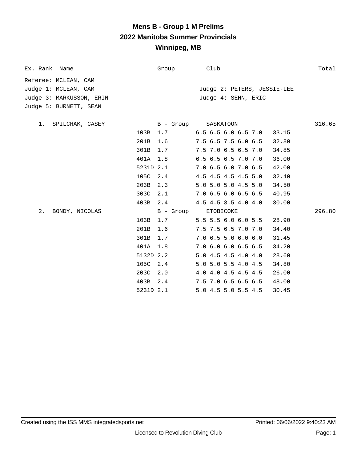## **Mens B - Group 1 M Prelims 2022 Manitoba Summer Provincials Winnipeg, MB**

| Ex. Rank Name            |           | Group     | Club                          | Total  |
|--------------------------|-----------|-----------|-------------------------------|--------|
| Referee: MCLEAN, CAM     |           |           |                               |        |
| Judge 1: MCLEAN, CAM     |           |           | Judge 2: PETERS, JESSIE-LEE   |        |
| Judge 3: MARKUSSON, ERIN |           |           | Judge 4: SEHN, ERIC           |        |
| Judge 5: BURNETT, SEAN   |           |           |                               |        |
| 1. SPILCHAK, CASEY       |           | B - Group | SASKATOON                     | 316.65 |
|                          | 103B      | 1.7       | $6.5$ $6.5$ $6.0$ $6.5$ $7.0$ | 33.15  |
|                          | 201B      | 1.6       | 7.5 6.5 7.5 6.0 6.5           | 32.80  |
|                          | 301B      | 1.7       | 7.5 7.0 6.5 6.5 7.0           | 34.85  |
|                          | 401A      | 1.8       | 6.5 6.5 6.5 7.0 7.0           | 36.00  |
|                          | 5231D 2.1 |           | 7.0 6.5 6.0 7.0 6.5           | 42.00  |
|                          | 105C      | 2.4       | 4.5 4.5 4.5 4.5 5.0           | 32.40  |
|                          | 203B      | 2.3       | 5.0 5.0 5.0 4.5 5.0           | 34.50  |
|                          | 303C      | 2.1       | 7.0 6.5 6.0 6.5 6.5           | 40.95  |
|                          | 403B 2.4  |           | 4.5 4.5 3.5 4.0 4.0           | 30.00  |
| 2.<br>BONDY, NICOLAS     |           | B - Group | ETOBICOKE                     | 296.80 |
|                          | 103B      | 1.7       | 5.5 5.5 6.0 6.0 5.5           | 28.90  |
|                          | 201B      | 1.6       | 7.5 7.5 6.5 7.0 7.0           | 34.40  |
|                          | 301B      | 1.7       | 7.06.55.06.06.0               | 31.45  |
|                          | 401A 1.8  |           | 7.0 6.0 6.0 6.5 6.5           | 34.20  |
|                          | 5132D 2.2 |           | 5.0 4.5 4.5 4.0 4.0           | 28.60  |
|                          | 105C 2.4  |           | 5.0 5.0 5.5 4.0 4.5           | 34.80  |
|                          | 203C      | 2.0       | 4.0 4.0 4.5 4.5 4.5           | 26.00  |
|                          | 403B      | 2.4       | 7.5 7.0 6.5 6.5 6.5           | 48.00  |
|                          | 5231D 2.1 |           | 5.0 4.5 5.0 5.5 4.5           | 30.45  |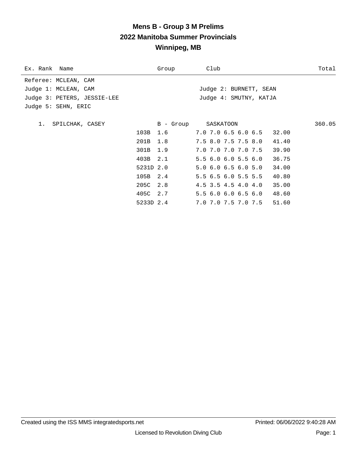# **Mens B - Group 3 M Prelims 2022 Manitoba Summer Provincials Winnipeg, MB**

| Ex. Rank Name               |           | Group    | Club                          | Total  |
|-----------------------------|-----------|----------|-------------------------------|--------|
| Referee: MCLEAN, CAM        |           |          |                               |        |
| Judge 1: MCLEAN, CAM        |           |          | Judge 2: BURNETT, SEAN        |        |
| Judge 3: PETERS, JESSIE-LEE |           |          | Judge 4: SMUTNY, KATJA        |        |
| Judge 5: SEHN, ERIC         |           |          |                               |        |
|                             |           |          |                               |        |
| 1. SPILCHAK, CASEY          |           |          | B - Group SASKATOON           | 360.05 |
|                             |           | 103B 1.6 | 7.0 7.0 6.5 6.0 6.5 32.00     |        |
|                             | 201B 1.8  |          | 7.5 8.0 7.5 7.5 8.0           | 41.40  |
|                             | 301B 1.9  |          | 7.0 7.0 7.0 7.0 7.5           | 39.90  |
|                             | 403B 2.1  |          | $5.5$ $6.0$ $6.0$ $5.5$ $6.0$ | 36.75  |
|                             | 5231D 2.0 |          | $5.0 \t6.0 \t6.5 \t6.0 \t5.0$ | 34.00  |
|                             | 105B 2.4  |          | 5.5 6.5 6.0 5.5 5.5           | 40.80  |
|                             | 205C 2.8  |          | $4.5$ 3.5 $4.5$ $4.0$ $4.0$   | 35.00  |
|                             | 405C 2.7  |          | 5.56.06.06.56.0               | 48.60  |
|                             | 5233D 2.4 |          | 7.0 7.0 7.5 7.0 7.5           | 51.60  |
|                             |           |          |                               |        |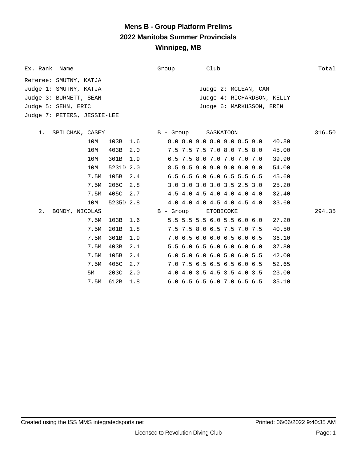# **Mens B - Group Platform Prelims 2022 Manitoba Summer Provincials Winnipeg, MB**

| Ex. Rank Name               | Group     | Club                                 | Total  |
|-----------------------------|-----------|--------------------------------------|--------|
| Referee: SMUTNY, KATJA      |           |                                      |        |
| Judge 1: SMUTNY, KATJA      |           | Judge 2: MCLEAN, CAM                 |        |
| Judge 3: BURNETT, SEAN      |           | Judge 4: RICHARDSON, KELLY           |        |
| Judge 5: SEHN, ERIC         |           | Judge 6: MARKUSSON, ERIN             |        |
| Judge 7: PETERS, JESSIE-LEE |           |                                      |        |
|                             |           |                                      |        |
| SPILCHAK, CASEY<br>1.       | B - Group | SASKATOON                            | 316.50 |
| 10M<br>103B                 | 1.6       | 8.0 8.0 9.0 8.0 9.0 8.5 9.0<br>40.80 |        |
| 403B<br>10M                 | 2.0       | 7.5 7.5 7.5 7.0 8.0 7.5 8.0<br>45.00 |        |
| 301B<br>10M                 | 1.9       | 6.5 7.5 8.0 7.0 7.0 7.0 7.0<br>39.90 |        |
| 5231D 2.0<br>10M            |           | 8.5 9.5 9.0 9.0 9.0 9.0 9.0<br>54.00 |        |
| 7.5M<br>105B                | 2.4       | 6.5 6.5 6.0 6.0 6.5 5.5 6.5<br>45.60 |        |
| 205C<br>7.5M                | 2.8       | 3.0 3.0 3.0 3.0 3.5 2.5 3.0<br>25.20 |        |
| 405C<br>7.5M                | 2.7       | 4.5 4.0 4.5 4.0 4.0 4.0 4.0<br>32.40 |        |
| 10M<br>5235D 2.8            |           | 4.0 4.0 4.0 4.5 4.0 4.5 4.0<br>33.60 |        |
| 2.<br>BONDY, NICOLAS        | B - Group | ETOBICOKE                            | 294.35 |
| 103B<br>7.5M                | 1.6       | 5.5 5.5 5.5 6.0 5.5 6.0 6.0<br>27.20 |        |
| 7.5M<br>201B                | 1.8       | 7.5 7.5 8.0 6.5 7.5 7.0 7.5<br>40.50 |        |
| 7.5M<br>301B                | 1.9       | 7.0 6.5 6.0 6.0 6.5 6.0 6.5<br>36.10 |        |
| 7.5M<br>403B                | 2.1       | 5.5 6.0 6.5 6.0 6.0 6.0 6.0<br>37.80 |        |
| 105B<br>7.5M                | 2.4       | 6.0 5.0 6.0 6.0 5.0 6.0 5.5<br>42.00 |        |
| 7.5M<br>405C                | 2.7       | 7.0 7.5 6.5 6.5 6.5 6.0 6.5<br>52.65 |        |
| 203C<br>5M                  | 2.0       | 4.0 4.0 3.5 4.5 3.5 4.0 3.5<br>23.00 |        |
| 612B<br>7.5M                | 1.8       | 6.0 6.5 6.5 6.0 7.0 6.5 6.5<br>35.10 |        |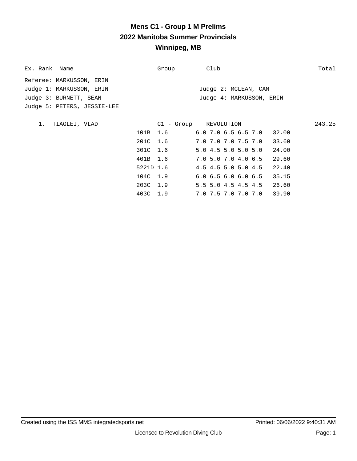# **Mens C1 - Group 1 M Prelims 2022 Manitoba Summer Provincials Winnipeg, MB**

| Ex. Rank Name               | Group     | Club                                   | Total  |
|-----------------------------|-----------|----------------------------------------|--------|
| Referee: MARKUSSON, ERIN    |           |                                        |        |
| Judge 1: MARKUSSON, ERIN    |           | Judge 2: MCLEAN, CAM                   |        |
| Judge 3: BURNETT, SEAN      |           | Judge 4: MARKUSSON, ERIN               |        |
| Judge 5: PETERS, JESSIE-LEE |           |                                        |        |
|                             |           |                                        |        |
| 1. TIAGLEI, VLAD            |           | C1 - Group REVOLUTION                  | 243.25 |
|                             | 101B 1.6  | $6.0$ 7.0 $6.5$ 6.5 7.0 32.00          |        |
|                             | 201C 1.6  | 7.0 7.0 7.0 7.5 7.0 33.60              |        |
|                             | 301C 1.6  | 5.04.55.05.05.0<br>24.00               |        |
|                             | 401B 1.6  | 7.0 5.0 7.0 4.0 6.5<br>29.60           |        |
|                             | 5221D 1.6 | 4.5 4.5 5.0 5.0 4.5<br>22.40           |        |
|                             | 104C 1.9  | $6.0$ $6.5$ $6.0$ $6.0$ $6.5$<br>35.15 |        |
|                             | 203C 1.9  | 5.5 5.0 4.5 4.5 4.5 26.60              |        |
|                             | 403C 1.9  | 7.0 7.5 7.0 7.0 7.0<br>39.90           |        |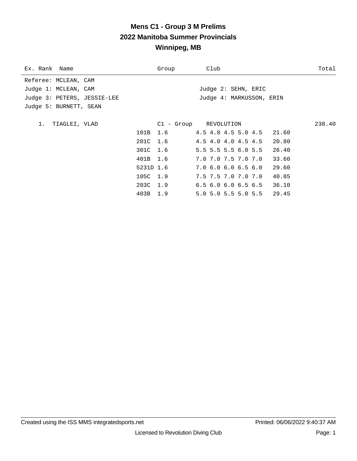# **Mens C1 - Group 3 M Prelims 2022 Manitoba Summer Provincials Winnipeg, MB**

| Ex. Rank Name               |           | Group | Club                                   | Total  |
|-----------------------------|-----------|-------|----------------------------------------|--------|
| Referee: MCLEAN, CAM        |           |       |                                        |        |
| Judge 1: MCLEAN, CAM        |           |       | Judge 2: SEHN, ERIC                    |        |
| Judge 3: PETERS, JESSIE-LEE |           |       | Judge 4: MARKUSSON, ERIN               |        |
| Judge 5: BURNETT, SEAN      |           |       |                                        |        |
|                             |           |       |                                        |        |
| 1. TIAGLEI, VLAD            |           |       | C1 - Group REVOLUTION                  | 238.40 |
|                             | 101B 1.6  |       | 4.5 4.0 4.5 5.0 4.5 21.60              |        |
|                             | 201C 1.6  |       | 4.5 4.0 4.0 4.5 4.5<br>20.80           |        |
|                             | 301C 1.6  |       | 5.5 5.5 5.5 6.0 5.5<br>26.40           |        |
|                             | 401B 1.6  |       | 7.0 7.0 7.5 7.0 7.0<br>33.60           |        |
|                             | 5231D 1.6 |       | 7.06.06.06.56.0<br>29.60               |        |
|                             | 105C 1.9  |       | 7.5 7.5 7.0 7.0 7.0<br>40.85           |        |
|                             | 203C 1.9  |       | $6.5$ $6.0$ $6.0$ $6.5$ $6.5$<br>36.10 |        |
|                             | 403B 1.9  |       | 5.0 5.0 5.5 5.0 5.5<br>29.45           |        |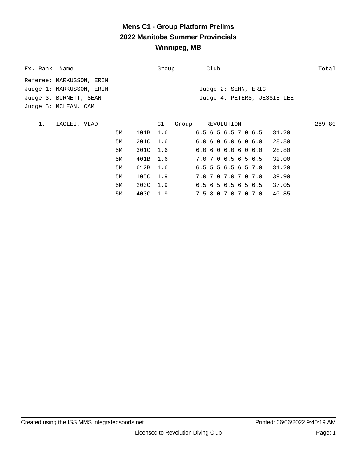# **Mens C1 - Group Platform Prelims 2022 Manitoba Summer Provincials Winnipeg, MB**

| Ex. Rank Name            |    |          | Group | Club                                   | Total  |
|--------------------------|----|----------|-------|----------------------------------------|--------|
| Referee: MARKUSSON, ERIN |    |          |       |                                        |        |
| Judge 1: MARKUSSON, ERIN |    |          |       | Judge 2: SEHN, ERIC                    |        |
| Judge 3: BURNETT, SEAN   |    |          |       | Judge 4: PETERS, JESSIE-LEE            |        |
| Judge 5: MCLEAN, CAM     |    |          |       |                                        |        |
|                          |    |          |       |                                        |        |
| 1.<br>TIAGLEI, VLAD      |    |          |       | C1 - Group REVOLUTION                  | 269.80 |
|                          | 5M | 101B 1.6 |       | $6.5$ $6.5$ $6.5$ $7.0$ $6.5$ $31.20$  |        |
|                          | 5M | 201C 1.6 |       | $6.0$ $6.0$ $6.0$ $6.0$ $6.0$<br>28.80 |        |
|                          | 5M | 301C 1.6 |       | 6.06.06.06.06.0<br>28.80               |        |
|                          | 5M | 401B 1.6 |       | $7.0$ $7.0$ $6.5$ $6.5$ $6.5$<br>32.00 |        |
|                          | 5M | 612B 1.6 |       | $6.5$ 5.5 6.5 6.5 7.0<br>31.20         |        |
|                          | 5M | 105C 1.9 |       | 7.0 7.0 7.0 7.0 7.0<br>39.90           |        |
|                          | 5M | 203C 1.9 |       | $6.5$ $6.5$ $6.5$ $6.5$ $6.5$<br>37.05 |        |
|                          | 5M | 403C 1.9 |       | 7.5 8.0 7.0 7.0 7.0<br>40.85           |        |
|                          |    |          |       |                                        |        |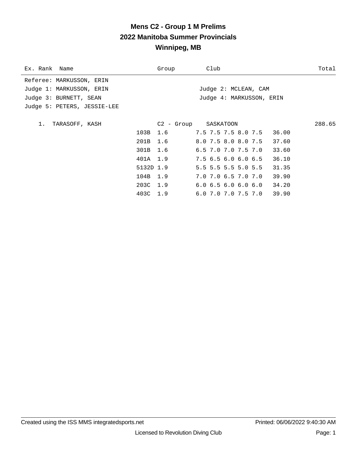# **Mens C2 - Group 1 M Prelims 2022 Manitoba Summer Provincials Winnipeg, MB**

| Ex. Rank Name               |           | Group    | Club                         | Total  |
|-----------------------------|-----------|----------|------------------------------|--------|
| Referee: MARKUSSON, ERIN    |           |          |                              |        |
| Judge 1: MARKUSSON, ERIN    |           |          | Judge 2: MCLEAN, CAM         |        |
| Judge 3: BURNETT, SEAN      |           |          | Judge 4: MARKUSSON, ERIN     |        |
| Judge 5: PETERS, JESSIE-LEE |           |          |                              |        |
|                             |           |          |                              |        |
| 1. TARASOFF, KASH           |           |          | C2 - Group SASKATOON         | 288.65 |
|                             |           | 103B 1.6 | 7.5 7.5 7.5 8.0 7.5 36.00    |        |
|                             | 201B 1.6  |          | 8.0 7.5 8.0 8.0 7.5<br>37.60 |        |
|                             | 301B 1.6  |          | $6.5$ 7.0 7.0 7.5 7.0 33.60  |        |
|                             | 401A 1.9  |          | 7.5 6.5 6.0 6.0 6.5<br>36.10 |        |
|                             | 5132D 1.9 |          | 5.5 5.5 5.5 5.0 5.5<br>31.35 |        |
|                             | 104B 1.9  |          | 7.0 7.0 6.5 7.0 7.0<br>39.90 |        |
|                             | 203C 1.9  |          | 6.06.56.06.06.034.20         |        |
|                             | 403C 1.9  |          | 6.0 7.0 7.0 7.5 7.0 39.90    |        |
|                             |           |          |                              |        |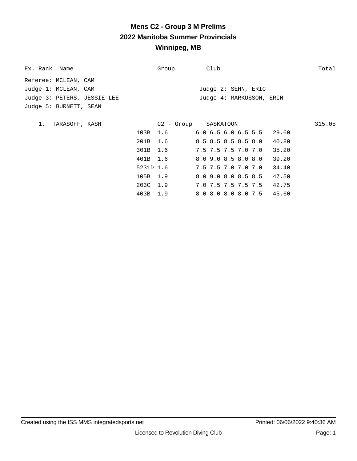# **Mens C2 - Group 3 M Prelims 2022 Manitoba Summer Provincials Winnipeg, MB**

| Ex. Rank Name               |           | Group | Club                         | Total  |
|-----------------------------|-----------|-------|------------------------------|--------|
| Referee: MCLEAN, CAM        |           |       |                              |        |
| Judge 1: MCLEAN, CAM        |           |       | Judge 2: SEHN, ERIC          |        |
| Judge 3: PETERS, JESSIE-LEE |           |       | Judge 4: MARKUSSON, ERIN     |        |
| Judge 5: BURNETT, SEAN      |           |       |                              |        |
|                             |           |       |                              |        |
| 1. TARASOFF, KASH           |           |       | C2 - Group SASKATOON         | 315.05 |
|                             | 103B      | 1.6   | $6.0$ 6.5 6.0 6.5 5.5 29.60  |        |
|                             | 201B      | 1.6   | 8.5 8.5 8.5 8.5 8.0<br>40.80 |        |
|                             | 301B 1.6  |       | 7.5 7.5 7.5 7.0 7.0<br>35.20 |        |
|                             | 401B 1.6  |       | 8.0 9.0 8.5 8.0 8.0<br>39.20 |        |
|                             | 5231D 1.6 |       | 34.40<br>7.5 7.5 7.0 7.0 7.0 |        |
|                             | 105B 1.9  |       | 8.0 9.0 8.0 8.5 8.5<br>47.50 |        |
|                             | 203C 1.9  |       | 7.0 7.5 7.5 7.5 7.5 42.75    |        |
|                             | 403B 1.9  |       | 8.0 8.0 8.0 8.0 7.5 45.60    |        |
|                             |           |       |                              |        |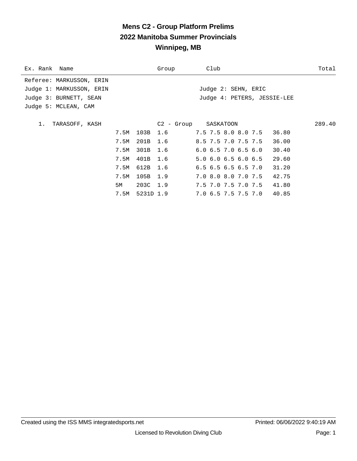# **Mens C2 - Group Platform Prelims 2022 Manitoba Summer Provincials Winnipeg, MB**

| Ex. Rank Name            |                   | Group | Club                          | Total  |
|--------------------------|-------------------|-------|-------------------------------|--------|
| Referee: MARKUSSON, ERIN |                   |       |                               |        |
| Judge 1: MARKUSSON, ERIN |                   |       | Judge 2: SEHN, ERIC           |        |
| Judge 3: BURNETT, SEAN   |                   |       | Judge 4: PETERS, JESSIE-LEE   |        |
| Judge 5: MCLEAN, CAM     |                   |       |                               |        |
|                          |                   |       |                               |        |
| 1.<br>TARASOFF, KASH     |                   |       | C2 - Group SASKATOON          | 289.40 |
|                          | 7.5M 103B 1.6     |       | 7.5 7.5 8.0 8.0 7.5 36.80     |        |
|                          | 201B<br>7.5M      | 1.6   | 8.5 7.5 7.0 7.5 7.5           | 36.00  |
|                          | 301B<br>7.5M      | 1.6   | $6.0$ $6.5$ $7.0$ $6.5$ $6.0$ | 30.40  |
|                          | 401B 1.6<br>7.5M  |       | $5.0$ 6.0 6.5 6.0 6.5         | 29.60  |
|                          | 7.5M<br>612B      | 1.6   | $6.5$ $6.5$ $6.5$ $6.5$ $7.0$ | 31.20  |
|                          | 105B 1.9<br>7.5M  |       | 7.0 8.0 8.0 7.0 7.5 42.75     |        |
| 5M                       | 203C 1.9          |       | 7.5 7.0 7.5 7.0 7.5           | 41.80  |
|                          | 5231D 1.9<br>7.5M |       | 7.0 6.5 7.5 7.5 7.0 40.85     |        |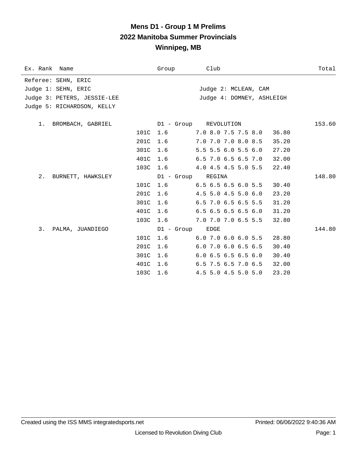# **Mens D1 - Group 1 M Prelims 2022 Manitoba Summer Provincials Winnipeg, MB**

| Ex. Rank Name               | Group      | Club                                   | Total  |
|-----------------------------|------------|----------------------------------------|--------|
| Referee: SEHN, ERIC         |            |                                        |        |
| Judge 1: SEHN, ERIC         |            | Judge 2: MCLEAN, CAM                   |        |
| Judge 3: PETERS, JESSIE-LEE |            | Judge 4: DOMNEY, ASHLEIGH              |        |
| Judge 5: RICHARDSON, KELLY  |            |                                        |        |
| 1. BROMBACH, GABRIEL        |            | D1 - Group REVOLUTION                  | 153.60 |
|                             | 101C 1.6   | $7.0$ 8.0 7.5 7.5 8.0<br>36.80         |        |
|                             | 201C 1.6   | 7.0 7.0 7.0 8.0 8.5<br>35.20           |        |
| 301C                        | 1.6        | 5.5 5.5 6.0 5.5 6.0<br>27.20           |        |
|                             | 401C 1.6   | $6.5$ 7.0 $6.5$ $6.5$ 7.0<br>32.00     |        |
|                             | 103C 1.6   | 4.0 4.5 4.5 5.0 5.5<br>22.40           |        |
| 2. BURNETT, HAWKSLEY        |            | D1 - Group REGINA                      | 148.80 |
|                             | 101C 1.6   | $6.5\,6.5\,6.5\,6.0\,5.5$<br>30.40     |        |
| 201C                        | 1.6        | 4.5 5.0 4.5 5.0 6.0<br>23.20           |        |
| 301C                        | 1.6        | $6.5$ 7.0 $6.5$ $6.5$ $5.5$<br>31.20   |        |
| 401C                        | 1.6        | $6.5$ $6.5$ $6.5$ $6.5$ $6.0$<br>31.20 |        |
|                             | 103C 1.6   | 7.0 7.0 7.0 6.5 5.5<br>32.80           |        |
| 3.<br>PALMA, JUANDIEGO      | D1 - Group | EDGE                                   | 144.80 |
| 101C                        | 1.6        | $6.0\,7.0\,6.0\,6.0\,5.5$<br>28.80     |        |
| 201C                        | 1.6        | $6.0$ 7.0 $6.0$ 6.5 6.5<br>30.40       |        |
| 301C                        | 1.6        | $6.0$ 6.5 6.5 6.5 6.0<br>30.40         |        |
| 401C                        | 1.6        | $6.5$ 7.5 $6.5$ 7.0 $6.5$<br>32.00     |        |
| 103C                        | 1.6        | 4.5 5.0 4.5 5.0 5.0<br>23.20           |        |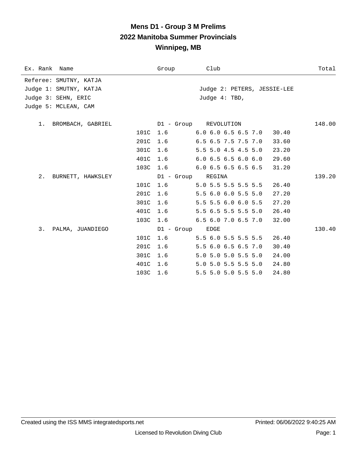# **Mens D1 - Group 3 M Prelims 2022 Manitoba Summer Provincials Winnipeg, MB**

| Ex. Rank Name           | Group      | Club                          | Total  |
|-------------------------|------------|-------------------------------|--------|
| Referee: SMUTNY, KATJA  |            |                               |        |
| Judge 1: SMUTNY, KATJA  |            | Judge 2: PETERS, JESSIE-LEE   |        |
| Judge 3: SEHN, ERIC     |            | Judge $4: TBD$ ,              |        |
| Judge 5: MCLEAN, CAM    |            |                               |        |
|                         |            |                               |        |
| 1. BROMBACH, GABRIEL    |            | D1 - Group REVOLUTION         | 148.00 |
|                         | 101C 1.6   | $6.0 \t6.0 \t6.5 \t6.5 \t7.0$ | 30.40  |
| 201C                    | 1.6        | 6.5 6.5 7.5 7.5 7.0           | 33.60  |
| 301C                    | 1.6        | 5.5 5.0 4.5 4.5 5.0           | 23.20  |
|                         | 401C 1.6   | $6.0$ $6.5$ $6.5$ $6.0$ $6.0$ | 29.60  |
|                         | 103C 1.6   | $6.0\,6.5\,6.5\,6.5\,6.5$     | 31.20  |
| 2.<br>BURNETT, HAWKSLEY |            | D1 - Group REGINA             | 139.20 |
| 101C                    | 1.6        | 5.0 5.5 5.5 5.5 5.5           | 26.40  |
| 201C                    | 1.6        | 5.5 6.0 6.0 5.5 5.0           | 27.20  |
| 301C                    | 1.6        | 5.5 5.5 6.0 6.0 5.5           | 27.20  |
| 401C                    | 1.6        | 5.5 6.5 5.5 5.5 5.0           | 26.40  |
|                         | 103C 1.6   | 6.5 6.0 7.0 6.5 7.0           | 32.00  |
| 3. PALMA, JUANDIEGO     | D1 - Group | EDGE                          | 130.40 |
| 101C                    | 1.6        | $5.5$ 6.0 5.5 5.5 5.5         | 26.40  |
| 201C                    | 1.6        | 5.5 6.0 6.5 6.5 7.0           | 30.40  |
| 301C                    | 1.6        | 5.0 5.0 5.0 5.5 5.0           | 24.00  |
| 401C                    | 1.6        | 5.0 5.0 5.5 5.5 5.0           | 24.80  |
|                         | 103C 1.6   | 5.5 5.0 5.0 5.5 5.0           | 24.80  |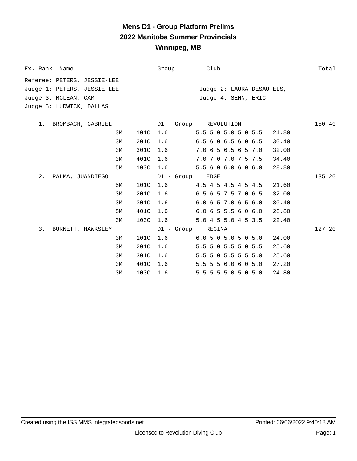## **Mens D1 - Group Platform Prelims 2022 Manitoba Summer Provincials Winnipeg, MB**

| Ex. Rank Name               |          | Group             | Club                                   | Total  |
|-----------------------------|----------|-------------------|----------------------------------------|--------|
| Referee: PETERS, JESSIE-LEE |          |                   |                                        |        |
| Judge 1: PETERS, JESSIE-LEE |          |                   | Judge 2: LAURA DESAUTELS,              |        |
| Judge 3: MCLEAN, CAM        |          |                   | Judge 4: SEHN, ERIC                    |        |
| Judge 5: LUDWICK, DALLAS    |          |                   |                                        |        |
|                             |          |                   |                                        |        |
| 1. BROMBACH, GABRIEL        |          |                   | D1 - Group REVOLUTION                  | 150.40 |
| 3M                          | 101C 1.6 |                   | $5.5$ 5.0 5.0 5.0 5.5<br>24.80         |        |
| 3M                          | 201C     | 1.6               | $6.5$ $6.0$ $6.5$ $6.0$ $6.5$<br>30.40 |        |
| 3M                          | 301C     | 1.6               | 7.0 6.5 6.5 6.5 7.0<br>32.00           |        |
| 3M                          | 401C     | 1.6               | 7.0 7.0 7.0 7.5 7.5<br>34.40           |        |
| 5M                          | 103C     | 1.6               | 5.56.06.06.06.0<br>28.80               |        |
| 2. PALMA, JUANDIEGO         |          | D1 - Group        | EDGE                                   | 135.20 |
| 5M                          | 101C     | 1.6               | 4.5 4.5 4.5 4.5 4.5<br>21.60           |        |
| 3M                          | 201C     | 1.6               | $6.5$ $6.5$ $7.5$ $7.0$ $6.5$<br>32.00 |        |
| 3M                          | 301C 1.6 |                   | $6.0$ $6.5$ $7.0$ $6.5$ $6.0$<br>30.40 |        |
| 5M                          | 401C     | 1.6               | $6.0$ $6.5$ $5.5$ $6.0$ $6.0$<br>28.80 |        |
| 3M                          | 103C 1.6 |                   | 5.0 4.5 5.0 4.5 3.5<br>22.40           |        |
| 3. BURNETT, HAWKSLEY        |          | D1 - Group REGINA |                                        | 127.20 |
| 3M                          | 101C     | 1.6               | $6.0$ 5.0 5.0 5.0 5.0<br>24.00         |        |
| 3M                          | 201C     | 1.6               | 5.5 5.0 5.5 5.0 5.5<br>25.60           |        |
| 3M                          | 301C     | 1.6               | 5.5 5.0 5.5 5.5 5.0<br>25.60           |        |
| 3M                          | 401C     | 1.6               | 5.5 5.5 6.0 6.0 5.0<br>27.20           |        |
| 3M                          | 103C 1.6 |                   | 5.5 5.5 5.0 5.0 5.0<br>24.80           |        |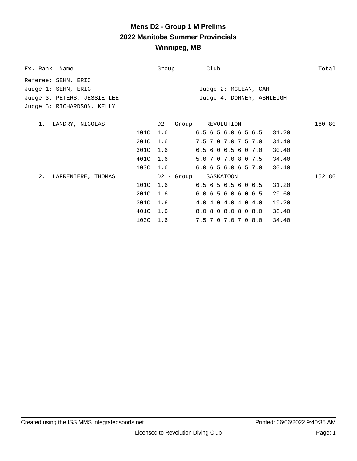# **Mens D2 - Group 1 M Prelims 2022 Manitoba Summer Provincials Winnipeg, MB**

| Ex. Rank Name               |          | Group    | Club                                  | Total  |
|-----------------------------|----------|----------|---------------------------------------|--------|
| Referee: SEHN, ERIC         |          |          |                                       |        |
| Judge 1: SEHN, ERIC         |          |          | Judge 2: MCLEAN, CAM                  |        |
| Judge 3: PETERS, JESSIE-LEE |          |          | Judge 4: DOMNEY, ASHLEIGH             |        |
| Judge 5: RICHARDSON, KELLY  |          |          |                                       |        |
|                             |          |          |                                       |        |
| 1. LANDRY, NICOLAS          |          |          | D2 - Group REVOLUTION                 | 160.80 |
|                             |          |          | 101C 1.6 6.5 6.5 6.0 6.5 6.5 31.20    |        |
|                             |          |          | 201C 1.6 7.5 7.0 7.0 7.5 7.0 34.40    |        |
|                             |          |          | 301C 1.6 6.5 6.0 6.5 6.0 7.0 30.40    |        |
|                             |          | 401C 1.6 | 5.0 7.0 7.0 8.0 7.5 34.40             |        |
|                             |          |          | 103C 1.6 6.0 6.5 6.0 6.5 7.0 30.40    |        |
| 2. LAFRENIERE, THOMAS       |          |          | D2 - Group SASKATOON                  | 152.80 |
|                             |          |          | 101C 1.6 6.5 6.5 6.5 6.0 6.5 31.20    |        |
|                             |          | 201C 1.6 | $6.0$ $6.5$ $6.0$ $6.0$ $6.5$ $29.60$ |        |
|                             | 301C 1.6 |          | 4.0 4.0 4.0 4.0 4.0 19.20             |        |
|                             |          | 401C 1.6 | 8.0 8.0 8.0 8.0 8.0 38.40             |        |
|                             | 103C 1.6 |          | 7.5 7.0 7.0 7.0 8.0 34.40             |        |
|                             |          |          |                                       |        |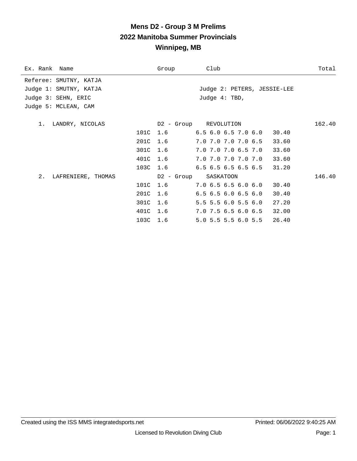# **Mens D2 - Group 3 M Prelims 2022 Manitoba Summer Provincials Winnipeg, MB**

| Ex. Rank Name          |          | Group    | Club                               | Total  |
|------------------------|----------|----------|------------------------------------|--------|
| Referee: SMUTNY, KATJA |          |          |                                    |        |
| Judge 1: SMUTNY, KATJA |          |          | Judge 2: PETERS, JESSIE-LEE        |        |
| Judge 3: SEHN, ERIC    |          |          | Judge $4: TBD$ ,                   |        |
| Judge 5: MCLEAN, CAM   |          |          |                                    |        |
|                        |          |          |                                    |        |
| LANDRY, NICOLAS<br>1.  |          |          | D2 - Group REVOLUTION              | 162.40 |
|                        |          |          | 101C 1.6 6.5 6.0 6.5 7.0 6.0 30.40 |        |
|                        | 201C 1.6 |          | 7.0 7.0 7.0 7.0 6.5                | 33.60  |
|                        | 301C 1.6 |          | 7.0 7.0 7.0 6.5 7.0                | 33.60  |
|                        | 401C 1.6 |          | 7.0 7.0 7.0 7.0 7.0                | 33.60  |
|                        |          | 103C 1.6 | $6.5$ 6.5 6.5 6.5 6.5 31.20        |        |
| 2. LAFRENIERE, THOMAS  |          |          | D2 - Group SASKATOON               | 146.40 |
|                        |          | 101C 1.6 | $7.0$ 6.5 6.5 6.0 6.0              | 30.40  |
|                        | 201C 1.6 |          | $6.5$ $6.5$ $6.0$ $6.5$ $6.0$      | 30.40  |
|                        | 301C 1.6 |          | 5.5 5.5 6.0 5.5 6.0                | 27.20  |
|                        | 401C 1.6 |          | 7.0 7.5 6.5 6.0 6.5 32.00          |        |
|                        | 103C 1.6 |          | $5.0$ 5.5 5.5 6.0 5.5              | 26.40  |
|                        |          |          |                                    |        |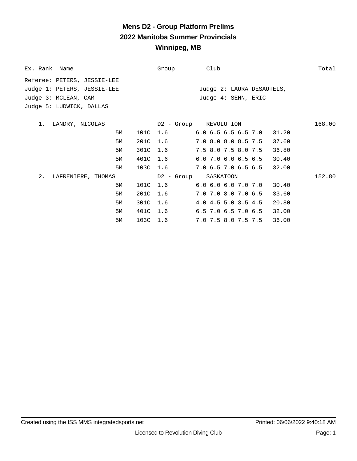# **Mens D2 - Group Platform Prelims 2022 Manitoba Summer Provincials Winnipeg, MB**

| Ex. Rank Name               |          | Group    | Club                               | Total  |
|-----------------------------|----------|----------|------------------------------------|--------|
| Referee: PETERS, JESSIE-LEE |          |          |                                    |        |
| Judge 1: PETERS, JESSIE-LEE |          |          | Judge 2: LAURA DESAUTELS,          |        |
| Judge 3: MCLEAN, CAM        |          |          | Judge 4: SEHN, ERIC                |        |
| Judge 5: LUDWICK, DALLAS    |          |          |                                    |        |
|                             |          |          |                                    |        |
| $1$ .<br>LANDRY, NICOLAS    |          |          | D2 - Group REVOLUTION              | 168.00 |
| 5M                          |          |          | 101C 1.6 6.0 6.5 6.5 6.5 7.0 31.20 |        |
| 5M                          |          | 201C 1.6 | 7.0 8.0 8.0 8.5 7.5                | 37.60  |
| 5M                          | 301C 1.6 |          | 7.5 8.0 7.5 8.0 7.5                | 36.80  |
| 5M                          | 401C 1.6 |          | $6.0$ 7.0 $6.0$ 6.5 $6.5$          | 30.40  |
| 5M                          |          | 103C 1.6 | 7.0 6.5 7.0 6.5 6.5 32.00          |        |
| 2. LAFRENIERE, THOMAS       |          |          | D2 - Group SASKATOON               | 152.80 |
| 5M                          |          | 101C 1.6 | 6.0 6.0 6.0 7.0 7.0                | 30.40  |
| 5М                          | 201C 1.6 |          | 7.0 7.0 8.0 7.0 6.5                | 33.60  |
| 5M                          | 301C 1.6 |          | 4.0 4.5 5.0 3.5 4.5                | 20.80  |
| 5М                          | 401C 1.6 |          | 6.5 7.0 6.5 7.0 6.5                | 32.00  |
| 5M                          | 103C 1.6 |          | 7.0 7.5 8.0 7.5 7.5                | 36.00  |
|                             |          |          |                                    |        |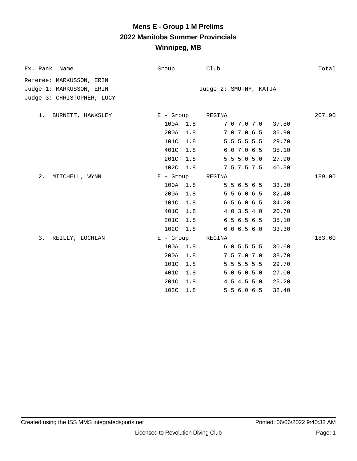# **Mens E - Group 1 M Prelims 2022 Manitoba Summer Provincials Winnipeg, MB**

| Ex. Rank Name              | Group       | Club                              | Total  |
|----------------------------|-------------|-----------------------------------|--------|
| Referee: MARKUSSON, ERIN   |             |                                   |        |
| Judge 1: MARKUSSON, ERIN   |             | Judge 2: SMUTNY, KATJA            |        |
| Judge 3: CHRISTOPHER, LUCY |             |                                   |        |
| 1. BURNETT, HAWKSLEY       | E - Group   | REGINA                            | 207.90 |
|                            | 100A 1.8    | 7.0 7.0 7.0<br>37.80              |        |
|                            | 200A<br>1.8 | $7.0$ $7.0$ $6.5$<br>36.90        |        |
|                            | 101C        | 1.8<br>5.5 5.5 5.5<br>29.70       |        |
|                            | 401C        | 1.8<br>6.07.06.5<br>35.10         |        |
|                            | 201C        | 1.8<br>$5.5$ 5.0 5.0<br>27.90     |        |
|                            | 102C<br>1.8 | 7.5 7.5 7.5<br>40.50              |        |
| $2$ .<br>MITCHELL, WYNN    | E - Group   | REGINA                            | 189.00 |
|                            | 100A 1.8    | 5.56.56.5<br>33.30                |        |
|                            | 200A        | 1.8<br>5.56.06.5<br>32.40         |        |
|                            | 101C<br>1.8 | 6.56.06.5<br>34.20                |        |
|                            | 401C        | $1.8$<br>$4.0$ 3.5 $4.0$<br>20.70 |        |
|                            | 201C        | 1.8<br>6.56.56.5<br>35.10         |        |
|                            | 102C        | 6.06.56.0<br>1.8<br>33.30         |        |
| 3.<br>REILLY, LOCHLAN      | E - Group   | REGINA                            | 183.60 |
|                            | 100A<br>1.8 | 6.05.55.5<br>30.60                |        |
|                            | 200A        | 1.8<br>7.5 7.0 7.0<br>38.70       |        |
|                            | 101C        | 1.8<br>5.5 5.5 5.5<br>29.70       |        |
|                            | 401C        | 1.8<br>5.0 5.0 5.0<br>27.00       |        |
|                            | 201C        | 1.8<br>4.5 4.5 5.0<br>25.20       |        |
|                            | 102C        | 1.8<br>5.56.06.5<br>32.40         |        |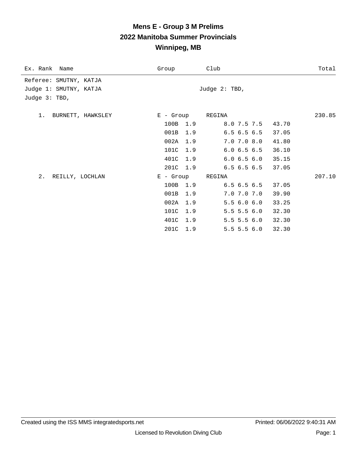# **Mens E - Group 3 M Prelims 2022 Manitoba Summer Provincials Winnipeg, MB**

| Ex. Rank Name           | Group       | Club              | Total  |
|-------------------------|-------------|-------------------|--------|
| Referee: SMUTNY, KATJA  |             |                   |        |
| Judge 1: SMUTNY, KATJA  |             | Judge 2: TBD,     |        |
| Judge 3: TBD,           |             |                   |        |
|                         |             |                   |        |
| 1.<br>BURNETT, HAWKSLEY | E - Group   | REGINA            | 230.85 |
|                         | 100B<br>1.9 | 8.0 7.5 7.5       | 43.70  |
|                         | 001B<br>1.9 | $6.5$ $6.5$ $6.5$ | 37.05  |
|                         | 002A<br>1.9 | 7.0 7.0 8.0       | 41.80  |
|                         | 101C<br>1.9 | 6.06.56.5         | 36.10  |
|                         | 401C 1.9    | 6.06.56.0         | 35.15  |
|                         | 201C 1.9    | 6.56.56.5         | 37.05  |
| 2.<br>REILLY, LOCHLAN   | E - Group   | REGINA            | 207.10 |
|                         | 100B 1.9    | 6.56.56.5         | 37.05  |
|                         | 001B<br>1.9 | 7.0 7.0 7.0       | 39.90  |
|                         | 002A<br>1.9 | 5.56.06.0         | 33.25  |
|                         | 101C<br>1.9 | $5.5$ 5.5 6.0     | 32.30  |
|                         | 401C<br>1.9 | $5.5$ 5.5 6.0     | 32.30  |
|                         | 201C 1.9    | $5.5$ 5.5 6.0     | 32.30  |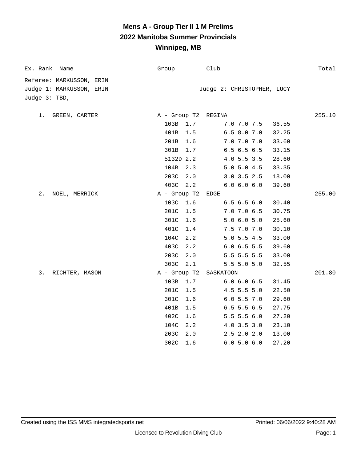# **Mens A - Group Tier II 1 M Prelims 2022 Manitoba Summer Provincials Winnipeg, MB**

| Ex. Rank Name            | Group               | Club                       | Total  |
|--------------------------|---------------------|----------------------------|--------|
| Referee: MARKUSSON, ERIN |                     |                            |        |
| Judge 1: MARKUSSON, ERIN |                     | Judge 2: CHRISTOPHER, LUCY |        |
| Judge 3: TBD,            |                     |                            |        |
|                          |                     |                            |        |
| 1.<br>GREEN, CARTER      | A - Group T2 REGINA |                            | 255.10 |
|                          | 103B<br>1.7         | 7.0 7.0 7.5                | 36.55  |
|                          | 401B<br>1.5         | 6.5 8.0 7.0                | 32.25  |
|                          | 1.6<br>201B         | 7.0 7.0 7.0                | 33.60  |
|                          | 301B<br>1.7         | 6.56.56.5                  | 33.15  |
|                          | 5132D 2.2           | 4.0 5.5 3.5                | 28.60  |
|                          | 104B<br>2.3         | 5.0 5.0 4.5                | 33.35  |
|                          | 203C<br>2.0         | $3.0$ $3.5$ $2.5$          | 18.00  |
|                          | 403C<br>2.2         | 6.0 6.0 6.0                | 39.60  |
| 2.<br>NOEL, MERRICK      | A - Group T2        | EDGE                       | 255.00 |
|                          | 103C<br>1.6         | 6.56.56.0                  | 30.40  |
|                          | 201C<br>1.5         | 7.0 7.0 6.5                | 30.75  |
|                          | 301C<br>1.6         | 5.06.05.0                  | 25.60  |
|                          | 401C<br>1.4         | 7.5 7.0 7.0                | 30.10  |
|                          | 104C<br>2.2         | $5.0$ 5.5 4.5              | 33.00  |
|                          | 403C<br>2.2         | 6.0 6.5 5.5                | 39.60  |
|                          | 203C<br>2.0         | 5.5 5.5 5.5                | 33.00  |
|                          | 303C<br>2.1         | 5.5 5.0 5.0                | 32.55  |
| 3.<br>RICHTER, MASON     | A - Group T2        | SASKATOON                  | 201.80 |
|                          | 1.7<br>103B         | 6.0 6.0 6.5                | 31.45  |
|                          | 201C<br>1.5         | 4.5 5.5 5.0                | 22.50  |
|                          | 301C<br>1.6         | 6.05.57.0                  | 29.60  |
|                          | 401B<br>1.5         | 6.5 5.5 6.5                | 27.75  |
|                          | 402C<br>1.6         | $5.5$ 5.5 6.0              | 27.20  |
|                          | 104C<br>2.2         | 4.0 3.5 3.0                | 23.10  |
|                          | 203C<br>2.0         | $2.5$ $2.0$ $2.0$          | 13.00  |
|                          | 302C<br>1.6         | 6.05.06.0                  | 27.20  |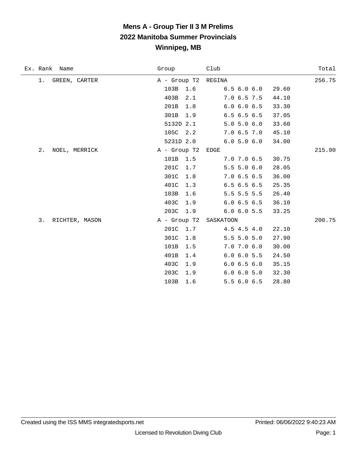# **Mens A - Group Tier II 3 M Prelims 2022 Manitoba Summer Provincials Winnipeg, MB**

| Ex. Rank<br>Name     | Group        | Club                       | Total  |
|----------------------|--------------|----------------------------|--------|
| 1.<br>GREEN, CARTER  | A - Group T2 | REGINA                     | 256.75 |
|                      | 103B<br>1.6  | 6.56.06.0<br>29.60         |        |
|                      | 403B<br>2.1  | 7.0 6.5 7.5<br>44.10       |        |
|                      | 201B<br>1.8  | 6.0 6.0 6.5<br>33.30       |        |
|                      | 301B<br>1.9  | 6.56.56.5<br>37.05         |        |
|                      | 5132D 2.1    | 5.0 5.0 6.0<br>33.60       |        |
|                      | 105C 2.2     | 7.06.57.0<br>45.10         |        |
|                      | 5231D 2.0    | 6.05.06.0<br>34.00         |        |
| 2.<br>NOEL, MERRICK  | A - Group T2 | EDGE                       | 215.90 |
|                      | 101B<br>1.5  | 7.0 7.0 6.5<br>30.75       |        |
|                      | 201C<br>1.7  | 5.55.06.0<br>28.05         |        |
|                      | 301C<br>1.8  | 7.06.56.5<br>36.00         |        |
|                      | 401C<br>1.3  | 6.56.56.5<br>25.35         |        |
|                      | 103B<br>1.6  | 5.5 5.5 5.5<br>26.40       |        |
|                      | 403C<br>1.9  | 6.06.56.5<br>36.10         |        |
|                      | 203C<br>1.9  | 6.06.05.5<br>33.25         |        |
| 3.<br>RICHTER, MASON | A - Group T2 | SASKATOON                  | 200.75 |
|                      | 201C<br>1.7  | 4.5 4.5 4.0<br>22.10       |        |
|                      | 301C<br>1.8  | 5.5 5.0 5.0<br>27.90       |        |
|                      | 101B<br>1.5  | $7.0$ $7.0$ $6.0$<br>30.00 |        |
|                      | 401B<br>1.4  | 6.0 6.0 5.5<br>24.50       |        |
|                      | 403C<br>1.9  | 6.06.56.0<br>35.15         |        |
|                      | 203C<br>1.9  | 6.0 6.0 5.0<br>32.30       |        |
|                      | 103B<br>1.6  | 5.56.06.5<br>28.80         |        |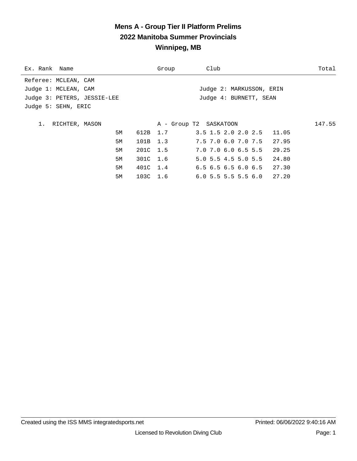#### **Mens A - Group Tier II Platform Prelims 2022 Manitoba Summer Provincials Winnipeg, MB**

| Ex. Rank Name               | Group | Club                                   | Total  |
|-----------------------------|-------|----------------------------------------|--------|
| Referee: MCLEAN, CAM        |       |                                        |        |
| Judge 1: MCLEAN, CAM        |       | Judge 2: MARKUSSON, ERIN               |        |
| Judge 3: PETERS, JESSIE-LEE |       | Judge 4: BURNETT, SEAN                 |        |
| Judge 5: SEHN, ERIC         |       |                                        |        |
|                             |       |                                        |        |
| 1. RICHTER, MASON           |       | A - Group T2 SASKATOON                 | 147.55 |
| 5M<br>612B 1.7              |       | 3.5 1.5 2.0 2.0 2.5 11.05              |        |
| 101B 1.3<br>5M              |       | 7.5 7.0 6.0 7.0 7.5 27.95              |        |
| 201C 1.5<br>5M              |       | $7.0$ $7.0$ $6.0$ $6.5$ $5.5$<br>29.25 |        |
| 301C 1.6<br>5M              |       | 5.0 5.5 4.5 5.0 5.5<br>24.80           |        |
| 401C 1.4<br>5М              |       | $6.5$ $6.5$ $6.5$ $6.0$ $6.5$ $27.30$  |        |
| 103C 1.6<br>5M              |       | $6.0$ 5.5 5.5 5.5 6.0 27.20            |        |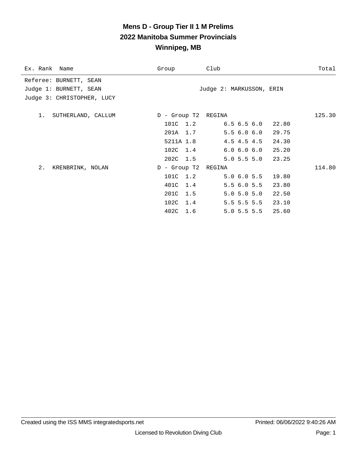# **Mens D - Group Tier II 1 M Prelims 2022 Manitoba Summer Provincials Winnipeg, MB**

| Ex. Rank Name              | Group               | Club                      | Total  |
|----------------------------|---------------------|---------------------------|--------|
| Referee: BURNETT, SEAN     |                     |                           |        |
| Judge 1: BURNETT, SEAN     |                     | Judge 2: MARKUSSON, ERIN  |        |
| Judge 3: CHRISTOPHER, LUCY |                     |                           |        |
|                            |                     |                           |        |
| 1. SUTHERLAND, CALLUM      | D - Group T2 REGINA |                           | 125.30 |
|                            | 101C 1.2            | 6.5 6.5 6.0 22.80         |        |
|                            | 201A 1.7            | $5.5$ 6.0 6.0 29.75       |        |
|                            | 5211A 1.8           | 4.5 4.5 4.5 24.30         |        |
|                            | 102C 1.4            | 6.0 6.0 6.0 25.20         |        |
|                            | 202C 1.5            | 5.0 5.5 5.0 23.25         |        |
| 2.<br>KRENBRINK, NOLAN     | D - Group T2 REGINA |                           | 114.80 |
|                            | 101C 1.2            | $5.0$ 6.0 5.5 19.80       |        |
|                            | 401C 1.4            | $5.5$ 6.0 5.5 23.80       |        |
|                            | 201C 1.5            | $5.0$ $5.0$ $5.0$ $22.50$ |        |
|                            | 102C 1.4            | 5.5 5.5 5.5 23.10         |        |
|                            | 402C 1.6            | $5.0$ 5.5 5.5<br>25.60    |        |
|                            |                     |                           |        |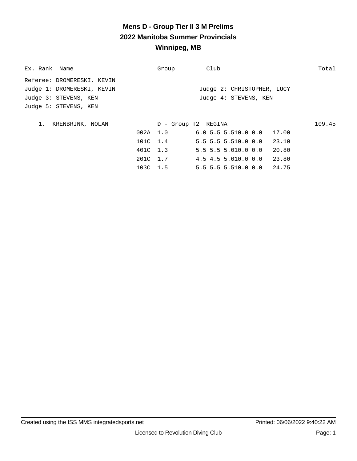# **Mens D - Group Tier II 3 M Prelims 2022 Manitoba Summer Provincials Winnipeg, MB**

| Ex. Rank Name              | Group    | Club                        | Total  |
|----------------------------|----------|-----------------------------|--------|
| Referee: DROMERESKI, KEVIN |          |                             |        |
| Judge 1: DROMERESKI, KEVIN |          | Judge 2: CHRISTOPHER, LUCY  |        |
| Judge 3: STEVENS, KEN      |          | Judge 4: STEVENS, KEN       |        |
| Judge 5: STEVENS, KEN      |          |                             |        |
|                            |          |                             |        |
| 1.<br>KRENBRINK, NOLAN     |          | D - Group T2 REGINA         | 109.45 |
|                            | 002A 1.0 | 6.05.55.510.00.0            | 17.00  |
|                            | 101C 1.4 | $5.5$ 5.5 5.510.0 0.0       | 23.10  |
|                            | 401C 1.3 | $5.5$ 5.5 5.010.0 0.0       | 20.80  |
|                            | 201C 1.7 | $4.5$ $4.5$ $5.010.0$ $0.0$ | 23.80  |
|                            | 103C 1.5 | 5.5 5.5 5.510.0 0.0 24.75   |        |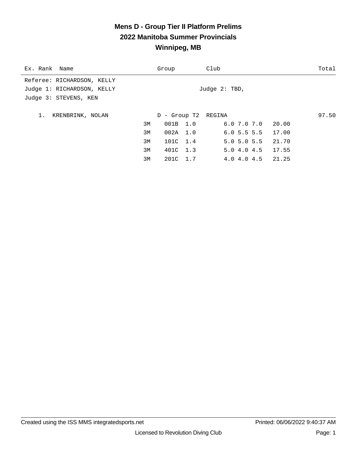#### **Mens D - Group Tier II Platform Prelims 2022 Manitoba Summer Provincials Winnipeg, MB**

| Ex. Rank Name              | Group            | Club                |                           |       | Total |
|----------------------------|------------------|---------------------|---------------------------|-------|-------|
| Referee: RICHARDSON, KELLY |                  |                     |                           |       |       |
| Judge 1: RICHARDSON, KELLY |                  |                     | Judge $2: TBD$ ,          |       |       |
| Judge 3: STEVENS, KEN      |                  |                     |                           |       |       |
|                            |                  |                     |                           |       |       |
| 1.<br>KRENBRINK, NOLAN     |                  | D - Group T2 REGINA |                           |       | 97.50 |
|                            | 3M<br>001B 1.0   |                     | $6.0$ $7.0$ $7.0$ $20.00$ |       |       |
|                            | $002A$ 1.0<br>3M |                     | 6.05.55.5                 | 17.00 |       |
|                            | 3M<br>101C 1.4   |                     | $5.0$ 5.0 5.5             | 21.70 |       |
|                            | 401C 1.3<br>3M   |                     | $5.04.04.5$ 17.55         |       |       |
|                            | 3M<br>201C 1.7   |                     | 4.0 4.0 4.5 21.25         |       |       |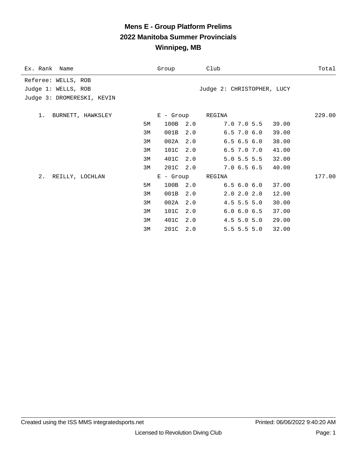## **Mens E - Group Platform Prelims 2022 Manitoba Summer Provincials Winnipeg, MB**

| Ex. Rank Name              | Group       | Club                       | Total  |
|----------------------------|-------------|----------------------------|--------|
| Referee: WELLS, ROB        |             |                            |        |
| Judge 1: WELLS, ROB        |             | Judge 2: CHRISTOPHER, LUCY |        |
| Judge 3: DROMERESKI, KEVIN |             |                            |        |
|                            |             |                            |        |
| $1$ .<br>BURNETT, HAWKSLEY | E - Group   | REGINA                     | 229.00 |
| 5M                         | 100B<br>2.0 | 7.0 7.0 5.5<br>39.00       |        |
| 3M                         | 001B<br>2.0 | $6.5$ 7.0 $6.0$<br>39.00   |        |
| 3M                         | 002A<br>2.0 | 6.56.56.0<br>38.00         |        |
| 3M                         | 101C<br>2.0 | $6.5$ $7.0$ $7.0$<br>41.00 |        |
| 3M                         | 401C<br>2.0 | $5.0$ 5.5 5.5<br>32.00     |        |
| 3M                         | 201C 2.0    | 7.06.56.5<br>40.00         |        |
| 2.<br>REILLY, LOCHLAN      | E - Group   | REGINA                     | 177.00 |
| 5M                         | 100B 2.0    | 6.56.06.0<br>37.00         |        |
| 3M                         | 001B<br>2.0 | $2.0$ $2.0$ $2.0$<br>12.00 |        |
| 3M                         | 002A<br>2.0 | $4.5$ 5.5 5.0<br>30.00     |        |
| 3M                         | 101C<br>2.0 | 6.06.06.5<br>37.00         |        |
| 3M                         | 401C<br>2.0 | $4.5$ 5.0 5.0<br>29.00     |        |
| 3M                         | 201C 2.0    | $5.5$ 5.5 5.0<br>32.00     |        |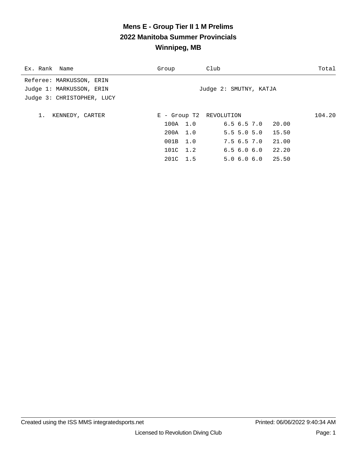# **Mens E - Group Tier II 1 M Prelims 2022 Manitoba Summer Provincials Winnipeg, MB**

| Ex. Rank Name              | Group    | Club                    |                           |       | Total  |
|----------------------------|----------|-------------------------|---------------------------|-------|--------|
| Referee: MARKUSSON, ERIN   |          |                         |                           |       |        |
| Judge 1: MARKUSSON, ERIN   |          |                         | Judge 2: SMUTNY, KATJA    |       |        |
| Judge 3: CHRISTOPHER, LUCY |          |                         |                           |       |        |
|                            |          |                         |                           |       |        |
| 1.<br>KENNEDY, CARTER      |          | E - Group T2 REVOLUTION |                           |       | 104.20 |
|                            | 100A 1.0 |                         | $6.5$ $6.5$ $7.0$ $20.00$ |       |        |
|                            | 200A 1.0 |                         | $5.5$ 5.0 5.0             | 15.50 |        |
|                            | 001B 1.0 |                         | 7.5 6.5 7.0               | 21.00 |        |
|                            | 101C 1.2 |                         | $6.5$ $6.0$ $6.0$ $22.20$ |       |        |
|                            | 201C 1.5 |                         | 5.06.06.025.50            |       |        |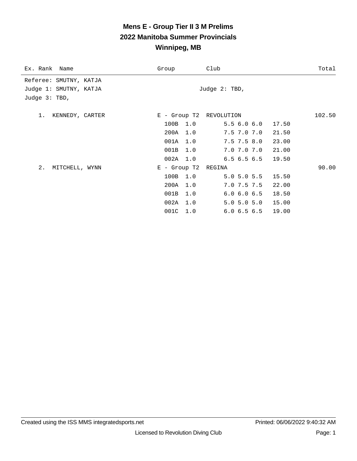# **Mens E - Group Tier II 3 M Prelims 2022 Manitoba Summer Provincials Winnipeg, MB**

| Ex. Rank Name          | Group                   | Club              | Total  |
|------------------------|-------------------------|-------------------|--------|
| Referee: SMUTNY, KATJA |                         |                   |        |
| Judge 1: SMUTNY, KATJA |                         | Judge $2: TBD$ ,  |        |
| Judge 3: TBD,          |                         |                   |        |
|                        |                         |                   |        |
| KENNEDY, CARTER<br>1.  | E - Group T2 REVOLUTION |                   | 102.50 |
|                        | 100B 1.0                | 5.56.06.0         | 17.50  |
|                        | 200A<br>1.0             | 7.5 7.0 7.0       | 21.50  |
|                        | 001A 1.0                | $7.5$ $7.5$ $8.0$ | 23.00  |
|                        | 001B<br>1.0             | 7.0 7.0 7.0       | 21.00  |
|                        | 002A 1.0                | 6.56.56.5         | 19.50  |
| 2.<br>MITCHELL, WYNN   | $E -$ Group T2          | REGINA            | 90.00  |
|                        | 100B 1.0                | $5.0$ 5.0 5.5     | 15.50  |
|                        | 200A 1.0                | 7.0 7.5 7.5       | 22.00  |
|                        | 001B<br>1.0             | 6.06.06.5         | 18.50  |
|                        | 002A<br>1.0             | 5.0 5.0 5.0       | 15.00  |
|                        | 001C<br>1.0             | 6.06.56.5         | 19.00  |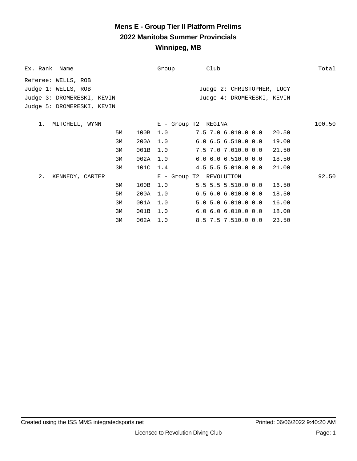#### **Mens E - Group Tier II Platform Prelims 2022 Manitoba Summer Provincials Winnipeg, MB**

| Group | Club                                                                                                                 | Total                                                                                                                                                                                                                                                                                                                |
|-------|----------------------------------------------------------------------------------------------------------------------|----------------------------------------------------------------------------------------------------------------------------------------------------------------------------------------------------------------------------------------------------------------------------------------------------------------------|
|       |                                                                                                                      |                                                                                                                                                                                                                                                                                                                      |
|       |                                                                                                                      |                                                                                                                                                                                                                                                                                                                      |
|       |                                                                                                                      |                                                                                                                                                                                                                                                                                                                      |
|       |                                                                                                                      |                                                                                                                                                                                                                                                                                                                      |
|       |                                                                                                                      |                                                                                                                                                                                                                                                                                                                      |
|       |                                                                                                                      | 100.50                                                                                                                                                                                                                                                                                                               |
|       |                                                                                                                      |                                                                                                                                                                                                                                                                                                                      |
|       |                                                                                                                      |                                                                                                                                                                                                                                                                                                                      |
|       |                                                                                                                      |                                                                                                                                                                                                                                                                                                                      |
|       | 6.0 6.0 6.510.0 0.0                                                                                                  |                                                                                                                                                                                                                                                                                                                      |
|       | $4.5$ 5.5 5.010.0 0.0                                                                                                |                                                                                                                                                                                                                                                                                                                      |
|       |                                                                                                                      | 92.50                                                                                                                                                                                                                                                                                                                |
|       |                                                                                                                      |                                                                                                                                                                                                                                                                                                                      |
|       | $6.5$ $6.0$ $6.010.0$ $0.0$                                                                                          |                                                                                                                                                                                                                                                                                                                      |
|       | $5.0$ $5.0$ $6.010.0$ $0.0$                                                                                          |                                                                                                                                                                                                                                                                                                                      |
|       | $6.0\,$ $6.0\,$ $6.010.0\,$ $0.0\,$                                                                                  |                                                                                                                                                                                                                                                                                                                      |
|       |                                                                                                                      |                                                                                                                                                                                                                                                                                                                      |
|       | 100B 1.0<br>200A 1.0<br>001B 1.0<br>002A 1.0<br>101C 1.4<br>100B 1.0<br>200A 1.0<br>001A 1.0<br>001B 1.0<br>002A 1.0 | Judge 2: CHRISTOPHER, LUCY<br>Judge 4: DROMERESKI, KEVIN<br>E - Group T2 REGINA<br>$7.5\,7.0\,6.010.0\,0.0\,-\,20.50$<br>6.0 6.5 6.510.0 0.0 19.00<br>7.5 7.0 7.010.0 0.0 21.50<br>18.50<br>21.00<br>E - Group T2 REVOLUTION<br>5.5 5.5 5.510.0 0.0<br>16.50<br>18.50<br>16.00<br>18.00<br>8.5 7.5 7.510.0 0.0 23.50 |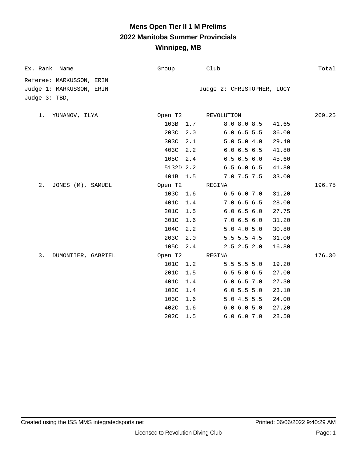# **Mens Open Tier II 1 M Prelims 2022 Manitoba Summer Provincials Winnipeg, MB**

| Ex. Rank Name<br>Group                |           | Club                       | Total  |
|---------------------------------------|-----------|----------------------------|--------|
| Referee: MARKUSSON, ERIN              |           |                            |        |
| Judge 1: MARKUSSON, ERIN              |           | Judge 2: CHRISTOPHER, LUCY |        |
| Judge 3: TBD,                         |           |                            |        |
|                                       |           |                            |        |
| YUNANOV, ILYA<br>1.                   | Open T2   | REVOLUTION                 | 269.25 |
|                                       | 103B 1.7  | 8.0 8.0 8.5                | 41.65  |
| 203C                                  | 2.0       | 6.06.55.5                  | 36.00  |
| 303C                                  | 2.1       | 5.0 5.0 4.0                | 29.40  |
| 403C                                  | 2.2       | 6.06.56.5                  | 41.80  |
| 105C                                  | 2.4       | 6.56.56.0                  | 45.60  |
|                                       | 5132D 2.2 | 6.56.06.5                  | 41.80  |
| 401B                                  | 1.5       | 7.0 7.5 7.5                | 33.00  |
| $2$ .<br>JONES (M), SAMUEL<br>Open T2 |           | REGINA                     | 196.75 |
| 103C                                  | 1.6       | 6.56.07.0                  | 31.20  |
| 401C                                  | 1.4       | 7.06.56.5                  | 28.00  |
| 201C                                  | 1.5       | 6.06.56.0                  | 27.75  |
| 301C                                  | 1.6       | 7.06.56.0                  | 31.20  |
| 104C                                  | 2.2       | 5.04.05.0                  | 30.80  |
| 203C                                  | 2.0       | $5.5$ 5.5 4.5              | 31.00  |
| 105C                                  | 2.4       | $2.5$ $2.5$ $2.0$          | 16.80  |
| Open T2<br>3.<br>DUMONTIER, GABRIEL   |           | REGINA                     | 176.30 |
| 101C                                  | 1.2       | $5.5$ 5.5 5.0              | 19.20  |
| 201C                                  | 1.5       | $6.5$ 5.0 $6.5$            | 27.00  |
| 401C                                  | 1.4       | 6.06.57.0                  | 27.30  |
| 102C                                  | 1.4       | 6.05.55.0                  | 23.10  |
| 103C                                  | 1.6       | 5.04.55.5                  | 24.00  |
| 402C                                  | 1.6       | 6.0 6.0 5.0                | 27.20  |
| 202C                                  | 1.5       | 6.0 6.0 7.0                | 28.50  |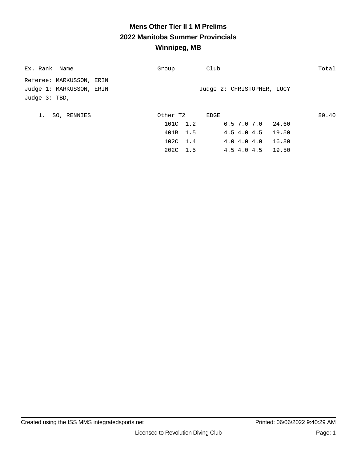# **Mens Other Tier II 1 M Prelims 2022 Manitoba Summer Provincials Winnipeg, MB**

| Ex. Rank Name            | Group    | Club                       | Total |
|--------------------------|----------|----------------------------|-------|
| Referee: MARKUSSON, ERIN |          |                            |       |
| Judge 1: MARKUSSON, ERIN |          | Judge 2: CHRISTOPHER, LUCY |       |
| Judge $3: TBD$ ,         |          |                            |       |
|                          |          |                            |       |
| SO, RENNIES              | Other T2 | EDGE                       | 80.40 |
|                          | 101C 1.2 | $6.5$ $7.0$ $7.0$          | 24.60 |
|                          | 401B 1.5 | 4.5 4.0 4.5 19.50          |       |
|                          | 102C 1.4 | 4.0 4.0 4.0 16.80          |       |
|                          | 202C 1.5 | 4.5 4.0 4.5 19.50          |       |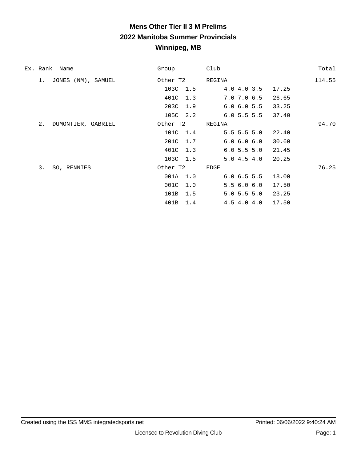# **Mens Other Tier II 3 M Prelims 2022 Manitoba Summer Provincials Winnipeg, MB**

| Ex. Rank<br>Name         | Group       | Club              | Total  |
|--------------------------|-------------|-------------------|--------|
| JONES (NM), SAMUEL<br>1. | Other T2    | REGINA            | 114.55 |
|                          | 103C 1.5    | 4.0 4.0 3.5       | 17.25  |
|                          | 401C<br>1.3 | $7.0$ $7.0$ $6.5$ | 26.65  |
|                          | 203C<br>1.9 | 6.06.05.5         | 33.25  |
|                          | 105C 2.2    | $6.0$ 5.5 5.5     | 37.40  |
| 2.<br>DUMONTIER, GABRIEL | Other T2    | REGINA            | 94.70  |
|                          | 101C<br>1.4 | $5.5$ 5.5 5.0     | 22.40  |
|                          | 201C<br>1.7 | 6.06.06.0         | 30.60  |
|                          | 401C<br>1.3 | 6.05.55.0         | 21.45  |
|                          | 103C<br>1.5 | 5.04.54.0         | 20.25  |
| 3.<br>SO, RENNIES        | Other T2    | EDGE              | 76.25  |
|                          | 001A 1.0    | 6.06.55.5         | 18.00  |
|                          | 001C<br>1.0 | 5.56.06.0         | 17.50  |
|                          | 101B<br>1.5 | $5.0$ 5.5 5.0     | 23.25  |
|                          | 401B<br>1.4 | 4.5 4.0 4.0       | 17.50  |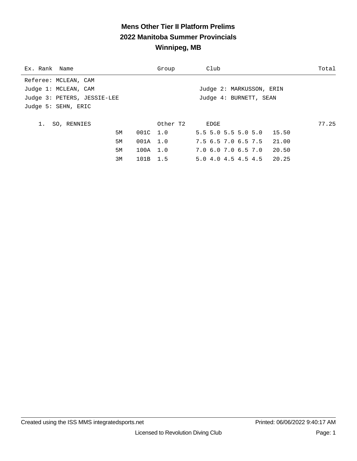# **Mens Other Tier II Platform Prelims 2022 Manitoba Summer Provincials Winnipeg, MB**

| Ex. Rank Name        |                             |                  | Group    | Club                      | Total |
|----------------------|-----------------------------|------------------|----------|---------------------------|-------|
| Referee: MCLEAN, CAM |                             |                  |          |                           |       |
| Judge 1: MCLEAN, CAM |                             |                  |          | Judge 2: MARKUSSON, ERIN  |       |
|                      | Judge 3: PETERS, JESSIE-LEE |                  |          | Judge 4: BURNETT, SEAN    |       |
| Judge 5: SEHN, ERIC  |                             |                  |          |                           |       |
|                      |                             |                  |          |                           |       |
|                      | SO, RENNIES                 |                  | Other T2 | EDGE                      | 77.25 |
|                      | 5M                          | 001C 1.0         |          | $5.5$ 5.0 5.5 5.0 5.0     | 15.50 |
|                      | 5M                          | $001A \quad 1.0$ |          | 7.5 6.5 7.0 6.5 7.5 21.00 |       |
|                      | 5M                          | 100A 1.0         |          | 7.0 6.0 7.0 6.5 7.0       | 20.50 |
|                      | 3M                          | 101B 1.5         |          | 5.0 4.0 4.5 4.5 4.5 20.25 |       |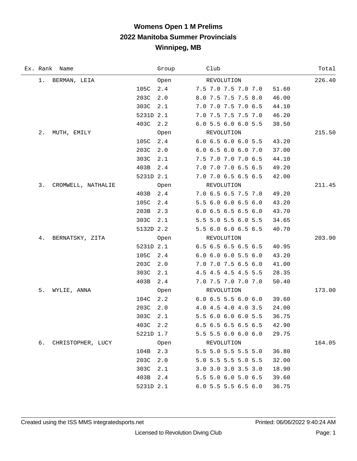| Ex. Rank Name            | Group       | Club                          | Total  |
|--------------------------|-------------|-------------------------------|--------|
| 1.<br>BERMAN, LEIA       | Open        | REVOLUTION                    | 226.40 |
|                          | 105C 2.4    | 7.5 7.0 7.5 7.0 7.0           | 51.60  |
|                          | 203C<br>2.0 | 8.0 7.5 7.5 7.5 8.0           | 46.00  |
|                          | 303C<br>2.1 | 7.0 7.0 7.5 7.0 6.5           | 44.10  |
|                          | 5231D 2.1   | 7.0 7.5 7.5 7.5 7.0           | 46.20  |
|                          | 403C 2.2    | 6.0 5.5 6.0 6.0 5.5           | 38.50  |
| 2.<br>MUTH, EMILY        | Open        | REVOLUTION                    | 215.50 |
|                          | 105C<br>2.4 | 6.0 6.5 6.0 6.0 5.5           | 43.20  |
|                          | 203C<br>2.0 | 6.0 6.5 6.0 6.0 7.0           | 37.00  |
|                          | 303C 2.1    | 7.5 7.0 7.0 7.0 6.5           | 44.10  |
|                          | 403B<br>2.4 | 7.0 7.0 7.0 6.5 6.5           | 49.20  |
|                          | 5231D 2.1   | 7.0 7.0 6.5 6.5 6.5           | 42.00  |
| 3.<br>CROMWELL, NATHALIE | Open        | REVOLUTION                    | 211.45 |
|                          | 403B 2.4    | 7.0 6.5 6.5 7.5 7.0           | 49.20  |
|                          | 105C 2.4    | 5.5 6.0 6.0 6.5 6.0           | 43.20  |
|                          | 203B<br>2.3 | 6.0 6.5 6.5 6.5 6.0           | 43.70  |
|                          | 303C 2.1    | 5.5 5.0 5.5 6.0 5.5           | 34.65  |
|                          | 5132D 2.2   | 5.5 6.0 6.0 6.5 6.5           | 40.70  |
| 4.<br>BERNATSKY, ZITA    | Open        | REVOLUTION                    | 203.90 |
|                          | 5231D 2.1   | 6.5 6.5 6.5 6.5 6.5           | 40.95  |
|                          | 105C<br>2.4 | $6.0$ $6.0$ $6.0$ $5.5$ $6.0$ | 43.20  |
|                          | 203C<br>2.0 | 7.0 7.0 7.5 6.5 6.0           | 41.00  |
|                          | 303C<br>2.1 | 4.5 4.5 4.5 4.5 5.5           | 28.35  |
|                          | 403B<br>2.4 | 7.0 7.5 7.0 7.0 7.0           | 50.40  |
| 5.<br>WYLIE, ANNA        | Open        | REVOLUTION                    | 173.00 |
|                          | 104C 2.2    | $6.0$ $6.5$ $5.5$ $6.0$ $6.0$ | 39.60  |
|                          | 203C<br>2.0 | 4.0 4.5 4.0 4.0 3.5           | 24.00  |
|                          | 303C 2.1    | 5.5 6.0 6.0 6.0 5.5           | 36.75  |
|                          | 403C 2.2    | 6.5 6.5 6.5 6.5 6.5           | 42.90  |
|                          | 5221D 1.7   | 5.5 5.5 6.0 6.0 6.0           | 29.75  |
| б.<br>CHRISTOPHER, LUCY  | Open        | REVOLUTION                    | 164.05 |
|                          | 104B 2.3    | 5.5 5.0 5.5 5.5 5.0           | 36.80  |
|                          | 203C<br>2.0 | 5.0 5.5 5.5 5.0 5.5           | 32.00  |
|                          | 303C 2.1    | 3.0 3.0 3.0 3.5 3.0           | 18.90  |
|                          | 403B 2.4    | 5.5 5.0 6.0 5.0 6.5           | 39.60  |
|                          | 5231D 2.1   | 6.0 5.5 5.5 6.5 6.0           | 36.75  |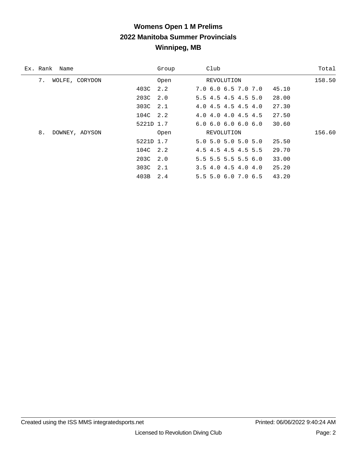|    | Ex. Rank Name |                |           | Group | Club |                               |       | Total  |
|----|---------------|----------------|-----------|-------|------|-------------------------------|-------|--------|
| 7. |               | WOLFE, CORYDON |           | Open  |      | REVOLUTION                    |       | 158.50 |
|    |               |                | 403C      | 2.2   |      | 7.0 6.0 6.5 7.0 7.0           | 45.10 |        |
|    |               |                | 203C      | 2.0   |      | $5.5$ 4.5 4.5 4.5 5.0         | 28.00 |        |
|    |               |                | 303C 2.1  |       |      | 4.0 4.5 4.5 4.5 4.0           | 27.30 |        |
|    |               |                | 104C 2.2  |       |      | 4.0 4.0 4.0 4.5 4.5           | 27.50 |        |
|    |               |                | 5221D 1.7 |       |      | 6.06.06.06.06.0               | 30.60 |        |
| 8. |               | DOWNEY, ADYSON |           | Open  |      | REVOLUTION                    |       | 156.60 |
|    |               |                | 5221D 1.7 |       |      | $5.0$ $5.0$ $5.0$ $5.0$ $5.0$ | 25.50 |        |
|    |               |                | 104C 2.2  |       |      | 4.5 4.5 4.5 4.5 5.5           | 29.70 |        |
|    |               |                | 203C 2.0  |       |      | $5.5$ 5.5 5.5 5.5 6.0         | 33.00 |        |
|    |               |                | 303C      | 2.1   |      | $3.5$ 4.0 4.5 4.0 4.0         | 25.20 |        |
|    |               |                | 403B 2.4  |       |      | 5.5 5.0 6.0 7.0 6.5           | 43.20 |        |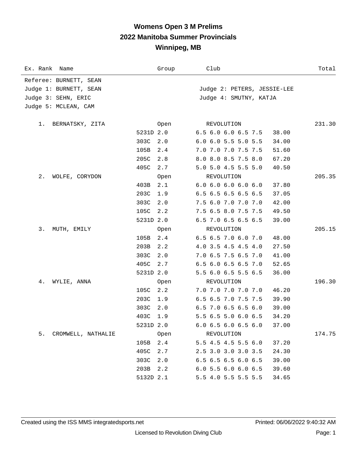| Ex. Rank Name            |           | Group | Club                        | Total  |
|--------------------------|-----------|-------|-----------------------------|--------|
| Referee: BURNETT, SEAN   |           |       |                             |        |
| Judge 1: BURNETT, SEAN   |           |       | Judge 2: PETERS, JESSIE-LEE |        |
| Judge 3: SEHN, ERIC      |           |       | Judge 4: SMUTNY, KATJA      |        |
| Judge 5: MCLEAN, CAM     |           |       |                             |        |
|                          |           |       |                             |        |
| BERNATSKY, ZITA<br>1.    |           | Open  | REVOLUTION                  | 231.30 |
|                          | 5231D 2.0 |       | 6.5 6.0 6.0 6.5 7.5         | 38.00  |
|                          | 303C      | 2.0   | 6.0 6.0 5.5 5.0 5.5         | 34.00  |
|                          | 105B      | 2.4   | 7.0 7.0 7.0 7.5 7.5         | 51.60  |
|                          | 205C      | 2.8   | 8.0 8.0 8.5 7.5 8.0         | 67.20  |
|                          | 405C      | 2.7   | 5.0 5.0 4.5 5.5 5.0         | 40.50  |
| $2$ .<br>WOLFE, CORYDON  |           | Open  | REVOLUTION                  | 205.35 |
|                          | 403B      | 2.1   | 6.06.06.06.06.0             | 37.80  |
|                          | 203C      | 1.9   | 6.5 6.5 6.5 6.5 6.5         | 37.05  |
|                          | 303C      | 2.0   | 7.5 6.0 7.0 7.0 7.0         | 42.00  |
|                          | 105C      | 2.2   | 7.5 6.5 8.0 7.5 7.5         | 49.50  |
|                          | 5231D 2.0 |       | 6.5 7.0 6.5 6.5 6.5         | 39.00  |
| 3.<br>MUTH, EMILY        |           | Open  | REVOLUTION                  | 205.15 |
|                          | 105B      | 2.4   | 6.5 6.5 7.0 6.0 7.0         | 48.00  |
|                          | 203B      | 2.2   | 4.0 3.5 4.5 4.5 4.0         | 27.50  |
|                          | 303C      | 2.0   | 7.0 6.5 7.5 6.5 7.0         | 41.00  |
|                          | 405C      | 2.7   | 6.5 6.0 6.5 6.5 7.0         | 52.65  |
|                          | 5231D 2.0 |       | 5.5 6.0 6.5 5.5 6.5         | 36.00  |
| 4.<br>WYLIE, ANNA        |           | Open  | REVOLUTION                  | 196.30 |
|                          | 105C      | 2.2   | 7.0 7.0 7.0 7.0 7.0         | 46.20  |
|                          | 203C      | 1.9   | 6.5 6.5 7.0 7.5 7.5         | 39.90  |
|                          | 303C      | 2.0   | 6.5 7.0 6.5 6.5 6.0         | 39.00  |
|                          | 403C      | 1.9   | 5.5 6.5 5.0 6.0 6.5         | 34.20  |
|                          | 5231D 2.0 |       | 6.0 6.5 6.0 6.5 6.0         | 37.00  |
| 5.<br>CROMWELL, NATHALIE |           | Open  | REVOLUTION                  | 174.75 |
|                          | 105B      | 2.4   | 5.5 4.5 4.5 5.5 6.0         | 37.20  |
|                          | 405C      | 2.7   | 2.5 3.0 3.0 3.0 3.5         | 24.30  |
|                          | 303C      | 2.0   | 6.5 6.5 6.5 6.0 6.5         | 39.00  |
|                          | 203B      | 2.2   | 6.05.56.06.06.5             | 39.60  |
|                          | 5132D 2.1 |       | 5.5 4.0 5.5 5.5 5.5         | 34.65  |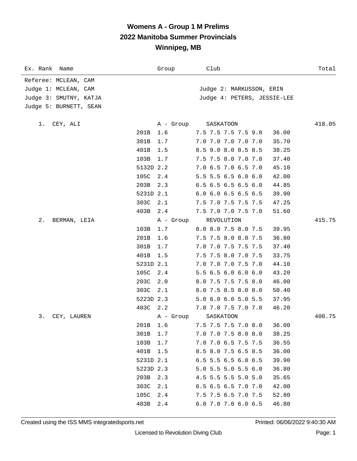| Ex. Rank Name          | Group     | Club                                   | Total  |
|------------------------|-----------|----------------------------------------|--------|
| Referee: MCLEAN, CAM   |           |                                        |        |
| Judge 1: MCLEAN, CAM   |           | Judge 2: MARKUSSON, ERIN               |        |
| Judge 3: SMUTNY, KATJA |           | Judge 4: PETERS, JESSIE-LEE            |        |
| Judge 5: BURNETT, SEAN |           |                                        |        |
|                        |           |                                        |        |
| CEY, ALI<br>1.         | A - Group | SASKATOON                              | 418.05 |
| 201B                   | 1.6       | 7.5 7.5 7.5 7.5 9.0<br>36.00           |        |
| 301B                   | 1.7       | 7.0 7.0 7.0 7.0 7.0<br>35.70           |        |
| 401B                   | 1.5       | 8.5 9.0 8.0 8.5 8.5<br>38.25           |        |
| 103B                   | 1.7       | 7.5 7.5 8.0 7.0 7.0<br>37.40           |        |
| 5132D 2.2              |           | 7.0 6.5 7.0 6.5 7.0<br>45.10           |        |
| 105C                   | 2.4       | 5.5 5.5 6.5 6.0 6.0<br>42.00           |        |
| 203B                   | 2.3       | $6.5$ $6.5$ $6.5$ $6.5$ $6.0$<br>44.85 |        |
| 5231D 2.1              |           | 6.0 6.0 6.5 6.5 6.5<br>39.90           |        |
| 303C                   | 2.1       | 7.5 7.0 7.5 7.5 7.5<br>47.25           |        |
| 403B                   | 2.4       | 7.5 7.0 7.0 7.5 7.0<br>51.60           |        |
| $2$ .<br>BERMAN, LEIA  | A - Group | REVOLUTION                             | 415.75 |
| 103B                   | 1.7       | 8.0 8.0 7.5 8.0 7.5<br>39.95           |        |
| 201B                   | 1.6       | 7.5 7.5 8.0 8.0 7.5<br>36.80           |        |
| 301B                   | 1.7       | 7.0 7.0 7.5 7.5 7.5<br>37.40           |        |
| 401B                   | 1.5       | 7.5 7.5 8.0 7.0 7.5<br>33.75           |        |
| 5231D 2.1              |           | 7.0 7.0 7.0 7.5 7.0<br>44.10           |        |
| 105C                   | 2.4       | 5.5 6.5 6.0 6.0 6.0<br>43.20           |        |
| 203C                   | 2.0       | 8.0 7.5 7.5 7.5 8.0<br>46.00           |        |
| 303C                   | 2.1       | 8.0 7.5 8.5 8.0 8.0<br>50.40           |        |
| 5223D 2.3              |           | 5.0 6.0 6.0 5.0 5.5<br>37.95           |        |
| 403C 2.2               |           | 7.0 7.0 7.5 7.0 7.0<br>46.20           |        |
| 3.<br>CEY, LAUREN      | A - Group | SASKATOON                              | 400.75 |
| 201B                   | 1.6       | 7.5 7.5 7.5 7.0 8.0<br>36.00           |        |
| 301B                   | 1.7       | 7.0 7.0 7.5 8.0 8.0<br>38.25           |        |
| 103B                   | 1.7       | 7.0 7.0 6.5 7.5 7.5<br>36.55           |        |
| 401B                   | 1.5       | 36.00<br>8.5 8.0 7.5 6.5 8.5           |        |
| 5231D 2.1              |           | 6.5 5.5 6.5 6.0 6.5<br>39.90           |        |
| 5223D 2.3              |           | 5.0 5.5 5.0 5.5 6.0<br>36.80           |        |
| 203B                   | 2.3       | 4.5 5.5 5.5 5.0 5.0<br>35.65           |        |
| 303C                   | 2.1       | 6.5 6.5 6.5 7.0 7.0<br>42.00           |        |
| 105C                   | 2.4       | 7.5 7.5 6.5 7.0 7.5<br>52.80           |        |
| 403B                   | 2.4       | 6.0 7.0 7.0 6.0 6.5<br>46.80           |        |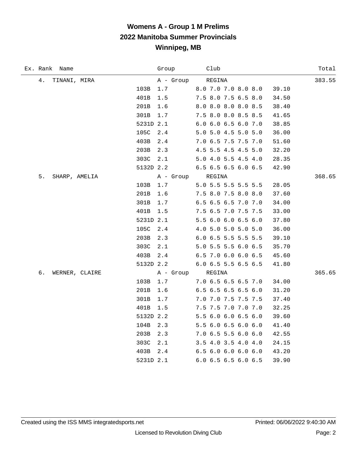| Ex. Rank Name        | Group            | Club                          | Total  |
|----------------------|------------------|-------------------------------|--------|
| 4.<br>TINANI, MIRA   | A - Group        | REGINA                        | 383.55 |
| 103B                 | 1.7              | 8.0 7.0 7.0 8.0 8.0           | 39.10  |
| 401B                 | 1.5              | 7.5 8.0 7.5 6.5 8.0           | 34.50  |
| 201B                 | 1.6              | 8.0 8.0 8.0 8.0 8.5           | 38.40  |
| 301B                 | 1.7              | 7.5 8.0 8.0 8.5 8.5           | 41.65  |
|                      | 5231D 2.1        | 6.0 6.0 6.5 6.0 7.0           | 38.85  |
| 105C                 | 2.4              | 5.0 5.0 4.5 5.0 5.0           | 36.00  |
| 403B                 | 2.4              | 7.0 6.5 7.5 7.5 7.0           | 51.60  |
| 203B                 | 2.3              | 4.5 5.5 4.5 4.5 5.0           | 32.20  |
| 303C                 | 2.1              | 5.0 4.0 5.5 4.5 4.0           | 28.35  |
|                      | 5132D 2.2        | 6.5 6.5 6.5 6.0 6.5           | 42.90  |
| 5.<br>SHARP, AMELIA  | A - Group REGINA |                               | 368.65 |
| 103B                 | 1.7              | 5.0 5.5 5.5 5.5 5.5           | 28.05  |
| 201B                 | 1.6              | 7.5 8.0 7.5 8.0 8.0           | 37.60  |
| 301B                 | $1.7\,$          | 6.5 6.5 6.5 7.0 7.0           | 34.00  |
| 401B                 | 1.5              | 7.5 6.5 7.0 7.5 7.5           | 33.00  |
|                      | 5231D 2.1        | 5.5 6.0 6.0 6.5 6.0           | 37.80  |
| 105C                 | 2.4              | 4.0 5.0 5.0 5.0 5.0           | 36.00  |
| 203B                 | 2.3              | 6.0 6.5 5.5 5.5 5.5           | 39.10  |
| 303C                 | 2.1              | 5.0 5.5 5.5 6.0 6.5           | 35.70  |
| 403B                 | 2.4              | 6.5 7.0 6.0 6.0 6.5           | 45.60  |
|                      | 5132D 2.2        | 6.0 6.5 5.5 6.5 6.5           | 41.80  |
| б.<br>WERNER, CLAIRE | A - Group REGINA |                               | 365.65 |
| 103B                 | 1.7              | 7.0 6.5 6.5 6.5 7.0           | 34.00  |
| 201B                 | 1.6              | 6.5 6.5 6.5 6.5 6.0           | 31.20  |
| 301B                 | 1.7              | 7.0 7.0 7.5 7.5 7.5           | 37.40  |
| 401B                 | 1.5              | 7.5 7.5 7.0 7.0 7.0           | 32.25  |
|                      | 5132D 2.2        | 5.5 6.0 6.0 6.5 6.0           | 39.60  |
| 104B                 | 2.3              | 5.5 6.0 6.5 6.0 6.0           | 41.40  |
| 203B                 | 2.3              | 7.0 6.5 5.5 6.0 6.0           | 42.55  |
| 303C                 | 2.1              | 3.5 4.0 3.5 4.0 4.0           | 24.15  |
| 403B                 | 2.4              | 6.5 6.0 6.0 6.0 6.0           | 43.20  |
|                      | 5231D 2.1        | $6.0$ $6.5$ $6.5$ $6.0$ $6.5$ | 39.90  |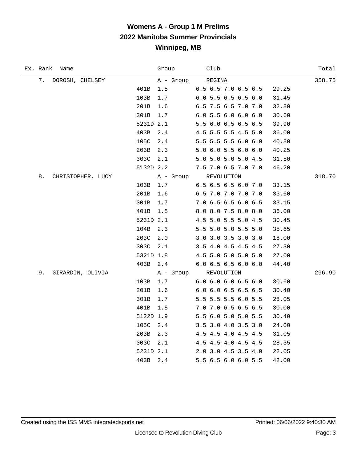| Ex. Rank Name           |           | Group     | Club                          | Total  |
|-------------------------|-----------|-----------|-------------------------------|--------|
| 7.<br>DOROSH, CHELSEY   |           | A - Group | REGINA                        | 358.75 |
|                         | 401B      | 1.5       | 6.5 6.5 7.0 6.5 6.5           | 29.25  |
|                         | 103B      | 1.7       | 6.0 5.5 6.5 6.5 6.0           | 31.45  |
|                         | 201B      | 1.6       | 6.5 7.5 6.5 7.0 7.0           | 32.80  |
|                         | 301B      | 1.7       | $6.0$ 5.5 6.0 6.0 6.0         | 30.60  |
|                         | 5231D 2.1 |           | 5.5 6.0 6.5 6.5 6.5           | 39.90  |
|                         | 403B      | 2.4       | 4.5 5.5 5.5 4.5 5.0           | 36.00  |
|                         | 105C      | 2.4       | 5.5 5.5 5.5 6.0 6.0           | 40.80  |
|                         | 203B      | 2.3       | 5.0 6.0 5.5 6.0 6.0           | 40.25  |
|                         | 303C      | 2.1       | 5.0 5.0 5.0 5.0 4.5           | 31.50  |
|                         | 5132D 2.2 |           | 7.5 7.0 6.5 7.0 7.0           | 46.20  |
| 8.<br>CHRISTOPHER, LUCY |           |           | A - Group REVOLUTION          | 318.70 |
|                         | 103B      | 1.7       | 6.5 6.5 6.5 6.0 7.0           | 33.15  |
|                         | 201B      | 1.6       | 6.5 7.0 7.0 7.0 7.0           | 33.60  |
|                         | 301B      | 1.7       | 7.0 6.5 6.5 6.0 6.5           | 33.15  |
|                         | 401B      | 1.5       | 8.0 8.0 7.5 8.0 8.0           | 36.00  |
|                         | 5231D 2.1 |           | 4.5 5.0 5.5 5.0 4.5           | 30.45  |
|                         | 104B      | 2.3       | 5.5 5.0 5.0 5.5 5.0           | 35.65  |
|                         | 203C      | 2.0       | 3.0 3.0 3.5 3.0 3.0           | 18.00  |
|                         | 303C      | 2.1       | 3.5 4.0 4.5 4.5 4.5           | 27.30  |
|                         | 5321D 1.8 |           | 4.5 5.0 5.0 5.0 5.0           | 27.00  |
|                         | 403B 2.4  |           | 6.0 6.5 6.5 6.0 6.0           | 44.40  |
| 9.<br>GIRARDIN, OLIVIA  |           |           | A - Group REVOLUTION          | 296.90 |
|                         | 103B      | 1.7       | $6.0$ $6.0$ $6.0$ $6.5$ $6.0$ | 30.60  |
|                         | 201B      | 1.6       | 6.0 6.0 6.5 6.5 6.5           | 30.40  |
|                         | 301B      | 1.7       | 5.5 5.5 5.5 6.0 5.5           | 28.05  |
|                         | 401B      | $1.5$     | 7.0 7.0 6.5 6.5 6.5           | 30.00  |
|                         | 5122D 1.9 |           | 5.5 6.0 5.0 5.0 5.5           | 30.40  |
|                         | 105C      | 2.4       | 3.5 3.0 4.0 3.5 3.0           | 24.00  |
|                         | 203B      | 2.3       | 4.5 4.5 4.0 4.5 4.5           | 31.05  |
|                         | 303C      | 2.1       | 4.5 4.5 4.0 4.5 4.5           | 28.35  |
|                         | 5231D 2.1 |           | 2.0 3.0 4.5 3.5 4.0           | 22.05  |
|                         | 403B      | 2.4       | 5.5 6.5 6.0 6.0 5.5           | 42.00  |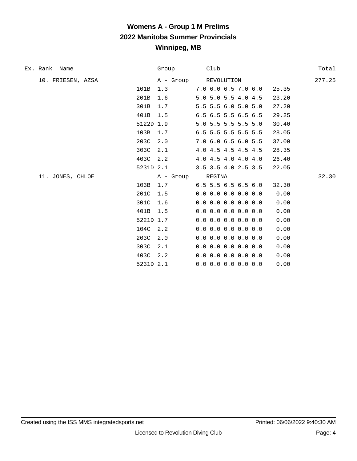| Ex. Rank Name     |           | Group     | Club                          | Total  |
|-------------------|-----------|-----------|-------------------------------|--------|
| 10. FRIESEN, AZSA |           |           | A - Group REVOLUTION          | 277.25 |
|                   | 101B      | 1.3       | 7.0 6.0 6.5 7.0 6.0           | 25.35  |
|                   | 201B      | 1.6       | 5.0 5.0 5.5 4.0 4.5           | 23.20  |
|                   | 301B      | 1.7       | 5.5 5.5 6.0 5.0 5.0           | 27.20  |
|                   | 401B      | 1.5       | $6.5$ $6.5$ $5.5$ $6.5$ $6.5$ | 29.25  |
|                   | 5122D 1.9 |           | 5.0 5.5 5.5 5.5 5.0           | 30.40  |
|                   | 103B      | 1.7       | 6.5 5.5 5.5 5.5 5.5           | 28.05  |
|                   | 203C      | 2.0       | 7.0 6.0 6.5 6.0 5.5           | 37.00  |
|                   | 303C      | 2.1       | 4.0 4.5 4.5 4.5 4.5           | 28.35  |
|                   | 403C      | 2.2       | 4.0 4.5 4.0 4.0 4.0           | 26.40  |
|                   | 5231D 2.1 |           | 3.5 3.5 4.0 2.5 3.5           | 22.05  |
| 11. JONES, CHLOE  |           | A - Group | REGINA                        | 32.30  |
|                   | 103B      | 1.7       | $6.5$ 5.5 6.5 6.5 6.0         | 32.30  |
|                   | 201C      | 1.5       | $0.0$ 0.0 0.0 0.0 0.0         | 0.00   |
|                   | 301C      | 1.6       | $0.0$ 0.0 0.0 0.0 0.0         | 0.00   |
|                   | 401B      | 1.5       | $0.0$ 0.0 0.0 0.0 0.0         | 0.00   |
|                   | 5221D 1.7 |           | $0.0$ 0.0 0.0 0.0 0.0         | 0.00   |
|                   | 104C      | 2.2       | $0.0$ 0.0 0.0 0.0 0.0         | 0.00   |
|                   | 203C      | 2.0       | $0.0$ 0.0 0.0 0.0 0.0         | 0.00   |
|                   | 303C      | 2.1       | $0.0$ 0.0 0.0 0.0 0.0         | 0.00   |
|                   | 403C      | 2.2       | $0.0$ 0.0 0.0 0.0 0.0         | 0.00   |
|                   | 5231D 2.1 |           | $0.0$ 0.0 0.0 0.0 0.0         | 0.00   |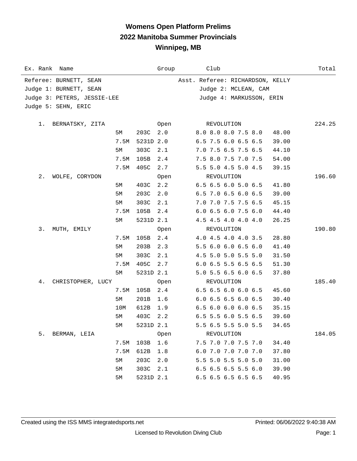| Ex. Rank Name               |      |           | Group | Club                                   | Total  |
|-----------------------------|------|-----------|-------|----------------------------------------|--------|
| Referee: BURNETT, SEAN      |      |           |       | Asst. Referee: RICHARDSON, KELLY       |        |
| Judge 1: BURNETT, SEAN      |      |           |       | Judge 2: MCLEAN, CAM                   |        |
| Judge 3: PETERS, JESSIE-LEE |      |           |       | Judge 4: MARKUSSON, ERIN               |        |
| Judge 5: SEHN, ERIC         |      |           |       |                                        |        |
|                             |      |           |       |                                        |        |
| 1. BERNATSKY, ZITA          |      |           | Open  | REVOLUTION                             | 224.25 |
|                             | 5M   | 203C 2.0  |       | 8.0 8.0 8.0 7.5 8.0<br>48.00           |        |
|                             | 7.5M | 5231D 2.0 |       | $6.5$ 7.5 $6.0$ $6.5$ $6.5$<br>39.00   |        |
|                             | 5М   | 303C      | 2.1   | 7.0 7.5 6.5 7.5 6.5<br>44.10           |        |
|                             | 7.5M | 105B      | 2.4   | 7.5 8.0 7.5 7.0 7.5<br>54.00           |        |
|                             | 7.5M | 405C      | 2.7   | 5.5 5.0 4.5 5.0 4.5<br>39.15           |        |
| $2$ .<br>WOLFE, CORYDON     |      |           | Open  | REVOLUTION                             | 196.60 |
|                             | 5M   | 403C      | 2.2   | $6.5$ $6.5$ $6.0$ $5.0$ $6.5$<br>41.80 |        |
|                             | 5M   | 203C      | 2.0   | 6.5 7.0 6.5 6.0 6.5<br>39.00           |        |
|                             | 5М   | 303C      | 2.1   | 7.0 7.0 7.5 7.5 6.5<br>45.15           |        |
|                             | 7.5M | 105B      | 2.4   | 6.0 6.5 6.0 7.5 6.0<br>44.40           |        |
|                             | 5М   | 5231D 2.1 |       | 4.5 4.5 4.0 4.0 4.0<br>26.25           |        |
| 3.<br>MUTH, EMILY           |      |           | Open  | REVOLUTION                             | 190.80 |
|                             | 7.5M | 105B      | 2.4   | 4.0 4.5 4.0 4.0 3.5<br>28.80           |        |
|                             | 5M   | 203B      | 2.3   | 5.5 6.0 6.0 6.5 6.0<br>41.40           |        |
|                             | 5М   | 303C      | 2.1   | 4.5 5.0 5.0 5.5 5.0<br>31.50           |        |
|                             | 7.5M | 405C      | 2.7   | 6.0 6.5 5.5 6.5 6.5<br>51.30           |        |
|                             | 5M   | 5231D 2.1 |       | 5.0 5.5 6.5 6.0 6.5<br>37.80           |        |
| 4.<br>CHRISTOPHER, LUCY     |      |           | Open  | REVOLUTION                             | 185.40 |
|                             | 7.5M | 105B      | 2.4   | 6.5 6.5 6.0 6.0 6.5<br>45.60           |        |
|                             | 5M   | 201B      | 1.6   | 6.0 6.5 6.5 6.0 6.5<br>30.40           |        |
|                             | 10M  | 612B      | 1.9   | $6.5$ $6.0$ $6.0$ $6.0$ $6.5$<br>35.15 |        |
|                             | 5М   | 403C 2.2  |       | 6.5 5.5 6.0 5.5 6.5<br>39.60           |        |
|                             | $5M$ | 5231D 2.1 |       | 5.5 6.5 5.5 5.0 5.5<br>34.65           |        |
| 5.<br>BERMAN, LEIA          |      |           | Open  | REVOLUTION                             | 184.05 |
|                             | 7.5M | 103B      | 1.6   | 34.40<br>7.5 7.0 7.0 7.5 7.0           |        |
|                             | 7.5M | 612B      | $1.8$ | 6.0 7.0 7.0 7.0 7.0<br>37.80           |        |
|                             | 5M   | 203C      | 2.0   | 5.5 5.0 5.5 5.0 5.0<br>31.00           |        |
|                             | 5M   | 303C      | 2.1   | 6.5 6.5 6.5 5.5 6.0<br>39.90           |        |
|                             | 5M   | 5231D 2.1 |       | 6.5 6.5 6.5 6.5 6.5<br>40.95           |        |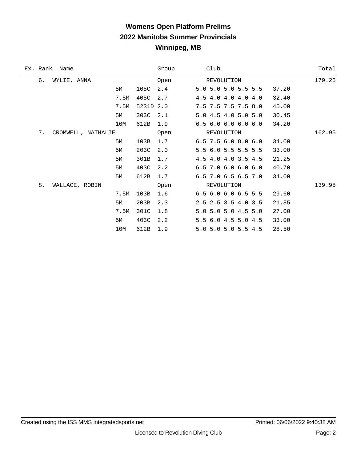| Ex. Rank | Name               |           |           | Group | Club |                               |       | Total  |
|----------|--------------------|-----------|-----------|-------|------|-------------------------------|-------|--------|
| б.       | WYLIE, ANNA        |           |           | Open  |      | REVOLUTION                    |       | 179.25 |
|          |                    | 5M        | 105C      | 2.4   |      | 5.0 5.0 5.0 5.5 5.5           | 37.20 |        |
|          |                    | 7.5M      | 405C      | 2.7   |      | 4.5 4.0 4.0 4.0 4.0           | 32.40 |        |
|          |                    | 7.5M      | 5231D 2.0 |       |      | 7.5 7.5 7.5 7.5 8.0           | 45.00 |        |
|          |                    | 5M        | 303C      | 2.1   |      | 5.0 4.5 4.0 5.0 5.0           | 30.45 |        |
|          |                    | 10M       | 612B      | 1.9   |      | 6.56.06.06.06.0               | 34.20 |        |
| 7.       | CROMWELL, NATHALIE |           |           | Open  |      | REVOLUTION                    |       | 162.95 |
|          |                    | <b>5M</b> | 103B      | 1.7   |      | $6.5$ 7.5 $6.0$ 8.0 $6.0$     | 34.00 |        |
|          |                    | 5M        | 203C      | 2.0   |      | 5.5 6.0 5.5 5.5 5.5           | 33.00 |        |
|          |                    | 5M        | 301B      | 1.7   |      | 4.5 4.0 4.0 3.5 4.5           | 21.25 |        |
|          |                    | 5M        | 403C      | 2.2   |      | $6.5$ 7.0 $6.0$ $6.0$ $6.0$   | 40.70 |        |
|          |                    | 5M        | 612B      | 1.7   |      | 6.5 7.0 6.5 6.5 7.0           | 34.00 |        |
| 8.       | WALLACE, ROBIN     |           |           | Open  |      | REVOLUTION                    |       | 139.95 |
|          |                    | 7.5M      | 103B      | 1.6   |      | $6.5$ $6.0$ $6.0$ $6.5$ $5.5$ | 29.60 |        |
|          |                    | 5M        | 203B      | 2.3   |      | 2.5 2.5 3.5 4.0 3.5           | 21.85 |        |
|          |                    | 7.5M      | 301C      | 1.8   |      | 5.0 5.0 5.0 4.5 5.0           | 27.00 |        |
|          |                    | 5M        | 403C      | 2.2   |      | 5.5 6.0 4.5 5.0 4.5           | 33.00 |        |
|          |                    | 10M       | 612B      | 1.9   |      | 5.0 5.0 5.0 5.5 4.5           | 28.50 |        |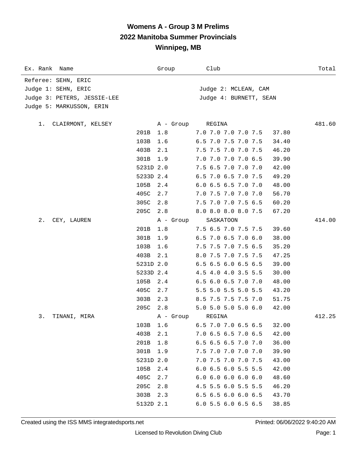| Ex. Rank Name               |           | Group     | Club                          | Total  |
|-----------------------------|-----------|-----------|-------------------------------|--------|
| Referee: SEHN, ERIC         |           |           |                               |        |
| Judge 1: SEHN, ERIC         |           |           | Judge 2: MCLEAN, CAM          |        |
| Judge 3: PETERS, JESSIE-LEE |           |           | Judge 4: BURNETT, SEAN        |        |
| Judge 5: MARKUSSON, ERIN    |           |           |                               |        |
| 1.<br>CLAIRMONT, KELSEY     |           | A - Group | REGINA                        | 481.60 |
|                             | 201B      | 1.8       | 7.0 7.0 7.0 7.0 7.5           | 37.80  |
|                             | 103B      | 1.6       | 6.5 7.0 7.5 7.0 7.5           | 34.40  |
|                             | 403B      | 2.1       | 7.5 7.5 7.0 7.0 7.5           | 46.20  |
|                             | 301B      | 1.9       | 7.0 7.0 7.0 7.0 6.5           | 39.90  |
|                             | 5231D 2.0 |           | 7.5 6.5 7.0 7.0 7.0           | 42.00  |
|                             | 5233D 2.4 |           | 6.5 7.0 6.5 7.0 7.5           | 49.20  |
|                             | 105B      | 2.4       | 6.0 6.5 6.5 7.0 7.0           | 48.00  |
|                             | 405C      | 2.7       | 7.0 7.5 7.0 7.0 7.0           | 56.70  |
|                             | 305C      | 2.8       | 7.5 7.0 7.0 7.5 6.5           | 60.20  |
|                             | 205C 2.8  |           | 8.0 8.0 8.0 8.0 7.5           | 67.20  |
| 2.<br>CEY, LAUREN           |           | A - Group | SASKATOON                     | 414.00 |
|                             | 201B      | 1.8       | 7.5 6.5 7.0 7.5 7.5           | 39.60  |
|                             | 301B      | 1.9       | 6.5 7.0 6.5 7.0 6.0           | 38.00  |
|                             | 103B      | 1.6       | 7.5 7.5 7.0 7.5 6.5           | 35.20  |
|                             | 403B      | 2.1       | 8.0 7.5 7.0 7.5 7.5           | 47.25  |
|                             | 5231D 2.0 |           | 6.5 6.5 6.0 6.5 6.5           | 39.00  |
|                             | 5233D 2.4 |           | 4.5 4.0 4.0 3.5 5.5           | 30.00  |
|                             | 105B      | 2.4       | 6.5 6.0 6.5 7.0 7.0           | 48.00  |
|                             | 405C      | 2.7       | 5.5 5.0 5.5 5.0 5.5           | 43.20  |
|                             | 303B      | 2.3       | 8.5 7.5 7.5 7.5 7.0           | 51.75  |
|                             | 205C 2.8  |           | 5.0 5.0 5.0 5.0 6.0           | 42.00  |
| 3.<br>TINANI, MIRA          |           | A - Group | REGINA                        | 412.25 |
|                             | 103B      | 1.6       | 6.5 7.0 7.0 6.5 6.5           | 32.00  |
|                             | 403B      | 2.1       | 7.0 6.5 6.5 7.0 6.5           | 42.00  |
|                             | 201B      | 1.8       | 6.5 6.5 6.5 7.0 7.0           | 36.00  |
|                             | 301B      | 1.9       | 7.5 7.0 7.0 7.0 7.0           | 39.90  |
|                             | 5231D 2.0 |           | 7.0 7.5 7.0 7.0 7.5           | 43.00  |
|                             | 105B      | 2.4       | 6.0 6.5 6.0 5.5 5.5           | 42.00  |
|                             | 405C      | 2.7       | 6.06.06.06.06.0               | 48.60  |
|                             | 205C      | 2.8       | 4.5 5.5 6.0 5.5 5.5           | 46.20  |
|                             | 303B      | 2.3       | $6.5$ $6.5$ $6.0$ $6.0$ $6.5$ | 43.70  |
|                             | 5132D 2.1 |           | 6.0 5.5 6.0 6.5 6.5           | 38.85  |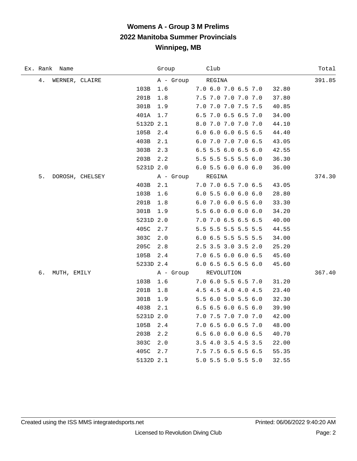| Ex. Rank Name           |                 | Group            | Club                  |       | Total  |
|-------------------------|-----------------|------------------|-----------------------|-------|--------|
| $4$ .<br>WERNER, CLAIRE |                 | A - Group        | REGINA                |       | 391.85 |
|                         | 103B            | 1.6              | 7.0 6.0 7.0 6.5 7.0   | 32.80 |        |
|                         | 201B            | 1.8              | 7.5 7.0 7.0 7.0 7.0   | 37.80 |        |
|                         | 301B            | 1.9              | 7.0 7.0 7.0 7.5 7.5   | 40.85 |        |
|                         | 401A            | $1.7$            | 6.5 7.0 6.5 6.5 7.0   | 34.00 |        |
|                         |                 | 5132D 2.1        | 8.0 7.0 7.0 7.0 7.0   | 44.10 |        |
|                         | 105B            | 2.4              | 6.0 6.0 6.0 6.5 6.5   | 44.40 |        |
|                         | 403B            | 2.1              | 6.0 7.0 7.0 7.0 6.5   | 43.05 |        |
|                         | 303B            | 2.3              | 6.5 5.5 6.0 6.5 6.0   | 42.55 |        |
|                         | 203B            | 2.2              | 5.5 5.5 5.5 5.5 6.0   | 36.30 |        |
|                         |                 | 5231D 2.0        | $6.0$ 5.5 6.0 6.0 6.0 | 36.00 |        |
| 5.                      | DOROSH, CHELSEY | A - Group REGINA |                       |       | 374.30 |
|                         | 403B            | 2.1              | 7.0 7.0 6.5 7.0 6.5   | 43.05 |        |
|                         | 103B            | 1.6              | 6.0 5.5 6.0 6.0 6.0   | 28.80 |        |
|                         | 201B            | 1.8              | 6.0 7.0 6.0 6.5 6.0   | 33.30 |        |
|                         | 301B            | 1.9              | 5.5 6.0 6.0 6.0 6.0   | 34.20 |        |
|                         |                 | 5231D 2.0        | 7.0 7.0 6.5 6.5 6.5   | 40.00 |        |
|                         | 405C            | 2.7              | 5.5 5.5 5.5 5.5 5.5   | 44.55 |        |
|                         | 303C            | 2.0              | 6.0 6.5 5.5 5.5 5.5   | 34.00 |        |
|                         | 205C            | 2.8              | 2.5 3.5 3.0 3.5 2.0   | 25.20 |        |
|                         | 105B            | 2.4              | 7.0 6.5 6.0 6.0 6.5   | 45.60 |        |
|                         |                 | 5233D 2.4        | 6.0 6.5 6.5 6.5 6.0   | 45.60 |        |
| б.<br>MUTH, EMILY       |                 |                  | A - Group REVOLUTION  |       | 367.40 |
|                         | 103B            | 1.6              | 7.0 6.0 5.5 6.5 7.0   | 31.20 |        |
|                         | 201B            | 1.8              | 4.5 4.5 4.0 4.0 4.5   | 23.40 |        |
|                         | 301B            | 1.9              | 5.5 6.0 5.0 5.5 6.0   | 32.30 |        |
|                         | 403B            | 2.1              | 6.5 6.5 6.0 6.5 6.0   | 39.90 |        |
|                         |                 | 5231D 2.0        | 7.0 7.5 7.0 7.0 7.0   | 42.00 |        |
|                         | 105B            | 2.4              | 7.0 6.5 6.0 6.5 7.0   | 48.00 |        |
|                         | 203B            | 2.2              | 6.5 6.0 6.0 6.0 6.5   | 40.70 |        |
|                         | 303C            | 2.0              | 3.5 4.0 3.5 4.5 3.5   | 22.00 |        |
|                         | 405C            | 2.7              | 7.5 7.5 6.5 6.5 6.5   | 55.35 |        |
|                         |                 | 5132D 2.1        | 5.0 5.5 5.0 5.5 5.0   | 32.55 |        |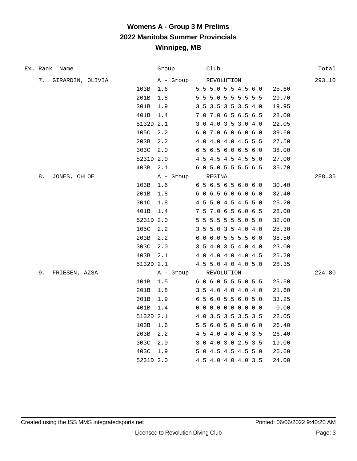| Ex. Rank Name          |           | Group            | Club                          | Total  |
|------------------------|-----------|------------------|-------------------------------|--------|
| 7.<br>GIRARDIN, OLIVIA |           | A - Group        | REVOLUTION                    | 293.10 |
|                        | 103B      | 1.6              | 5.5 5.0 5.5 4.5 6.0           | 25.60  |
|                        | 201B      | 1.8              | 5.5 5.0 5.5 5.5 5.5           | 29.70  |
|                        | 301B      | 1.9              | 3.5 3.5 3.5 3.5 4.0           | 19.95  |
|                        | 401B      | 1.4              | 7.0 7.0 6.5 6.5 6.5           | 28.00  |
|                        | 5132D 2.1 |                  | 3.0 4.0 3.5 3.0 4.0           | 22.05  |
|                        | 105C      | 2.2              | 6.0 7.0 6.0 6.0 6.0           | 39.60  |
|                        | 203B      | 2.2              | 4.0 4.0 4.0 4.5 5.5           | 27.50  |
|                        | 303C      | 2.0              | 6.5 6.5 6.0 6.5 6.0           | 38.00  |
|                        | 5231D 2.0 |                  | 4.5 4.5 4.5 4.5 5.0           | 27.00  |
|                        | 403B      | 2.1              | 6.0 5.0 5.5 5.5 6.5           | 35.70  |
| 8.<br>JONES, CHLOE     |           | A - Group REGINA |                               | 288.35 |
|                        | 103B      | 1.6              | $6.5$ $6.5$ $6.5$ $6.0$ $6.0$ | 30.40  |
|                        | 201B      | $1.8\,$          | 6.06.56.06.06.0               | 32.40  |
|                        | 301C      | $1.8\,$          | 4.5 5.0 4.5 4.5 5.0           | 25.20  |
|                        | 401B      | 1.4              | 7.5 7.0 6.5 6.0 6.5           | 28.00  |
|                        | 5231D 2.0 |                  | 5.5 5.5 5.5 5.0 5.0           | 32.00  |
|                        | 105C      | 2.2              | 3.5 5.0 3.5 4.0 4.0           | 25.30  |
|                        | 203B      | 2.2              | 6.0 6.0 5.5 5.5 6.0           | 38.50  |
|                        | 303C      | 2.0              | 3.5 4.0 3.5 4.0 4.0           | 23.00  |
|                        | 403B      | 2.1              | 4.0 4.0 4.0 4.0 4.5           | 25.20  |
|                        | 5132D 2.1 |                  | 4.5 5.0 4.0 4.0 5.0           | 28.35  |
| 9.<br>FRIESEN, AZSA    |           |                  | A - Group REVOLUTION          | 224.80 |
|                        | 101B      | 1.5              | 6.0 6.0 5.5 5.0 5.5           | 25.50  |
|                        | 201B      | 1.8              | 3.5 4.0 4.0 4.0 4.0           | 21.60  |
|                        | 301B      | 1.9              | 6.5 6.0 5.5 6.0 5.0           | 33.25  |
|                        | 401B      | 1.4              | $0.0$ 0.0 0.0 0.0 0.0         | 0.00   |
|                        | 5132D 2.1 |                  | 4.0 3.5 3.5 3.5 3.5           | 22.05  |
|                        | 103B      | 1.6              | 5.5 6.0 5.0 5.0 6.0           | 26.40  |
|                        | 203B      | 2.2              | 4.5 4.0 4.0 4.0 3.5           | 26.40  |
|                        | 303C      | 2.0              | 3.0 4.0 3.0 2.5 3.5           | 19.00  |
|                        | 403C      | 1.9              | 5.0 4.5 4.5 4.5 5.0           | 26.60  |
|                        | 5231D 2.0 |                  | 4.5 4.0 4.0 4.0 3.5           | 24.00  |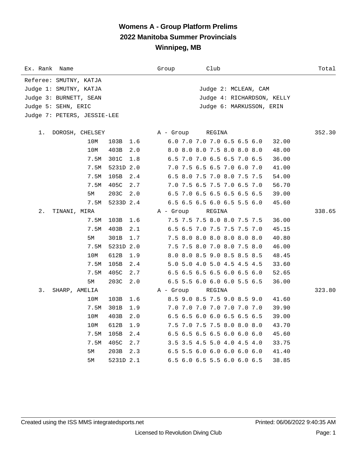| Ex. Rank<br>Name            | Group<br>Club                        | Total  |
|-----------------------------|--------------------------------------|--------|
| Referee: SMUTNY, KATJA      |                                      |        |
| Judge 1: SMUTNY, KATJA      | Judge 2: MCLEAN, CAM                 |        |
| Judge 3: BURNETT, SEAN      | Judge 4: RICHARDSON, KELLY           |        |
| Judge 5: SEHN, ERIC         | Judge 6: MARKUSSON, ERIN             |        |
| Judge 7: PETERS, JESSIE-LEE |                                      |        |
|                             |                                      |        |
| 1.<br>DOROSH, CHELSEY       | A - Group<br>REGINA                  | 352.30 |
| 10M<br>103B<br>1.6          | 6.0 7.0 7.0 7.0 6.5 6.5 6.0<br>32.00 |        |
| 10M<br>403B<br>2.0          | 8.0 8.0 8.0 7.5 8.0 8.0 8.0<br>48.00 |        |
| 7.5M<br>301C<br>1.8         | 6.5 7.0 7.0 6.5 6.5 7.0 6.5<br>36.00 |        |
| 7.5M<br>5231D 2.0           | 7.0 7.5 6.5 6.5 7.0 6.0 7.0<br>41.00 |        |
| 7.5M<br>105B<br>$2.4$       | 6.5 8.0 7.5 7.0 8.0 7.5 7.5<br>54.00 |        |
| 405C<br>2.7<br>7.5M         | 7.0 7.5 6.5 7.5 7.0 6.5 7.0<br>56.70 |        |
| 203C<br>5М<br>2.0           | 6.5 7.0 6.5 6.5 6.5 6.5 6.5<br>39.00 |        |
| 7.5M<br>5233D 2.4           | 6.5 6.5 6.5 6.0 6.5 5.5 6.0<br>45.60 |        |
| $2$ .<br>TINANI, MIRA       | A - Group<br>REGINA                  | 338.65 |
| 103B<br>7.5M<br>1.6         | 7.5 7.5 7.5 8.0 8.0 7.5 7.5<br>36.00 |        |
| 7.5M<br>403B<br>2.1         | 6.5 6.5 7.0 7.5 7.5 7.5 7.0<br>45.15 |        |
| 301B<br>5М<br>1.7           | 7.5 8.0 8.0 8.0 8.0 8.0 8.0<br>40.80 |        |
| 5231D 2.0<br>7.5M           | 7.5 7.5 8.0 7.0 8.0 7.5 8.0<br>46.00 |        |
| 10M<br>612B<br>1.9          | 8.0 8.0 8.5 9.0 8.5 8.5 8.5<br>48.45 |        |
| 105B<br>7.5M<br>2.4         | 5.0 5.0 4.0 5.0 4.5 4.5 4.5<br>33.60 |        |
| 7.5M<br>405C<br>2.7         | 6.5 6.5 6.5 6.5 6.0 6.5 6.0<br>52.65 |        |
| 203C<br>5М<br>2.0           | 6.5 5.5 6.0 6.0 6.0 5.5 6.5<br>36.00 |        |
| 3.<br>SHARP, AMELIA         | A - Group<br>REGINA                  | 323.80 |
| 10M<br>103B<br>1.6          | 8.5 9.0 8.5 7.5 9.0 8.5 9.0<br>41.60 |        |
| 7.5M<br>301B<br>1.9         | 7.0 7.0 7.0 7.0 7.0 7.0 7.0<br>39.90 |        |
| 10M<br>403B<br>2.0          | 6.5 6.5 6.0 6.0 6.5 6.5 6.5<br>39.00 |        |
| 612B<br>10M<br>1.9          | 7.5 7.0 7.5 7.5 8.0 8.0 8.0<br>43.70 |        |
| 7.5M<br>105B<br>2.4         | 6.5 6.5 6.5 6.5 6.0 6.0 6.0<br>45.60 |        |
| 7.5M<br>405C<br>2.7         | 3.5 3.5 4.5 5.0 4.0 4.5 4.0<br>33.75 |        |
| 5M<br>203B<br>2.3           | 6.5 5.5 6.0 6.0 6.0 6.0 6.0<br>41.40 |        |
| 5231D 2.1<br>5М             | 6.5 6.0 6.5 5.5 6.0 6.0 6.5<br>38.85 |        |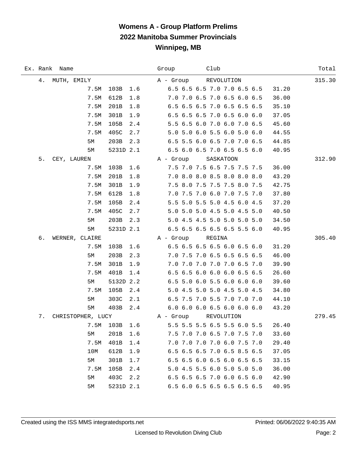|    | Ex. Rank Name  |             |                                           | Group Club          |                                           |                                   | Total  |
|----|----------------|-------------|-------------------------------------------|---------------------|-------------------------------------------|-----------------------------------|--------|
| 4. | MUTH, EMILY    |             |                                           |                     | A - Group REVOLUTION                      |                                   | 315.30 |
|    |                |             | 7.5M 103B 1.6 6.5 6.5 6.5 7.0 7.0 6.5 6.5 |                     |                                           | 31.20                             |        |
|    | 7.5M           | 612B        | $1.8$ 7.0 7.0 6.5 7.0 6.5 6.0 6.5         |                     |                                           | 36.00                             |        |
|    | 7.5M           | 201B        | 1.8                                       |                     | 6.5 6.5 6.5 7.0 6.5 6.5 6.5               | 35.10                             |        |
|    | 7.5M           | 301B        | 1.9                                       |                     | 6.5 6.5 6.5 7.0 6.5 6.0 6.0               | 37.05                             |        |
|    | 7.5M           | 105B        | 2.4                                       |                     | 5.5 6.5 6.0 7.0 6.0 7.0 6.5               | 45.60                             |        |
|    | 7.5M           | 405C<br>2.7 |                                           |                     | 5.0 5.0 6.0 5.5 6.0 5.0 6.0               | 44.55                             |        |
|    | 5M             | 203B        | 2.3                                       |                     | 6.5 5.5 6.0 6.5 7.0 7.0 6.5               | 44.85                             |        |
|    | 5M             |             | 5231D 2.1                                 |                     | 6.5 6.0 6.5 7.0 6.5 6.5 6.0               | 40.95                             |        |
| 5. | CEY, LAUREN    |             |                                           | A - Group SASKATOON |                                           |                                   | 312.90 |
|    | 7.5M           |             | 103B 1.6                                  |                     | 7.5 7.0 7.5 6.5 7.5 7.5 7.5               | 36.00                             |        |
|    | 7.5M           | 201B        | 1.8                                       |                     | $7.0$ 8.0 8.0 8.5 8.0 8.0 8.0             | 43.20                             |        |
|    | 7.5M           | 301B        | 1.9 7.5 8.0 7.5 7.5 7.5 8.0 7.5           |                     |                                           | 42.75                             |        |
|    | 7.5M           | 612B        | 1.8                                       |                     | 7.0 7.5 7.0 6.0 7.0 7.5 7.0               | 37.80                             |        |
|    | 7.5M           | 105B        | 2.4                                       |                     | 5.5 5.0 5.5 5.0 4.5 6.0 4.5               | 37.20                             |        |
|    | 7.5M           | 405C        | 2.7                                       |                     | 5.0 5.0 5.0 4.5 5.0 4.5 5.0               | 40.50                             |        |
|    | 5M             |             | 203B 2.3                                  |                     | 5.0 4.5 4.5 5.0 5.0 5.0 5.0               | 34.50                             |        |
|    | 5M             |             | 5231D 2.1                                 |                     | $6.5$ $6.5$ $6.5$ $6.5$ $6.5$ $5.5$ $6.0$ | 40.95                             |        |
| б. | WERNER, CLAIRE |             | A - Group REGINA                          |                     |                                           |                                   | 305.40 |
|    | 7.5M           |             | 103B 1.6                                  |                     | 6.5 6.5 6.5 6.5 6.0 6.5 6.0               | 31.20                             |        |
|    | 5M             | 203B        | 2.3                                       |                     | 7.0 7.5 7.0 6.5 6.5 6.5 6.5               | 46.00                             |        |
|    | 7.5M           | 301B        | 1.9                                       |                     | 7.0 7.0 7.0 7.0 7.0 6.5 7.0               | 39.90                             |        |
|    | 7.5M           | 401B        | 1.4                                       |                     | 6.5 6.5 6.0 6.0 6.0 6.5 6.5               | 26.60                             |        |
|    | 5M             | 5132D 2.2   |                                           |                     | 6.5 5.0 6.0 5.5 6.0 6.0 6.0               | 39.60                             |        |
|    | 7.5M           |             | 105B 2.4                                  |                     | 5.0 4.5 5.0 5.0 4.5 5.0 4.5               | 34.80                             |        |
|    | 5M             | 303C 2.1    |                                           |                     |                                           | 6.5 7.5 7.0 5.5 7.0 7.0 7.0 44.10 |        |
|    | 5М             |             | 403B 2.4                                  |                     |                                           | 6.0 6.0 6.0 6.5 6.0 6.0 6.0 43.20 |        |
| 7. |                |             |                                           |                     |                                           |                                   | 279.45 |
|    | 7.5M           | 103B        | 1.6                                       |                     | 5.5 5.5 5.5 6.5 5.5 6.0 5.5               | 26.40                             |        |
|    | 5M             | 201B        | 1.6                                       |                     | 7.5 7.0 7.0 6.5 7.0 7.5 7.0               | 33.60                             |        |
|    | 7.5M           | 401B        | 1.4                                       |                     | 7.0 7.0 7.0 7.0 6.0 7.5 7.0               | 29.40                             |        |
|    | 10M            | 612B        | 1.9                                       |                     | 6.5 6.5 6.5 7.0 6.5 8.5 6.5               | 37.05                             |        |
|    | 5M             | 301B        | 1.7                                       |                     | 6.5 6.5 6.0 6.5 6.0 6.5 6.5               | 33.15                             |        |
|    | 7.5M           | 105B        | 2.4                                       |                     | 5.0 4.5 5.5 6.0 5.0 5.0 5.0               | 36.00                             |        |
|    | 5M             | 403C        | 2.2                                       |                     | 6.5 6.5 6.5 7.0 6.0 6.5 6.0               | 42.90                             |        |
|    | 5M             | 5231D 2.1   |                                           |                     | 6.5 6.0 6.5 6.5 6.5 6.5 6.5               | 40.95                             |        |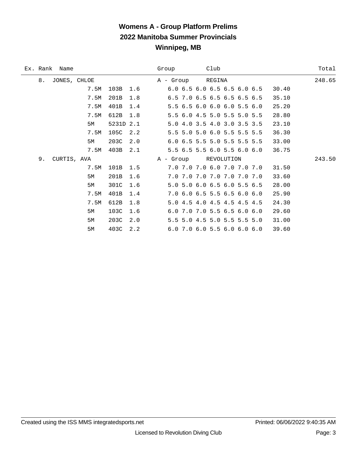|    | Ex. Rank Name |      |           |     | Group                |  | Club |                                     |  |       | Total  |
|----|---------------|------|-----------|-----|----------------------|--|------|-------------------------------------|--|-------|--------|
| 8. | JONES, CHLOE  |      |           |     | A - Group REGINA     |  |      |                                     |  |       | 248.65 |
|    |               | 7.5M | 103B      | 1.6 |                      |  |      | 6.0 6.5 6.0 6.5 6.5 6.0 6.5         |  | 30.40 |        |
|    |               | 7.5M | 201B      | 1.8 |                      |  |      | 6.5 7.0 6.5 6.5 6.5 6.5 6.5         |  | 35.10 |        |
|    |               | 7.5M | 401B      | 1.4 |                      |  |      | 5.5 6.5 6.0 6.0 6.0 5.5 6.0         |  | 25.20 |        |
|    |               | 7.5M | 612B      | 1.8 |                      |  |      | 5.5 6.0 4.5 5.0 5.5 5.0 5.5         |  | 28.80 |        |
|    |               | 5M   | 5231D 2.1 |     |                      |  |      | 5.0 4.0 3.5 4.0 3.0 3.5 3.5         |  | 23.10 |        |
|    |               | 7.5M | 105C      | 2.2 |                      |  |      | 5.5 5.0 5.0 6.0 5.5 5.5 5.5         |  | 36.30 |        |
|    |               | 5M   | 203C      | 2.0 |                      |  |      | 6.0 6.5 5.5 5.0 5.5 5.5 5.5         |  | 33.00 |        |
|    |               | 7.5M | 403B 2.1  |     |                      |  |      | 5.5 6.5 5.5 6.0 5.5 6.0 6.0         |  | 36.75 |        |
| 9. | CURTIS, AVA   |      |           |     | A - Group REVOLUTION |  |      |                                     |  |       | 243.50 |
|    |               | 7.5M | 101B      | 1.5 |                      |  |      | 7.0 7.0 7.0 6.0 7.0 7.0 7.0         |  | 31.50 |        |
|    |               | 5M   | 201B      | 1.6 |                      |  |      | 7.0 7.0 7.0 7.0 7.0 7.0 7.0         |  | 33.60 |        |
|    |               | 5M   | 301C      | 1.6 |                      |  |      | 5.0 5.0 6.0 6.5 6.0 5.5 6.5         |  | 28.00 |        |
|    |               | 7.5M | 401B      | 1.4 |                      |  |      | 7.0 6.0 6.5 5.5 6.5 6.0 6.0         |  | 25.90 |        |
|    |               | 7.5M | 612B      | 1.8 |                      |  |      | 5.0 4.5 4.0 4.5 4.5 4.5 4.5         |  | 24.30 |        |
|    |               | 5M   | 103C      | 1.6 |                      |  |      | 6.0 7.0 7.0 5.5 6.5 6.0 6.0         |  | 29.60 |        |
|    |               | 5M   | 203C      | 2.0 |                      |  |      | 5.5 5.0 4.5 5.0 5.5 5.5 5.0         |  | 31.00 |        |
|    |               | 5M   | 403C      | 2.2 |                      |  |      | $6.0$ 7.0 $6.0$ 5.5 $6.0$ 6.0 $6.0$ |  | 39.60 |        |
|    |               |      |           |     |                      |  |      |                                     |  |       |        |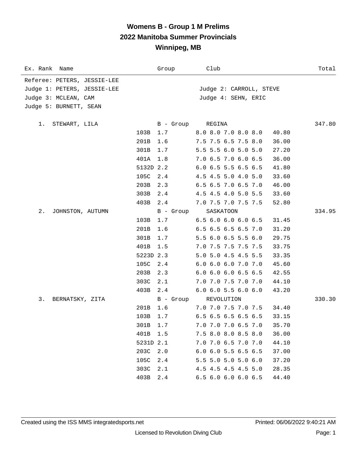| Ex. Rank Name               |           | Group     | Club                          | Total  |
|-----------------------------|-----------|-----------|-------------------------------|--------|
| Referee: PETERS, JESSIE-LEE |           |           |                               |        |
| Judge 1: PETERS, JESSIE-LEE |           |           | Judge 2: CARROLL, STEVE       |        |
| Judge 3: MCLEAN, CAM        |           |           | Judge 4: SEHN, ERIC           |        |
| Judge 5: BURNETT, SEAN      |           |           |                               |        |
|                             |           |           |                               |        |
| 1.<br>STEWART, LILA         |           | B - Group | REGINA                        | 347.80 |
|                             | 103B      | 1.7       | 8.0 8.0 7.0 8.0 8.0           | 40.80  |
|                             | 201B      | 1.6       | 7.5 7.5 6.5 7.5 8.0           | 36.00  |
|                             | 301B      | 1.7       | 5.5 5.5 6.0 5.0 5.0           | 27.20  |
|                             | 401A      | 1.8       | 7.0 6.5 7.0 6.0 6.5           | 36.00  |
|                             | 5132D 2.2 |           | 6.0 6.5 5.5 6.5 6.5           | 41.80  |
|                             | 105C      | 2.4       | 4.5 4.5 5.0 4.0 5.0           | 33.60  |
|                             | 203B      | 2.3       | 6.5 6.5 7.0 6.5 7.0           | 46.00  |
|                             | 303B      | 2.4       | 4.5 4.5 4.0 5.0 5.5           | 33.60  |
|                             | 403B      | 2.4       | 7.0 7.5 7.0 7.5 7.5           | 52.80  |
| 2.<br>JOHNSTON, AUTUMN      |           | B - Group | SASKATOON                     | 334.95 |
|                             | 103B      | 1.7       | 6.5 6.0 6.0 6.0 6.5           | 31.45  |
|                             | 201B      | 1.6       | 6.5 6.5 6.5 6.5 7.0           | 31.20  |
|                             | 301B      | 1.7       | 5.5 6.0 6.5 5.5 6.0           | 29.75  |
|                             | 401B      | 1.5       | 7.0 7.5 7.5 7.5 7.5           | 33.75  |
|                             | 5223D 2.3 |           | 5.0 5.0 4.5 4.5 5.5           | 33.35  |
|                             | 105C      | 2.4       | 6.0 6.0 6.0 7.0 7.0           | 45.60  |
|                             | 203B      | 2.3       | 6.0 6.0 6.0 6.5 6.5           | 42.55  |
|                             | 303C      | 2.1       | 7.0 7.0 7.5 7.0 7.0           | 44.10  |
|                             | 403B      | 2.4       | $6.0$ $6.0$ $5.5$ $6.0$ $6.0$ | 43.20  |
| 3.<br>BERNATSKY, ZITA       |           | B - Group | REVOLUTION                    | 330.30 |
|                             | 201B      | 1.6       | 7.0 7.0 7.5 7.0 7.5           | 34.40  |
|                             | 103B      | 1.7       | 6.5 6.5 6.5 6.5 6.5           | 33.15  |
|                             | 301B      | 1.7       | 7.0 7.0 7.0 6.5 7.0           | 35.70  |
|                             | 401B      | 1.5       | 7.5 8.0 8.0 8.5 8.0           | 36.00  |
|                             | 5231D 2.1 |           | 7.0 7.0 6.5 7.0 7.0           | 44.10  |
|                             | 203C      | 2.0       | 6.0 6.0 5.5 6.5 6.5           | 37.00  |
|                             | 105C      | 2.4       | 5.5 5.0 5.0 5.0 6.0           | 37.20  |
|                             | 303C      | 2.1       | 4.5 4.5 4.5 4.5 5.0           | 28.35  |
|                             | 403B      | 2.4       | 6.5 6.0 6.0 6.0 6.5           | 44.40  |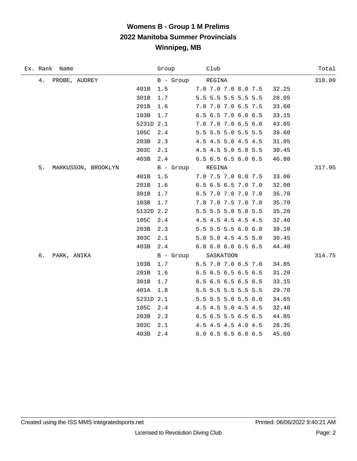| Ex. Rank Name             | Group            | Club                  | Total  |  |
|---------------------------|------------------|-----------------------|--------|--|
| 4.<br>PROBE, AUDREY       | B - Group REGINA |                       | 318.00 |  |
| 401B                      | 1.5              | 7.0 7.0 7.0 8.0 7.5   | 32.25  |  |
| 301B                      | 1.7              | 5.5 5.5 5.5 5.5 5.5   | 28.05  |  |
| 201B                      | 1.6              | 7.0 7.0 7.0 6.5 7.5   | 33.60  |  |
| 103B                      | 1.7              | 6.5 6.5 7.0 6.0 6.5   | 33.15  |  |
| 5231D 2.1                 |                  | 7.0 7.0 7.0 6.5 6.0   | 43.05  |  |
| 105C                      | 2.4              | 5.5 5.5 5.0 5.5 5.5   | 39.60  |  |
| 203B                      | 2.3              | 4.5 4.5 5.0 4.5 4.5   | 31.05  |  |
| 303C                      | 2.1              | 4.5 4.5 5.0 5.0 5.5   | 30.45  |  |
| 403B                      | 2.4              | $6.5$ 6.5 6.5 6.0 6.5 | 46.80  |  |
| 5.<br>MARKUSSON, BROOKLYN | B - Group REGINA |                       | 317.95 |  |
| 401B                      | 1.5              | 7.0 7.5 7.0 8.0 7.5   | 33.00  |  |
| 201B                      | 1.6              | 6.5 6.5 6.5 7.0 7.0   | 32.00  |  |
| 301B                      | 1.7              | 6.5 7.0 7.0 7.0 7.0   | 35.70  |  |
| 103B                      | 1.7              | 7.0 7.0 7.5 7.0 7.0   | 35.70  |  |
| 5132D 2.2                 |                  | 5.5 5.5 5.0 5.0 5.5   | 35.20  |  |
| 105C                      | 2.4              | 4.5 4.5 4.5 4.5 4.5   | 32.40  |  |
| 203B                      | 2.3              | 5.5 5.5 5.5 6.0 6.0   | 39.10  |  |
| 303C                      | 2.1              | 5.0 5.0 4.5 4.5 5.0   | 30.45  |  |
| 403B                      | 2.4              | 6.0 6.0 6.0 6.5 6.5   | 44.40  |  |
| б.<br>PARK, ANIKA         |                  | B - Group SASKATOON   | 314.75 |  |
| 103B                      | 1.7              | 6.5 7.0 7.0 6.5 7.0   | 34.85  |  |
| 201B                      | 1.6              | 6.5 6.5 6.5 6.5 6.5   | 31.20  |  |
| 301B                      | 1.7              | 6.5 6.5 6.5 6.5 6.5   | 33.15  |  |
| 401A                      | 1.8              | 5.5 5.5 5.5 5.5 5.5   | 29.70  |  |
|                           | 5231D 2.1        | 5.5 5.5 5.0 5.5 6.0   | 34.65  |  |
| 105C                      | 2.4              | 4.5 4.5 5.0 4.5 4.5   | 32.40  |  |
| 203B                      | 2.3              | 6.5 6.5 5.5 6.5 6.5   | 44.85  |  |
| 303C                      | 2.1              | 4.5 4.5 4.5 4.0 4.5   | 28.35  |  |
| 403B                      | 2.4              | 6.0 6.5 6.5 6.0 6.5   | 45.60  |  |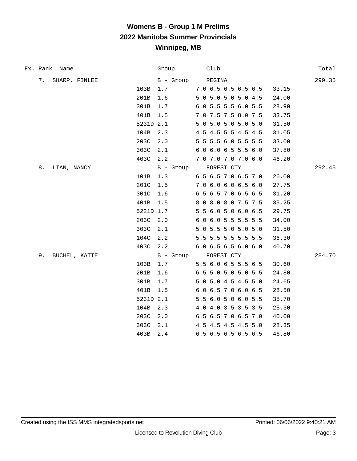| Ex. Rank Name       |           | Group     | Club                          | Total  |
|---------------------|-----------|-----------|-------------------------------|--------|
| 7. SHARP, FINLEE    |           | B - Group | REGINA                        | 299.35 |
|                     | 103B      | 1.7       | 7.0 6.5 6.5 6.5 6.5           | 33.15  |
|                     | 201B      | 1.6       | 5.0 5.0 5.0 5.0 4.5           | 24.00  |
|                     | 301B      | 1.7       | 6.0 5.5 5.5 6.0 5.5           | 28.90  |
|                     | 401B      | 1.5       | 7.0 7.5 7.5 8.0 7.5           | 33.75  |
|                     | 5231D 2.1 |           | 5.0 5.0 5.0 5.0 5.0           | 31.50  |
|                     | 104B      | 2.3       | 4.5 4.5 5.5 4.5 4.5           | 31.05  |
|                     | 203C      | 2.0       | 5.5 5.5 6.0 5.5 5.5           | 33.00  |
|                     | 303C      | 2.1       | $6.0$ $6.0$ $6.5$ $5.5$ $6.0$ | 37.80  |
|                     | 403C      | 2.2       | $7.0\,7.0\,7.0\,7.0\,6.0$     | 46.20  |
| 8.<br>LIAN, NANCY   |           |           | B - Group FOREST CTY          | 292.45 |
|                     | 101B      | 1.3       | 6.5 6.5 7.0 6.5 7.0           | 26.00  |
|                     | 201C      | 1.5       | 7.0 6.0 6.0 6.5 6.0           | 27.75  |
|                     | 301C      | 1.6       | 6.5 6.5 7.0 6.5 6.5           | 31.20  |
|                     | 401B      | 1.5       | 8.0 8.0 8.0 7.5 7.5           | 35.25  |
|                     | 5221D 1.7 |           | 5.5 6.0 5.0 6.0 6.5           | 29.75  |
|                     | 203C      | 2.0       | 6.0 6.0 5.5 5.5 5.5           | 34.00  |
|                     | 303C      | 2.1       | 5.0 5.5 5.0 5.0 5.0           | 31.50  |
|                     | 104C      | 2.2       | 5.5 5.5 5.5 5.5 5.5           | 36.30  |
|                     | 403C      | 2.2       | 6.0 6.5 6.5 6.0 6.0           | 40.70  |
| 9.<br>BUCHEL, KATIE |           |           | B - Group FOREST CTY          | 284.70 |
|                     | 103B      | 1.7       | 5.5 6.0 6.5 5.5 6.5           | 30.60  |
|                     | 201B      | 1.6       | 6.5 5.0 5.0 5.0 5.5           | 24.80  |
|                     | 301B      | 1.7       | 5.0 5.0 4.5 4.5 5.0           | 24.65  |
|                     | 401B      | 1.5       | 6.0 6.5 7.0 6.0 6.5           | 28.50  |
|                     | 5231D 2.1 |           | 5.5 6.0 5.0 6.0 5.5           | 35.70  |
|                     | 104B      | 2.3       | 4.0 4.0 3.5 3.5 3.5           | 25.30  |
|                     | 203C      | 2.0       | 6.5 6.5 7.0 6.5 7.0           | 40.00  |
|                     | 303C      | 2.1       | 4.5 4.5 4.5 4.5 5.0           | 28.35  |
|                     | 403B      | 2.4       | 6.5 6.5 6.5 6.5 6.5           | 46.80  |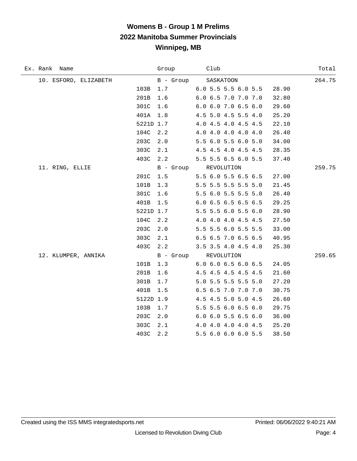| Ex. Rank Name         |           | Group     | Club                          | Total  |
|-----------------------|-----------|-----------|-------------------------------|--------|
| 10. ESFORD, ELIZABETH |           | B - Group | SASKATOON                     | 264.75 |
|                       | 103B      | 1.7       | 6.0 5.5 5.5 6.0 5.5           | 28.90  |
|                       | 201B      | 1.6       | 6.0 6.5 7.0 7.0 7.0           | 32.80  |
|                       | 301C      | 1.6       | 6.0 6.0 7.0 6.5 6.0           | 29.60  |
|                       | 401A      | 1.8       | 4.5 5.0 4.5 5.5 4.0           | 25.20  |
|                       | 5221D 1.7 |           | 4.0 4.5 4.0 4.5 4.5           | 22.10  |
|                       | 104C      | 2.2       | 4.0 4.0 4.0 4.0 4.0           | 26.40  |
|                       | 203C      | 2.0       | 5.5 6.0 5.5 6.0 5.0           | 34.00  |
|                       | 303C      | 2.1       | 4.5 4.5 4.0 4.5 4.5           | 28.35  |
|                       | 403C      | 2.2       | 5.5 5.5 6.5 6.0 5.5           | 37.40  |
| 11. RING, ELLIE       |           |           | B - Group REVOLUTION          | 259.75 |
|                       | 201C      | 1.5       | 5.5 6.0 5.5 6.5 6.5           | 27.00  |
|                       | 101B      | 1.3       | 5.5 5.5 5.5 5.5 5.0           | 21.45  |
|                       | 301C      | 1.6       | 5.5 6.0 5.5 5.5 5.0           | 26.40  |
|                       | 401B      | 1.5       | 6.0 6.5 6.5 6.5 6.5           | 29.25  |
|                       | 5221D 1.7 |           | 5.5 5.5 6.0 5.5 6.0           | 28.90  |
|                       | 104C      | 2.2       | 4.0 4.0 4.0 4.5 4.5           | 27.50  |
|                       | 203C      | 2.0       | 5.5 5.5 6.0 5.5 5.5           | 33.00  |
|                       | 303C      | 2.1       | 6.5 6.5 7.0 6.5 6.5           | 40.95  |
|                       | 403C      | 2.2       | 3.5 3.5 4.0 4.5 4.0           | 25.30  |
| 12. KLUMPER, ANNIKA   |           |           | B - Group REVOLUTION          | 259.65 |
|                       | 101B      | 1.3       | $6.0$ $6.0$ $6.5$ $6.0$ $6.5$ | 24.05  |
|                       | 201B      | 1.6       | 4.5 4.5 4.5 4.5 4.5           | 21.60  |
|                       | 301B      | 1.7       | 5.0 5.5 5.5 5.5 5.0           | 27.20  |
|                       | 401B      | 1.5       | 6.5 6.5 7.0 7.0 7.0           | 30.75  |
|                       | 5122D 1.9 |           | 4.5 4.5 5.0 5.0 4.5           | 26.60  |
|                       | 103B      | 1.7       | 5.5 5.5 6.0 6.5 6.0           | 29.75  |
|                       | 203C      | 2.0       | 6.0 6.0 5.5 6.5 6.0           | 36.00  |
|                       | 303C      | 2.1       | 4.0 4.0 4.0 4.0 4.5           | 25.20  |
|                       | 403C      | 2.2       | 5.5 6.0 6.0 6.0 5.5           | 38.50  |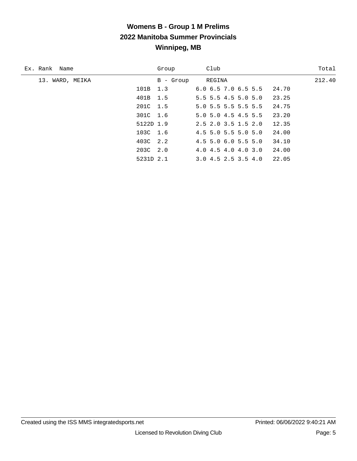| Ex. Rank Name   |           | Group     | Club                          | Total  |
|-----------------|-----------|-----------|-------------------------------|--------|
| 13. WARD, MEIKA |           | B - Group | REGINA                        | 212.40 |
|                 | 101B 1.3  |           | $6.0$ $6.5$ $7.0$ $6.5$ $5.5$ | 24.70  |
|                 | 401B 1.5  |           | $5.5$ 5.5 4.5 5.0 5.0         | 23.25  |
|                 | 201C 1.5  |           | 5.0 5.5 5.5 5.5 5.5           | 24.75  |
|                 | 301C 1.6  |           | $5.0$ $5.0$ $4.5$ $4.5$ $5.5$ | 23.20  |
|                 | 5122D 1.9 |           | $2.5$ $2.0$ $3.5$ $1.5$ $2.0$ | 12.35  |
|                 | 103C 1.6  |           | $4.5$ 5.0 5.5 5.0 5.0         | 24.00  |
|                 | 403C 2.2  |           | $4.5$ 5.0 6.0 5.5 5.0         | 34.10  |
|                 | 203C 2.0  |           | 4.0 4.5 4.0 4.0 3.0           | 24.00  |
|                 | 5231D 2.1 |           | 3.04.52.53.54.0               | 22.05  |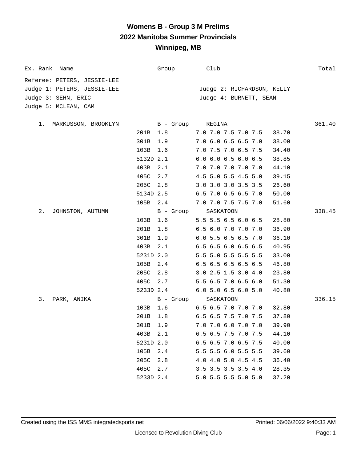| Ex. Rank Name               | Group       | Club                          | Total  |
|-----------------------------|-------------|-------------------------------|--------|
| Referee: PETERS, JESSIE-LEE |             |                               |        |
| Judge 1: PETERS, JESSIE-LEE |             | Judge 2: RICHARDSON, KELLY    |        |
| Judge 3: SEHN, ERIC         |             | Judge 4: BURNETT, SEAN        |        |
| Judge 5: MCLEAN, CAM        |             |                               |        |
|                             |             |                               |        |
| MARKUSSON, BROOKLYN<br>1.   | B - Group   | REGINA                        | 361.40 |
|                             | 201B<br>1.8 | 7.0 7.0 7.5 7.0 7.5           | 38.70  |
|                             | 301B<br>1.9 | 7.0 6.0 6.5 6.5 7.0           | 38.00  |
|                             | 1.6<br>103B | 7.0 7.5 7.0 6.5 7.5           | 34.40  |
|                             | 5132D 2.1   | $6.0$ $6.0$ $6.5$ $6.0$ $6.5$ | 38.85  |
|                             | 2.1<br>403B | 7.0 7.0 7.0 7.0 7.0           | 44.10  |
|                             | 405C<br>2.7 | 4.5 5.0 5.5 4.5 5.0           | 39.15  |
|                             | 205C<br>2.8 | 3.0 3.0 3.0 3.5 3.5           | 26.60  |
|                             | 5134D 2.5   | 6.5 7.0 6.5 6.5 7.0           | 50.00  |
|                             | 105B 2.4    | 7.0 7.0 7.5 7.5 7.0           | 51.60  |
| 2.<br>JOHNSTON, AUTUMN      | B - Group   | SASKATOON                     | 338.45 |
|                             | 103B<br>1.6 | 5.5 5.5 6.5 6.0 6.5           | 28.80  |
|                             | 201B<br>1.8 | 6.5 6.0 7.0 7.0 7.0           | 36.90  |
|                             | 301B<br>1.9 | 6.0 5.5 6.5 6.5 7.0           | 36.10  |
|                             | 403B<br>2.1 | 6.5 6.5 6.0 6.5 6.5           | 40.95  |
|                             | 5231D 2.0   | 5.5 5.0 5.5 5.5 5.5           | 33.00  |
|                             | 105B<br>2.4 | 6.5 6.5 6.5 6.5 6.5           | 46.80  |
|                             | 205C<br>2.8 | 3.0 2.5 1.5 3.0 4.0           | 23.80  |
|                             | 405C<br>2.7 | 5.5 6.5 7.0 6.5 6.0           | 51.30  |
|                             | 5233D 2.4   | $6.0$ 5.0 6.5 6.0 5.0         | 40.80  |
| 3.<br>PARK, ANIKA           | B - Group   | SASKATOON                     | 336.15 |
|                             | 1.6<br>103B | 6.5 6.5 7.0 7.0 7.0           | 32.80  |
|                             | 201B<br>1.8 | 6.5 6.5 7.5 7.0 7.5           | 37.80  |
|                             | 301B<br>1.9 | 7.0 7.0 6.0 7.0 7.0           | 39.90  |
|                             | 403B<br>2.1 | 6.5 6.5 7.5 7.0 7.5           | 44.10  |
|                             | 5231D 2.0   | 6.5 6.5 7.0 6.5 7.5           | 40.00  |
|                             | 2.4<br>105B | 5.5 5.5 6.0 5.5 5.5           | 39.60  |
|                             | 205C<br>2.8 | 4.0 4.0 5.0 4.5 4.5           | 36.40  |
|                             | 405C<br>2.7 | 3.5 3.5 3.5 3.5 4.0           | 28.35  |
|                             | 5233D 2.4   | 5.0 5.5 5.5 5.0 5.0           | 37.20  |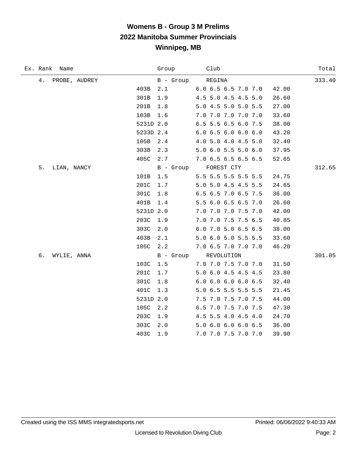| Ex. Rank Name       | Group     | Club                 |       | Total  |
|---------------------|-----------|----------------------|-------|--------|
| 4.<br>PROBE, AUDREY |           | B - Group<br>REGINA  |       | 333.40 |
| 403B                | 2.1       | 6.0 6.5 6.5 7.0 7.0  | 42.00 |        |
| 301B                | 1.9       | 4.5 5.0 4.5 4.5 5.0  | 26.60 |        |
| 201B                | 1.8       | 5.0 4.5 5.0 5.0 5.5  | 27.00 |        |
| 103B                | 1.6       | 7.0 7.0 7.0 7.0 7.0  | 33.60 |        |
|                     | 5231D 2.0 | 6.5 5.5 6.5 6.0 7.5  | 38.00 |        |
|                     | 5233D 2.4 | 6.06.56.06.06.0      | 43.20 |        |
| 105B                | 2.4       | 4.0 5.0 4.0 4.5 5.0  | 32.40 |        |
| 303B                | 2.3       | 5.0 6.0 5.5 5.0 6.0  | 37.95 |        |
| 405C                | 2.7       | 7.0 6.5 6.5 6.5 6.5  | 52.65 |        |
| 5.<br>LIAN, NANCY   |           | B - Group FOREST CTY |       | 312.65 |
| 101B                | 1.5       | 5.5 5.5 5.5 5.5 5.5  | 24.75 |        |
| 201C                | 1.7       | 5.0 5.0 4.5 4.5 5.5  | 24.65 |        |
| 301C                | 1.8       | 6.5 6.5 7.0 6.5 7.5  | 36.00 |        |
| 401B                | 1.4       | 5.5 6.0 6.5 6.5 7.0  | 26.60 |        |
|                     | 5231D 2.0 | 7.0 7.0 7.0 7.5 7.0  | 42.00 |        |
| 203C                | 1.9       | 7.0 7.0 7.5 7.5 6.5  | 40.85 |        |
| 303C                | 2.0       | 6.0 7.0 5.0 6.5 6.5  | 38.00 |        |
| 403B                | 2.1       | 5.0 6.0 5.0 5.5 5.5  | 33.60 |        |
| 105C                | 2.2       | 7.0 6.5 7.0 7.0 7.0  | 46.20 |        |
| б.<br>WYLIE, ANNA   |           | B - Group REVOLUTION |       | 301.05 |
| 103C                | 1.5       | 7.0 7.0 7.5 7.0 7.0  | 31.50 |        |
| 201C                | 1.7       | 5.0 6.0 4.5 4.5 4.5  | 23.80 |        |
| 301C                | 1.8       | 6.0 6.0 6.0 6.0 6.5  | 32.40 |        |
| 401C                | 1.3       | 5.0 6.5 5.5 5.5 5.5  | 21.45 |        |
|                     | 5231D 2.0 | 7.5 7.0 7.5 7.0 7.5  | 44.00 |        |
| 105C                | 2.2       | 6.5 7.0 7.5 7.0 7.5  | 47.30 |        |
| 203C                | 1.9       | 4.5 5.5 4.0 4.5 4.0  | 24.70 |        |
| 303C                | 2.0       | 5.0 6.0 6.0 6.0 6.5  | 36.00 |        |
| 403C                | 1.9       | 7.0 7.0 7.5 7.0 7.0  | 39.90 |        |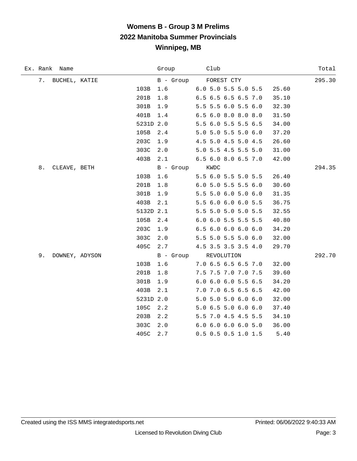|    | Ex. Rank Name    |           | Group          | Club                         | Total  |
|----|------------------|-----------|----------------|------------------------------|--------|
|    | 7. BUCHEL, KATIE |           |                | B - Group FOREST CTY         | 295.30 |
|    |                  | 103B      | 1.6            | 6.0 5.0 5.5 5.0 5.5<br>25.60 |        |
|    |                  | 201B      | 1.8            | 6.5 6.5 6.5 6.5 7.0<br>35.10 |        |
|    |                  | 301B      | 1.9            | 5.5 5.5 6.0 5.5 6.0<br>32.30 |        |
|    |                  | 401B      | 1.4            | 6.5 6.0 8.0 8.0 8.0<br>31.50 |        |
|    |                  | 5231D 2.0 |                | 5.5 6.0 5.5 5.5 6.5<br>34.00 |        |
|    |                  | 105B      | 2.4            | 5.0 5.0 5.5 5.0 6.0<br>37.20 |        |
|    |                  | 203C      | 1.9            | 4.5 5.0 4.5 5.0 4.5<br>26.60 |        |
|    |                  | 303C      | 2.0            | 5.0 5.5 4.5 5.5 5.0<br>31.00 |        |
|    |                  | 403B      | 2.1            | 6.5 6.0 8.0 6.5 7.0<br>42.00 |        |
| 8. | CLEAVE, BETH     |           | B - Group KWDC |                              | 294.35 |
|    |                  | 103B      | 1.6            | 5.5 6.0 5.5 5.0 5.5<br>26.40 |        |
|    |                  | 201B      | 1.8            | 6.0 5.0 5.5 5.5 6.0<br>30.60 |        |
|    |                  | 301B      | 1.9            | 5.5 5.0 6.0 5.0 6.0<br>31.35 |        |
|    |                  | 403B      | 2.1            | 5.5 6.0 6.0 6.0 5.5<br>36.75 |        |
|    |                  | 5132D 2.1 |                | 5.5 5.0 5.0 5.0 5.5<br>32.55 |        |
|    |                  | 105B      | 2.4            | 6.0 6.0 5.5 5.5 5.5<br>40.80 |        |
|    |                  | 203C      | 1.9            | 6.56.06.06.06.0<br>34.20     |        |
|    |                  | 303C      | 2.0            | 5.5 5.0 5.5 5.0 6.0<br>32.00 |        |
|    |                  | 405C      | 2.7            | 4.5 3.5 3.5 3.5 4.0<br>29.70 |        |
| 9. | DOWNEY, ADYSON   |           |                | B - Group REVOLUTION         | 292.70 |
|    |                  | 103B      | 1.6            | 7.0 6.5 6.5 6.5 7.0<br>32.00 |        |
|    |                  | 201B      | 1.8            | 7.5 7.5 7.0 7.0 7.5<br>39.60 |        |
|    |                  | 301B      | 1.9            | 6.0 6.0 6.0 5.5 6.5<br>34.20 |        |
|    |                  | 403B      | 2.1            | 7.0 7.0 6.5 6.5 6.5<br>42.00 |        |
|    |                  | 5231D 2.0 |                | 5.0 5.0 5.0 6.0 6.0<br>32.00 |        |
|    |                  | 105C      | 2.2            | 5.0 6.5 5.0 6.0 6.0<br>37.40 |        |
|    |                  | 203B      | 2.2            | 5.5 7.0 4.5 4.5 5.5<br>34.10 |        |
|    |                  | 303C      | 2.0            | 6.0 6.0 6.0 6.0 5.0<br>36.00 |        |
|    |                  | 405C      | 2.7            | $0.5$ 0.5 0.5 1.0 1.5        | 5.40   |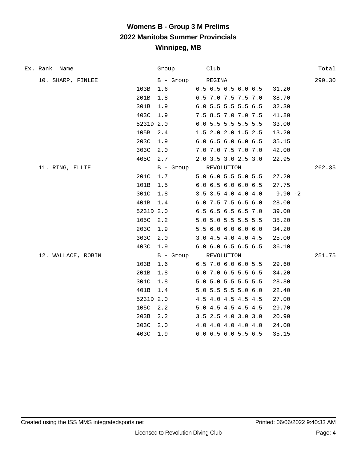| Ex. Rank Name      |           | Group     | Club                         | Total      |
|--------------------|-----------|-----------|------------------------------|------------|
| 10. SHARP, FINLEE  |           | B - Group | REGINA                       | 290.30     |
|                    | 103B      | 1.6       | 6.5 6.5 6.5 6.0 6.5<br>31.20 |            |
|                    | 201B      | 1.8       | 6.5 7.0 7.5 7.5 7.0<br>38.70 |            |
|                    | 301B      | 1.9       | 6.0 5.5 5.5 5.5 6.5<br>32.30 |            |
|                    | 403C      | 1.9       | 7.5 8.5 7.0 7.0 7.5<br>41.80 |            |
|                    | 5231D 2.0 |           | 6.0 5.5 5.5 5.5 5.5<br>33.00 |            |
|                    | 105B      | 2.4       | 1.5 2.0 2.0 1.5 2.5<br>13.20 |            |
|                    | 203C      | 1.9       | 6.06.56.06.06.5<br>35.15     |            |
|                    | 303C      | 2.0       | 7.0 7.0 7.5 7.0 7.0<br>42.00 |            |
|                    | 405C      | 2.7       | 2.0 3.5 3.0 2.5 3.0<br>22.95 |            |
| 11. RING, ELLIE    |           |           | B - Group REVOLUTION         | 262.35     |
|                    | 201C      | 1.7       | 5.0 6.0 5.5 5.0 5.5<br>27.20 |            |
|                    | 101B      | 1.5       | 6.0 6.5 6.0 6.0 6.5<br>27.75 |            |
|                    | 301C      | 1.8       | 3.5 3.5 4.0 4.0 4.0          | $9.90 - 2$ |
|                    | 401B      | 1.4       | 6.0 7.5 7.5 6.5 6.0<br>28.00 |            |
|                    | 5231D 2.0 |           | 6.5 6.5 6.5 6.5 7.0<br>39.00 |            |
|                    | 105C      | 2.2       | 5.0 5.0 5.5 5.5 5.5<br>35.20 |            |
|                    | 203C      | 1.9       | 5.5 6.0 6.0 6.0 6.0<br>34.20 |            |
|                    | 303C      | 2.0       | 3.0 4.5 4.0 4.0 4.5<br>25.00 |            |
|                    | 403C      | 1.9       | 6.0 6.0 6.5 6.5 6.5<br>36.10 |            |
| 12. WALLACE, ROBIN |           |           | B - Group REVOLUTION         | 251.75     |
|                    | 103B      | 1.6       | 6.5 7.0 6.0 6.0 5.5<br>29.60 |            |
|                    | 201B      | 1.8       | 6.0 7.0 6.5 5.5 6.5<br>34.20 |            |
|                    | 301C      | 1.8       | 5.0 5.0 5.5 5.5 5.5<br>28.80 |            |
|                    | 401B      | 1.4       | 5.0 5.5 5.5 5.0 6.0<br>22.40 |            |
|                    | 5231D 2.0 |           | 4.5 4.0 4.5 4.5 4.5<br>27.00 |            |
|                    | 105C      | 2.2       | 5.0 4.5 4.5 4.5 4.5<br>29.70 |            |
|                    | 203B      | 2.2       | 3.5 2.5 4.0 3.0 3.0<br>20.90 |            |
|                    | 303C      | 2.0       | 4.0 4.0 4.0 4.0 4.0<br>24.00 |            |
|                    | 403C      | 1.9       | 6.0 6.5 6.0 5.5 6.5<br>35.15 |            |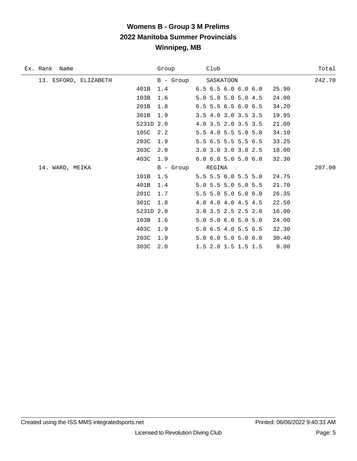| Ex. Rank Name         | Group       | Club                          | Total  |
|-----------------------|-------------|-------------------------------|--------|
| 13. ESFORD, ELIZABETH | $B - Group$ | SASKATOON                     | 242.70 |
|                       | 401B<br>1.4 | $6.5$ $6.5$ $6.0$ $6.0$ $6.0$ | 25.90  |
|                       | 103B<br>1.6 | 5.0 5.0 5.0 5.0 4.5           | 24.00  |
|                       | 201B<br>1.8 | 6.5 5.5 6.5 6.0 6.5           | 34.20  |
|                       | 301B<br>1.9 | 3.5 4.0 3.0 3.5 3.5           | 19.95  |
|                       | 5231D 2.0   | 4.0 3.5 2.0 3.5 3.5           | 21.00  |
|                       | 2.2<br>105C | 5.5 4.0 5.5 5.0 5.0           | 34.10  |
|                       | 203C<br>1.9 | 5.5 6.5 5.5 5.5 6.5           | 33.25  |
|                       | 303C<br>2.0 | 3.0 3.0 3.0 3.0 2.5           | 18.00  |
|                       | 403C<br>1.9 | $6.0$ $6.0$ $5.0$ $5.0$ $6.0$ | 32.30  |
| 14. WARD, MEIKA       | $B -$ Group | REGINA                        | 207.00 |
|                       | 101B<br>1.5 | 5.5 5.5 6.0 5.5 5.0           | 24.75  |
|                       | 401B<br>1.4 | 5.0 5.5 5.0 5.0 5.5           | 21.70  |
|                       | 201C<br>1.7 | 5.5 5.0 5.0 5.0 6.0           | 26.35  |
|                       | 301C<br>1.8 | 4.0 4.0 4.0 4.5 4.5           | 22.50  |
|                       | 5231D 2.0   | 3.0 3.5 2.5 2.5 2.0           | 16.00  |
|                       | 103B<br>1.6 | 5.0 5.0 6.0 5.0 5.0           | 24.00  |
|                       | 403C<br>1.9 | 5.0 6.5 4.0 5.5 6.5           | 32.30  |
|                       | 203C<br>1.9 | 5.0 6.0 5.0 5.0 6.0           | 30.40  |
|                       | 303C<br>2.0 | 1.5 2.0 1.5 1.5 1.5           | 9.00   |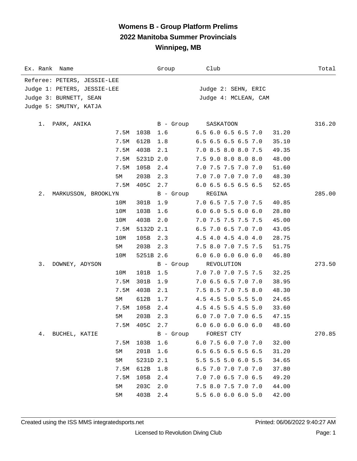| Ex. Rank Name               |      |           | Group     | Club                                | Total  |
|-----------------------------|------|-----------|-----------|-------------------------------------|--------|
| Referee: PETERS, JESSIE-LEE |      |           |           |                                     |        |
| Judge 1: PETERS, JESSIE-LEE |      |           |           | Judge 2: SEHN, ERIC                 |        |
| Judge 3: BURNETT, SEAN      |      |           |           | Judge 4: MCLEAN, CAM                |        |
| Judge 5: SMUTNY, KATJA      |      |           |           |                                     |        |
|                             |      |           |           |                                     |        |
| PARK, ANIKA<br>1.           |      |           | B - Group | SASKATOON                           | 316.20 |
|                             | 7.5M | 103B      | 1.6       | 6.5 6.0 6.5 6.5 7.0                 | 31.20  |
|                             | 7.5M | 612B      | 1.8       | 6.5 6.5 6.5 6.5 7.0                 | 35.10  |
|                             | 7.5M | 403B      | 2.1       | 7.0 8.5 8.0 8.0 7.5                 | 49.35  |
|                             | 7.5M | 5231D 2.0 |           | 7.5 9.0 8.0 8.0 8.0                 | 48.00  |
|                             | 7.5M | 105B      | 2.4       | 7.0 7.5 7.5 7.0 7.0                 | 51.60  |
|                             | 5M   | 203B      | 2.3       | 7.0 7.0 7.0 7.0 7.0                 | 48.30  |
|                             | 7.5M | 405C      | 2.7       | 6.0 6.5 6.5 6.5 6.5                 | 52.65  |
| 2.<br>MARKUSSON, BROOKLYN   |      |           | B - Group | REGINA                              | 285.00 |
|                             | 10M  | 301B      | 1.9       | 7.0 6.5 7.5 7.0 7.5                 | 40.85  |
|                             | 10M  | 103B      | 1.6       | $6.0$ $6.0$ $5.5$ $6.0$ $6.0$       | 28.80  |
|                             | 10M  | 403B      | 2.0       | 7.0 7.5 7.5 7.5 7.5                 | 45.00  |
|                             | 7.5M | 5132D 2.1 |           | 6.5 7.0 6.5 7.0 7.0                 | 43.05  |
|                             | 10M  | 105B      | 2.3       | 4.5 4.0 4.5 4.0 4.0                 | 28.75  |
|                             | 5M   | 203B      | 2.3       | 7.5 8.0 7.0 7.5 7.5                 | 51.75  |
|                             | 10M  | 5251B 2.6 |           | 6.06.06.06.06.0                     | 46.80  |
| 3.<br>DOWNEY, ADYSON        |      |           | B - Group | REVOLUTION                          | 273.50 |
|                             | 10M  | 101B      | 1.5       | 7.0 7.0 7.0 7.5 7.5                 | 32.25  |
|                             | 7.5M | 301B      | 1.9       | 7.0 6.5 6.5 7.0 7.0                 | 38.95  |
|                             | 7.5M | 403B      | 2.1       | 7.5 8.5 7.0 7.5 8.0                 | 48.30  |
|                             | 5M   | 612B      | 1.7       | 4.5 4.5 5.0 5.5 5.0                 | 24.65  |
|                             | 7.5M | 105B      | 2.4       | 4.5 4.5 5.5 4.5 5.0                 | 33.60  |
|                             | 5М   | 203B      | 2.3       | 6.0 7.0 7.0 7.0 6.5                 | 47.15  |
|                             | 7.5M |           | 405C 2.7  | $6.0$ $6.0$ $6.0$ $6.0$ $6.0$ $6.0$ | 48.60  |
| BUCHEL, KATIE<br>4.         |      |           |           | B - Group FOREST CTY                | 270.85 |
|                             | 7.5M | 103B      | 1.6       | 6.0 7.5 6.0 7.0 7.0                 | 32.00  |
|                             | 5M   | 201B      | 1.6       | 6.5 6.5 6.5 6.5 6.5                 | 31.20  |
|                             | 5M   | 5231D 2.1 |           | 5.5 5.5 5.0 6.0 5.5                 | 34.65  |
|                             | 7.5M | 612B      | 1.8       | 6.5 7.0 7.0 7.0 7.0                 | 37.80  |
|                             | 7.5M | 105B      | 2.4       | 7.0 7.0 6.5 7.0 6.5                 | 49.20  |
|                             | 5M   | 203C      | 2.0       | 7.5 8.0 7.5 7.0 7.0                 | 44.00  |
|                             | 5M   | 403B      | 2.4       | 5.5 6.0 6.0 6.0 5.0                 | 42.00  |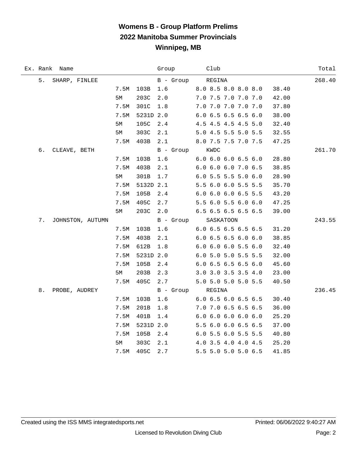|    | Ex. Rank Name    |      |           | Group            | Club                                   | Total  |
|----|------------------|------|-----------|------------------|----------------------------------------|--------|
| 5. | SHARP, FINLEE    |      |           | B - Group        | REGINA                                 | 268.40 |
|    |                  | 7.5M | 103B      | 1.6              | 8.0 8.5 8.0 8.0 8.0<br>38.40           |        |
|    |                  | 5M   | 203C      | 2.0              | 7.0 7.5 7.0 7.0 7.0<br>42.00           |        |
|    |                  | 7.5M | 301C      | 1.8              | 7.0 7.0 7.0 7.0 7.0<br>37.80           |        |
|    |                  | 7.5M | 5231D 2.0 |                  | 6.0 6.5 6.5 6.5 6.0<br>38.00           |        |
|    |                  | 5М   | 105C      | 2.4              | 4.5 4.5 4.5 4.5 5.0<br>32.40           |        |
|    |                  | 5M   | 303C      | 2.1              | 5.0 4.5 5.5 5.0 5.5<br>32.55           |        |
|    |                  | 7.5M | 403B      | 2.1              | 8.0 7.5 7.5 7.0 7.5<br>47.25           |        |
| б. | CLEAVE, BETH     |      |           | B - Group KWDC   |                                        | 261.70 |
|    |                  | 7.5M | 103B      | 1.6              | $6.0$ $6.0$ $6.0$ $6.5$ $6.0$<br>28.80 |        |
|    |                  | 7.5M | 403B      | 2.1              | 6.0 6.0 6.0 7.0 6.5<br>38.85           |        |
|    |                  | 5M   | 301B      | 1.7              | 6.0 5.5 5.5 5.0 6.0<br>28.90           |        |
|    |                  | 7.5M | 5132D 2.1 |                  | 5.5 6.0 6.0 5.5 5.5<br>35.70           |        |
|    |                  | 7.5M | 105B      | 2.4              | 6.0 6.0 6.0 6.5 5.5<br>43.20           |        |
|    |                  | 7.5M | 405C      | 2.7              | 5.5 6.0 5.5 6.0 6.0<br>47.25           |        |
|    |                  | 5M   | 203C      | 2.0              | 6.5 6.5 6.5 6.5 6.5<br>39.00           |        |
| 7. | JOHNSTON, AUTUMN |      |           |                  | B - Group SASKATOON                    | 243.55 |
|    |                  | 7.5M | 103B      | 1.6              | 6.0 6.5 6.5 6.5 6.5<br>31.20           |        |
|    |                  | 7.5M | 403B      | 2.1              | 6.06.56.56.06.0<br>38.85               |        |
|    |                  | 7.5M | 612B      | 1.8              | $6.0$ $6.0$ $6.0$ $5.5$ $6.0$<br>32.40 |        |
|    |                  | 7.5M | 5231D 2.0 |                  | 6.0 5.0 5.0 5.5 5.5<br>32.00           |        |
|    |                  | 7.5M | 105B      | 2.4              | 6.0 6.5 6.5 6.5 6.0<br>45.60           |        |
|    |                  | 5M   | 203B      | 2.3              | 3.0 3.0 3.5 3.5 4.0<br>23.00           |        |
|    |                  | 7.5M | 405C      | 2.7              | 5.0 5.0 5.0 5.0 5.5<br>40.50           |        |
| 8. | PROBE, AUDREY    |      |           | B - Group REGINA |                                        | 236.45 |
|    |                  | 7.5M | 103B      | $1.6\,$          | 6.0 6.5 6.0 6.5 6.5<br>30.40           |        |
|    |                  | 7.5M | 201B      | $1.8$            | 7.0 7.0 6.5 6.5 6.5<br>36.00           |        |
|    |                  | 7.5M | 401B      | 1.4              | 6.06.06.06.06.0<br>25.20               |        |
|    |                  | 7.5M | 5231D 2.0 |                  | 5.5 6.0 6.0 6.5 6.5<br>37.00           |        |
|    |                  | 7.5M | 105B      | $2.4\,$          | 6.0 5.5 6.0 5.5 5.5<br>40.80           |        |
|    |                  | 5M   | 303C      | 2.1              | 4.0 3.5 4.0 4.0 4.5<br>25.20           |        |
|    |                  | 7.5M | 405C      | 2.7              | 5.5 5.0 5.0 5.0 6.5<br>41.85           |        |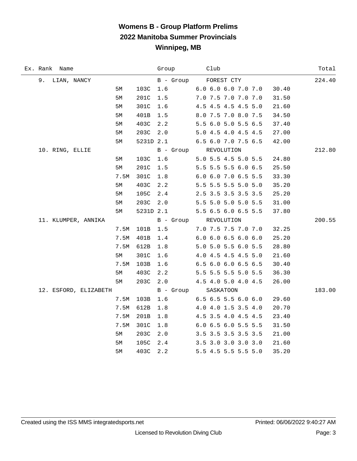| Ex. Rank Name         |      |           | Group     | Club                         | Total  |
|-----------------------|------|-----------|-----------|------------------------------|--------|
| 9.<br>LIAN, NANCY     |      |           | B - Group | FOREST CTY                   | 224.40 |
|                       | 5M   | 103C      | 1.6       | 6.0 6.0 6.0 7.0 7.0<br>30.40 |        |
|                       | 5М   | 201C      | $1.5$     | 7.0 7.5 7.0 7.0 7.0<br>31.50 |        |
|                       | 5M   | 301C      | 1.6       | 4.5 4.5 4.5 4.5 5.0<br>21.60 |        |
|                       | 5M   | 401B      | 1.5       | 8.0 7.5 7.0 8.0 7.5<br>34.50 |        |
|                       | 5М   | 403C      | 2.2       | 5.5 6.0 5.0 5.5 6.5<br>37.40 |        |
|                       | 5M   | 203C      | 2.0       | 5.0 4.5 4.0 4.5 4.5<br>27.00 |        |
|                       | 5M   | 5231D 2.1 |           | 6.5 6.0 7.0 7.5 6.5<br>42.00 |        |
| 10. RING, ELLIE       |      |           |           | B - Group REVOLUTION         | 212.80 |
|                       | 5M   | 103C      | 1.6       | 5.0 5.5 4.5 5.0 5.5<br>24.80 |        |
|                       | 5M   | 201C      | 1.5       | 5.5 5.5 5.5 6.0 6.5<br>25.50 |        |
|                       | 7.5M | 301C      | 1.8       | 6.0 6.0 7.0 6.5 5.5<br>33.30 |        |
|                       | 5М   | 403C      | 2.2       | 5.5 5.5 5.5 5.0 5.0<br>35.20 |        |
|                       | 5М   | 105C      | 2.4       | 2.5 3.5 3.5 3.5 3.5<br>25.20 |        |
|                       | 5М   | 203C      | 2.0       | 5.5 5.0 5.0 5.0 5.5<br>31.00 |        |
|                       | 5М   | 5231D 2.1 |           | 5.5 6.5 6.0 6.5 5.5<br>37.80 |        |
| 11. KLUMPER, ANNIKA   |      |           |           | B - Group REVOLUTION         | 200.55 |
|                       | 7.5M | 101B      | $1.5\,$   | 7.0 7.5 7.5 7.0 7.0<br>32.25 |        |
|                       | 7.5M | 401B      | 1.4       | 6.06.06.56.06.0<br>25.20     |        |
|                       | 7.5M | 612B      | $1.8$     | 5.0 5.0 5.5 6.0 5.5<br>28.80 |        |
|                       | 5M   | 301C      | 1.6       | 4.0 4.5 4.5 4.5 5.0<br>21.60 |        |
|                       | 7.5M | 103B      | 1.6       | 6.5 6.0 6.0 6.5 6.5<br>30.40 |        |
|                       | 5M   | 403C      | 2.2       | 5.5 5.5 5.5 5.0 5.5<br>36.30 |        |
|                       | 5M   | 203C      | 2.0       | 4.5 4.0 5.0 4.0 4.5<br>26.00 |        |
| 12. ESFORD, ELIZABETH |      |           |           | B - Group SASKATOON          | 183.00 |
|                       | 7.5M | 103B      | 1.6       | 6.5 6.5 5.5 6.0 6.0<br>29.60 |        |
|                       | 7.5M | 612B      | 1.8       | 4.0 4.0 1.5 3.5 4.0<br>20.70 |        |
|                       | 7.5M | 201B      | 1.8       | 4.5 3.5 4.0 4.5 4.5<br>23.40 |        |
|                       | 7.5M | 301C      | 1.8       | 6.0 6.5 6.0 5.5 5.5<br>31.50 |        |
|                       | 5M   | 203C      | 2.0       | 3.5 3.5 3.5 3.5 3.5<br>21.00 |        |
|                       | 5M   | 105C      | 2.4       | 3.5 3.0 3.0 3.0 3.0<br>21.60 |        |
|                       | 5М   | 403C      | 2.2       | 5.5 4.5 5.5 5.5 5.0<br>35.20 |        |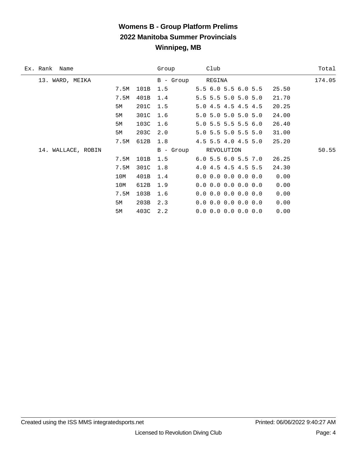| Ex. Rank Name      |      |      | Group       | Club                  | Total  |
|--------------------|------|------|-------------|-----------------------|--------|
| 13. WARD, MEIKA    |      |      | B - Group   | REGINA                | 174.05 |
|                    | 7.5M | 101B | 1.5         | 5.5 6.0 5.5 6.0 5.5   | 25.50  |
|                    | 7.5M | 401B | 1.4         | 5.5 5.5 5.0 5.0 5.0   | 21.70  |
|                    | 5M   | 201C | 1.5         | 5.0 4.5 4.5 4.5 4.5   | 20.25  |
|                    | 5M   | 301C | 1.6         | 5.0 5.0 5.0 5.0 5.0   | 24.00  |
|                    | 5М   | 103C | 1.6         | 5.0 5.5 5.5 5.5 6.0   | 26.40  |
|                    | 5М   | 203C | 2.0         | 5.0 5.5 5.0 5.5 5.0   | 31.00  |
|                    | 7.5M | 612B | 1.8         | 4.5 5.5 4.0 4.5 5.0   | 25.20  |
| 14. WALLACE, ROBIN |      |      | $B -$ Group | REVOLUTION            | 50.55  |
|                    | 7.5M | 101B | 1.5         | 6.0 5.5 6.0 5.5 7.0   | 26.25  |
|                    | 7.5M | 301C | 1.8         | 4.0 4.5 4.5 4.5 5.5   | 24.30  |
|                    | 10M  | 401B | 1.4         | $0.0$ 0.0 0.0 0.0 0.0 | 0.00   |
|                    | 10M  | 612B | 1.9         | $0.0$ 0.0 0.0 0.0 0.0 | 0.00   |
|                    | 7.5M | 103B | 1.6         | $0.0$ 0.0 0.0 0.0 0.0 | 0.00   |
|                    | 5М   | 203B | 2.3         | $0.0$ 0.0 0.0 0.0 0.0 | 0.00   |
|                    | 5M   | 403C | 2.2         | $0.0$ 0.0 0.0 0.0 0.0 | 0.00   |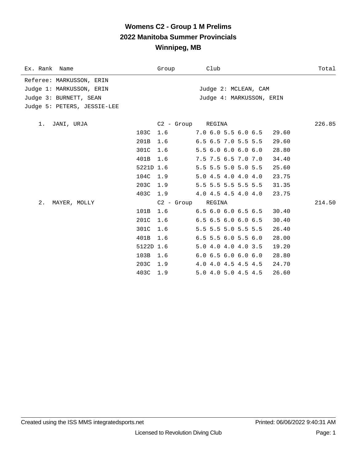| Ex. Rank Name               |           | Group             | Club                                   | Total  |
|-----------------------------|-----------|-------------------|----------------------------------------|--------|
| Referee: MARKUSSON, ERIN    |           |                   |                                        |        |
| Judge 1: MARKUSSON, ERIN    |           |                   | Judge 2: MCLEAN, CAM                   |        |
| Judge 3: BURNETT, SEAN      |           |                   | Judge 4: MARKUSSON, ERIN               |        |
| Judge 5: PETERS, JESSIE-LEE |           |                   |                                        |        |
| JANI, URJA<br>1.            |           | C2 - Group REGINA |                                        | 226.85 |
|                             | 103C      | 1.6               | $7.0$ 6.0 5.5 6.0 6.5<br>29.60         |        |
|                             |           |                   |                                        |        |
|                             | 201B      | 1.6               | 6.5 6.5 7.0 5.5 5.5<br>29.60           |        |
|                             | 301C      | 1.6               | 5.5 6.0 6.0 6.0 6.0<br>28.80           |        |
|                             | 401B      | 1.6               | 7.5 7.5 6.5 7.0 7.0<br>34.40           |        |
|                             | 5221D 1.6 |                   | 5.5 5.5 5.0 5.0 5.5<br>25.60           |        |
|                             | 104C      | 1.9               | 5.0 4.5 4.0 4.0 4.0<br>23.75           |        |
|                             | 203C      | 1.9               | 5.5 5.5 5.5 5.5 5.5<br>31.35           |        |
|                             | 403C      | 1.9               | 4.0 4.5 4.5 4.0 4.0<br>23.75           |        |
| 2.<br>MAYER, MOLLY          |           | C2 - Group        | REGINA                                 | 214.50 |
|                             | 101B      | 1.6               | $6.5$ $6.0$ $6.0$ $6.5$ $6.5$<br>30.40 |        |
|                             | 201C      | 1.6               | 6.5 6.5 6.0 6.0 6.5<br>30.40           |        |
|                             | 301C      | 1.6               | 5.5 5.5 5.0 5.5 5.5<br>26.40           |        |
|                             | 401B      | 1.6               | $6.5$ 5.5 6.0 5.5 6.0<br>28.00         |        |
|                             | 5122D 1.6 |                   | 5.0 4.0 4.0 4.0 3.5<br>19.20           |        |
|                             | 103B      | 1.6               | 6.06.56.06.06.0<br>28.80               |        |
|                             | 203C      | 1.9               | 4.0 4.0 4.5 4.5 4.5<br>24.70           |        |
|                             | 403C 1.9  |                   | 5.0 4.0 5.0 4.5 4.5<br>26.60           |        |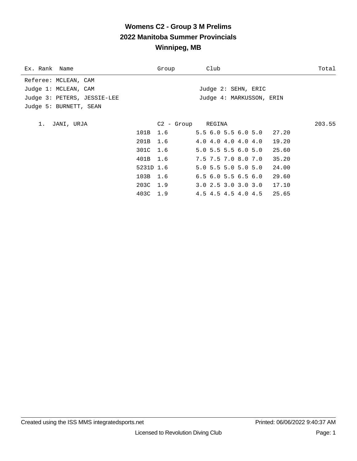| Ex. Rank Name               |           | Group             | Club                                   | Total  |
|-----------------------------|-----------|-------------------|----------------------------------------|--------|
| Referee: MCLEAN, CAM        |           |                   |                                        |        |
| Judge 1: MCLEAN, CAM        |           |                   | Judge 2: SEHN, ERIC                    |        |
| Judge 3: PETERS, JESSIE-LEE |           |                   | Judge 4: MARKUSSON, ERIN               |        |
| Judge 5: BURNETT, SEAN      |           |                   |                                        |        |
|                             |           |                   |                                        |        |
| JANI, URJA<br>1.            |           | C2 - Group REGINA |                                        | 203.55 |
|                             | 101B 1.6  |                   | 5.56.05.56.05.027.20                   |        |
|                             | 201B 1.6  |                   | 4.0 4.0 4.0 4.0 4.0<br>19.20           |        |
|                             | 301C 1.6  |                   | 5.0 5.5 5.5 6.0 5.0<br>25.60           |        |
|                             | 401B 1.6  |                   | 7.5 7.5 7.0 8.0 7.0<br>35.20           |        |
|                             | 5231D 1.6 |                   | $5.0$ 5.5 5.0 5.0 5.0<br>24.00         |        |
|                             | 103B 1.6  |                   | $6.5$ $6.0$ $5.5$ $6.5$ $6.0$<br>29.60 |        |
|                             | 203C 1.9  |                   | $3.0$ $2.5$ $3.0$ $3.0$ $3.0$<br>17.10 |        |
|                             | 403C 1.9  |                   | 4.5 4.5 4.5 4.0 4.5 25.65              |        |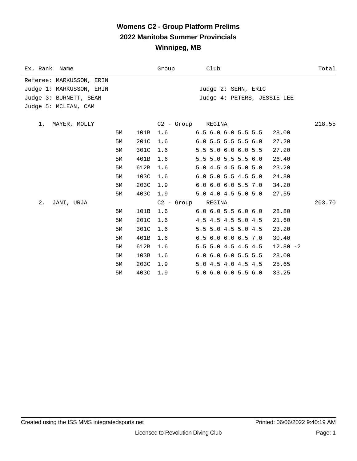| Ex. Rank Name            |    |      | Group             | Club                                   | Total  |
|--------------------------|----|------|-------------------|----------------------------------------|--------|
| Referee: MARKUSSON, ERIN |    |      |                   |                                        |        |
| Judge 1: MARKUSSON, ERIN |    |      |                   | Judge 2: SEHN, ERIC                    |        |
| Judge 3: BURNETT, SEAN   |    |      |                   | Judge 4: PETERS, JESSIE-LEE            |        |
| Judge 5: MCLEAN, CAM     |    |      |                   |                                        |        |
|                          |    |      |                   |                                        |        |
| 1. MAYER, MOLLY          |    |      | C2 - Group REGINA |                                        | 218.55 |
|                          | 5M | 101B | 1.6               | 6.5 6.0 6.0 5.5 5.5<br>28.00           |        |
|                          | 5M | 201C | 1.6               | $6.0$ 5.5 5.5 5.5 6.0<br>27.20         |        |
|                          | 5М | 301C | 1.6               | 5.5 5.0 6.0 6.0 5.5<br>27.20           |        |
|                          | 5М | 401B | 1.6               | 5.5 5.0 5.5 5.5 6.0<br>26.40           |        |
|                          | 5М | 612B | 1.6               | 5.0 4.5 4.5 5.0 5.0<br>23.20           |        |
|                          | 5M | 103C | 1.6               | $6.0$ 5.0 5.5 4.5 5.0<br>24.80         |        |
|                          | 5М | 203C | 1.9               | $6.0$ $6.0$ $6.0$ $5.5$ $7.0$<br>34.20 |        |
|                          | 5M | 403C | 1.9               | 5.0 4.0 4.5 5.0 5.0<br>27.55           |        |
| 2.<br>JANI, URJA         |    |      | C2 - Group        | REGINA                                 | 203.70 |
|                          | 5М | 101B | 1.6               | $6.0$ $6.0$ $5.5$ $6.0$ $6.0$<br>28.80 |        |
|                          | 5M | 201C | 1.6               | 4.5 4.5 4.5 5.0 4.5<br>21.60           |        |
|                          | 5М | 301C | 1.6               | 5.5 5.0 4.5 5.0 4.5<br>23.20           |        |
|                          | 5М | 401B | 1.6               | $6.5$ $6.0$ $6.0$ $6.5$ $7.0$<br>30.40 |        |
|                          | 5M | 612B | 1.6               | 5.5 5.0 4.5 4.5 4.5<br>$12.80 - 2$     |        |
|                          | 5M | 103B | 1.6               | $6.0$ $6.0$ $6.0$ $5.5$ $5.5$<br>28.00 |        |
|                          | 5M | 203C | 1.9               | 5.0 4.5 4.0 4.5 4.5<br>25.65           |        |
|                          | 5M | 403C | 1.9               | 5.0 6.0 6.0 5.5 6.0<br>33.25           |        |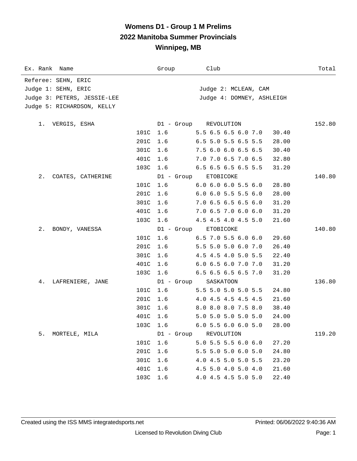# **Womens D1 - Group 1 M Prelims 2022 Manitoba Summer Provincials Winnipeg, MB**

| Ex. Rank Name               |          | Group      | Club                          | Total  |
|-----------------------------|----------|------------|-------------------------------|--------|
| Referee: SEHN, ERIC         |          |            |                               |        |
| Judge 1: SEHN, ERIC         |          |            | Judge 2: MCLEAN, CAM          |        |
| Judge 3: PETERS, JESSIE-LEE |          |            | Judge 4: DOMNEY, ASHLEIGH     |        |
| Judge 5: RICHARDSON, KELLY  |          |            |                               |        |
|                             |          |            |                               |        |
| 1. VERGIS, ESHA             |          |            | D1 - Group REVOLUTION         | 152.80 |
|                             | 101C 1.6 |            | 5.5 6.5 6.5 6.0 7.0           | 30.40  |
|                             | 201C     | 1.6        | 6.5 5.0 5.5 6.5 5.5           | 28.00  |
|                             | 301C     | 1.6        | 7.5 6.0 6.0 6.5 6.5           | 30.40  |
|                             | 401C     | 1.6        | 7.0 7.0 6.5 7.0 6.5           | 32.80  |
|                             | 103C     | 1.6        | 6.5 6.5 6.5 6.5 5.5           | 31.20  |
| 2.<br>COATES, CATHERINE     |          | D1 - Group | ETOBICOKE                     | 140.80 |
|                             | 101C     | 1.6        | $6.0$ $6.0$ $6.0$ $5.5$ $6.0$ | 28.80  |
|                             | 201C     | 1.6        | $6.0$ $6.0$ $5.5$ $5.5$ $6.0$ | 28.00  |
|                             | 301C     | 1.6        | 7.0 6.5 6.5 6.5 6.0           | 31.20  |
|                             | 401C     | 1.6        | 7.0 6.5 7.0 6.0 6.0           | 31.20  |
|                             | 103C     | 1.6        | 4.5 4.5 4.0 4.5 5.0           | 21.60  |
| 2.<br>BONDY, VANESSA        |          | D1 - Group | ETOBICOKE                     | 140.80 |
|                             | 101C     | 1.6        | $6.5$ 7.0 5.5 6.0 6.0         | 29.60  |
|                             | 201C     | 1.6        | 5.5 5.0 5.0 6.0 7.0           | 26.40  |
|                             | 301C     | 1.6        | 4.5 4.5 4.0 5.0 5.5           | 22.40  |
|                             | 401C     | 1.6        | 6.0 6.5 6.0 7.0 7.0           | 31.20  |
|                             | 103C     | 1.6        | 6.5 6.5 6.5 6.5 7.0           | 31.20  |
| 4.<br>LAFRENIERE, JANE      |          | D1 - Group | SASKATOON                     | 136.80 |
|                             | 101C     | 1.6        | 5.5 5.0 5.0 5.0 5.5           | 24.80  |
|                             | 201C     | 1.6        | 4.0 4.5 4.5 4.5 4.5           | 21.60  |
|                             | 301C     | 1.6        | 8.0 8.0 8.0 7.5 8.0           | 38.40  |
|                             | 401C 1.6 |            | 5.0 5.0 5.0 5.0 5.0           | 24.00  |
|                             | 103C     | 1.6        | 6.0 5.5 6.0 6.0 5.0           | 28.00  |
| 5.<br>MORTELE, MILA         |          |            | D1 - Group REVOLUTION         | 119.20 |
|                             | 101C     | 1.6        | 5.0 5.5 5.5 6.0 6.0           | 27.20  |
|                             | 201C     | 1.6        | 5.5 5.0 5.0 6.0 5.0           | 24.80  |
|                             | 301C     | 1.6        | 4.0 4.5 5.0 5.0 5.5           | 23.20  |
|                             | 401C     | 1.6        | 4.5 5.0 4.0 5.0 4.0           | 21.60  |
|                             | 103C     | 1.6        | 4.0 4.5 4.5 5.0 5.0           | 22.40  |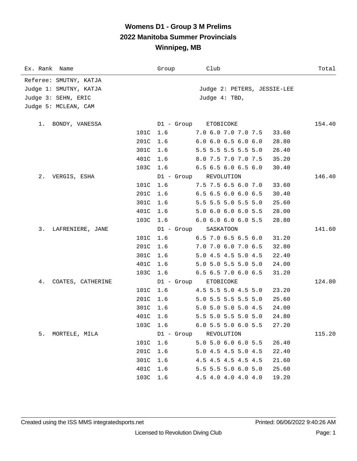# **Womens D1 - Group 3 M Prelims 2022 Manitoba Summer Provincials Winnipeg, MB**

| Ex. Rank Name           | Group      | Club                          | Total  |
|-------------------------|------------|-------------------------------|--------|
| Referee: SMUTNY, KATJA  |            |                               |        |
| Judge 1: SMUTNY, KATJA  |            | Judge 2: PETERS, JESSIE-LEE   |        |
| Judge 3: SEHN, ERIC     |            | Judge 4: TBD,                 |        |
| Judge 5: MCLEAN, CAM    |            |                               |        |
|                         |            |                               |        |
| BONDY, VANESSA<br>1.    |            | D1 - Group ETOBICOKE          | 154.40 |
|                         | 101C 1.6   | 7.0 6.0 7.0 7.0 7.5           | 33.60  |
| 201C                    | 1.6        | $6.0$ $6.0$ $6.5$ $6.0$ $6.0$ | 28.80  |
| 301C                    | 1.6        | 5.5 5.5 5.5 5.5 5.0           | 26.40  |
| 401C                    | 1.6        | 8.0 7.5 7.0 7.0 7.5           | 35.20  |
| 103C                    | 1.6        | $6.5$ $6.5$ $6.0$ $6.5$ $6.0$ | 30.40  |
| 2.<br>VERGIS, ESHA      | D1 - Group | REVOLUTION                    | 146.40 |
| 101C                    | 1.6        | 7.5 7.5 6.5 6.0 7.0           | 33.60  |
| 201C                    | 1.6        | $6.5$ $6.5$ $6.0$ $6.0$ $6.5$ | 30.40  |
| 301C                    | 1.6        | 5.5 5.5 5.0 5.5 5.0           | 25.60  |
| 401C                    | 1.6        | 5.0 6.0 6.0 6.0 5.5           | 28.00  |
| 103C                    | 1.6        | 6.0 6.0 6.0 6.0 5.5           | 28.80  |
| 3.<br>LAFRENIERE, JANE  | D1 - Group | SASKATOON                     | 141.60 |
| 101C                    | 1.6        | $6.5$ 7.0 6.5 6.5 6.0         | 31.20  |
| 201C                    | 1.6        | 7.0 7.0 6.0 7.0 6.5           | 32.80  |
| 301C                    | 1.6        | 5.0 4.5 4.5 5.0 4.5           | 22.40  |
| 401C                    | 1.6        | 5.0 5.0 5.5 5.0 5.0           | 24.00  |
| 103C                    | 1.6        | 6.5 6.5 7.0 6.0 6.5           | 31.20  |
| 4.<br>COATES, CATHERINE | D1 - Group | ETOBICOKE                     | 124.80 |
| 101C                    | 1.6        | 4.5 5.5 5.0 4.5 5.0           | 23.20  |
| 201C                    | 1.6        | 5.0 5.5 5.5 5.5 5.0           | 25.60  |
| 301C                    | 1.6        | 5.0 5.0 5.0 5.0 4.5           | 24.00  |
| 401C                    | 1.6        | 5.5 5.0 5.5 5.0 5.0           | 24.80  |
|                         | 103C 1.6   | 6.0 5.5 5.0 6.0 5.5           | 27.20  |
| 5.<br>MORTELE, MILA     |            | D1 - Group REVOLUTION         | 115.20 |
| 101C                    | 1.6        | 5.0 5.0 6.0 6.0 5.5           | 26.40  |
| 201C                    | 1.6        | 5.0 4.5 4.5 5.0 4.5           | 22.40  |
| 301C                    | 1.6        | 4.5 4.5 4.5 4.5 4.5           | 21.60  |
| 401C                    | 1.6        | 5.5 5.5 5.0 6.0 5.0           | 25.60  |
| 103C                    | 1.6        | 4.5 4.0 4.0 4.0 4.0           | 19.20  |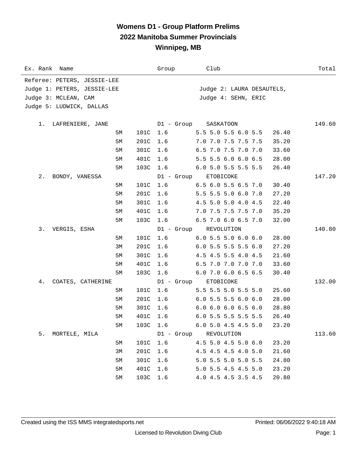## **Womens D1 - Group Platform Prelims 2022 Manitoba Summer Provincials Winnipeg, MB**

| Ex. Rank Name               | Group      | Club                                   | Total  |
|-----------------------------|------------|----------------------------------------|--------|
| Referee: PETERS, JESSIE-LEE |            |                                        |        |
| Judge 1: PETERS, JESSIE-LEE |            | Judge 2: LAURA DESAUTELS,              |        |
| Judge 3: MCLEAN, CAM        |            | Judge 4: SEHN, ERIC                    |        |
| Judge 5: LUDWICK, DALLAS    |            |                                        |        |
|                             |            |                                        |        |
| 1. LAFRENIERE, JANE         |            | D1 - Group SASKATOON                   | 149.60 |
| 5M                          | 101C 1.6   | 5.5 5.0 5.5 6.0 5.5<br>26.40           |        |
| 201C<br>5М                  | 1.6        | 7.0 7.0 7.5 7.5 7.5<br>35.20           |        |
| 301C<br>5М                  | 1.6        | 6.5 7.0 7.5 7.0 7.0<br>33.60           |        |
| 401C<br>5M                  | 1.6        | 5.5 5.5 6.0 6.0 6.5<br>28.00           |        |
| 103C<br>5М                  | 1.6        | 6.0 5.0 5.5 5.5 5.5<br>26.40           |        |
| 2.<br>BONDY, VANESSA        | D1 - Group | ETOBICOKE                              | 147.20 |
| 101C<br>5M                  | 1.6        | 6.5 6.0 5.5 6.5 7.0<br>30.40           |        |
| 201C<br>5M                  | 1.6        | 5.5 5.5 5.0 6.0 7.0<br>27.20           |        |
| 5M<br>301C                  | 1.6        | 4.5 5.0 5.0 4.0 4.5<br>22.40           |        |
| 401C<br>5M                  | 1.6        | 7.0 7.5 7.5 7.5 7.0<br>35.20           |        |
| 103C<br>5М                  | 1.6        | 6.5 7.0 6.0 6.5 7.0<br>32.00           |        |
| 3.<br>VERGIS, ESHA          | D1 - Group | REVOLUTION                             | 140.80 |
| 101C<br>5M                  | 1.6        | $6.0$ 5.5 5.0 6.0 6.0<br>28.00         |        |
| 201C<br>ЗМ                  | 1.6        | $6.0$ 5.5 5.5 5.5 6.0<br>27.20         |        |
| 301C<br>5М                  | 1.6        | 4.5 4.5 5.5 4.0 4.5<br>21.60           |        |
| 401C<br>5M                  | 1.6        | 6.5 7.0 7.0 7.0 7.0<br>33.60           |        |
| 5М<br>103C                  | 1.6        | 6.0 7.0 6.0 6.5 6.5<br>30.40           |        |
| 4.<br>COATES, CATHERINE     | D1 - Group | ETOBICOKE                              | 132.00 |
| 5М<br>101C                  | 1.6        | 5.5 5.5 5.0 5.5 5.0<br>25.60           |        |
| 201C<br>5М                  | 1.6        | $6.0$ 5.5 5.5 6.0 6.0<br>28.00         |        |
| 5М                          | 301C 1.6   | $6.0$ $6.0$ $6.0$ $6.5$ $6.0$<br>28.80 |        |
| 5М                          | 401C 1.6   | 6.0 5.5 5.5 5.5 5.5<br>26.40           |        |
| 5M                          | 103C 1.6   | $6.0$ 5.0 4.5 4.5 5.0<br>23.20         |        |
| 5.<br>MORTELE, MILA         |            | D1 - Group REVOLUTION                  | 113.60 |
| 101C<br>5M                  | 1.6        | 4.5 5.0 4.5 5.0 6.0<br>23.20           |        |
| 3M<br>201C                  | 1.6        | 4.5 4.5 4.5 4.0 5.0<br>21.60           |        |
| 301C<br>5М                  | 1.6        | 5.0 5.5 5.0 5.0 5.5<br>24.80           |        |
| 401C<br>5M                  | 1.6        | 5.0 5.5 4.5 4.5 5.0<br>23.20           |        |
| 5М                          | 103C 1.6   | 4.0 4.5 4.5 3.5 4.5<br>20.80           |        |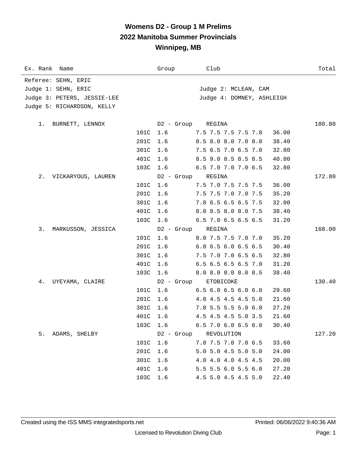# **Womens D2 - Group 1 M Prelims 2022 Manitoba Summer Provincials Winnipeg, MB**

| Ex. Rank Name               |      | Group      | Club                          | Total  |
|-----------------------------|------|------------|-------------------------------|--------|
| Referee: SEHN, ERIC         |      |            |                               |        |
| Judge 1: SEHN, ERIC         |      |            | Judge 2: MCLEAN, CAM          |        |
| Judge 3: PETERS, JESSIE-LEE |      |            | Judge 4: DOMNEY, ASHLEIGH     |        |
| Judge 5: RICHARDSON, KELLY  |      |            |                               |        |
|                             |      |            |                               |        |
| 1. BURNETT, LENNOX          |      | D2 - Group | REGINA                        | 180.80 |
|                             | 101C | 1.6        | 7.5 7.5 7.5 7.5 7.0           | 36.00  |
|                             | 201C | 1.6        | 8.5 8.0 8.0 7.0 8.0           | 38.40  |
|                             | 301C | 1.6        | 7.5 6.5 7.0 6.5 7.0           | 32.80  |
|                             | 401C | 1.6        | 8.5 9.0 8.5 8.5 8.5           | 40.80  |
|                             | 103C | 1.6        | 6.5 7.0 7.0 7.0 6.5           | 32.80  |
| 2.<br>VICKARYOUS, LAUREN    |      | D2 - Group | REGINA                        | 172.80 |
|                             | 101C | 1.6        | 7.5 7.0 7.5 7.5 7.5           | 36.00  |
|                             | 201C | 1.6        | 7.5 7.5 7.0 7.0 7.5           | 35.20  |
|                             | 301C | 1.6        | 7.0 6.5 6.5 6.5 7.5           | 32.00  |
|                             | 401C | 1.6        | 8.0 8.5 8.0 8.0 7.5           | 38.40  |
|                             | 103C | 1.6        | 6.5 7.0 6.5 6.5 6.5           | 31.20  |
| 3.<br>MARKUSSON, JESSICA    |      | D2 - Group | REGINA                        | 168.00 |
|                             | 101C | 1.6        | 8.0 7.5 7.5 7.0 7.0           | 35.20  |
|                             | 201C | 1.6        | $6.0$ 6.5 6.0 6.5 6.5         | 30.40  |
|                             | 301C | 1.6        | 7.5 7.0 7.0 6.5 6.5           | 32.80  |
|                             | 401C | 1.6        | 6.5 6.5 6.5 6.5 7.0           | 31.20  |
|                             | 103C | 1.6        | 8.0 8.0 8.0 8.0 8.5           | 38.40  |
| 4.<br>UYEYAMA, CLAIRE       |      | D2 - Group | ETOBICOKE                     | 130.40 |
|                             | 101C | 1.6        | $6.5$ $6.0$ $6.5$ $6.0$ $6.0$ | 29.60  |
|                             | 201C | 1.6        | 4.0 4.5 4.5 4.5 5.0           | 21.60  |
|                             | 301C | 1.6        | 7.0 5.5 5.5 5.0 6.0           | 27.20  |
|                             | 401C | 1.6        | 4.5 4.5 4.5 5.0 3.5           | 21.60  |
|                             | 103C | 1.6        | 6.5 7.0 6.0 6.5 6.0           | 30.40  |
| 5.<br>ADAMS, SHELBY         |      |            | D2 - Group REVOLUTION         | 127.20 |
|                             | 101C | 1.6        | 7.0 7.5 7.0 7.0 6.5           | 33.60  |
|                             | 201C | 1.6        | 5.0 5.0 4.5 5.0 5.0           | 24.00  |
|                             | 301C | 1.6        | 4.0 4.0 4.0 4.5 4.5           | 20.00  |
|                             | 401C | 1.6        | 5.5 5.5 6.0 5.5 6.0           | 27.20  |
|                             | 103C | 1.6        | 4.5 5.0 4.5 4.5 5.0           | 22.40  |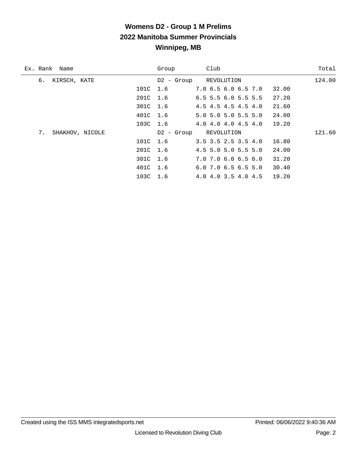# **Womens D2 - Group 1 M Prelims 2022 Manitoba Summer Provincials Winnipeg, MB**

| Ex. Rank Name         | Group      | Club                          | Total  |
|-----------------------|------------|-------------------------------|--------|
| KIRSCH, KATE<br>6.    | D2 - Group | REVOLUTION                    | 124.00 |
| 101C 1.6              |            | 7.0 6.5 6.0 6.5 7.0           | 32.00  |
| 201C 1.6              |            | $6.5$ 5.5 $6.0$ 5.5 5.5       | 27.20  |
| 301C 1.6              |            | 4.5 4.5 4.5 4.5 4.0           | 21.60  |
| 401C 1.6              |            | $5.0$ 5.0 5.0 5.5 5.0         | 24.00  |
| 103C 1.6              |            | $4.0$ $4.0$ $4.0$ $4.5$ $4.0$ | 19.20  |
| 7.<br>SHAKHOV, NICOLE | D2 - Group | REVOLUTION                    | 121.60 |
| 101C 1.6              |            | $3.5$ $3.5$ $2.5$ $3.5$ $4.0$ | 16.80  |
| 201C 1.6              |            | $4.5$ 5.0 5.0 5.5 5.0         | 24.00  |
| 301C 1.6              |            | $7.0$ $7.0$ $6.0$ $6.5$ $6.0$ | 31.20  |
| 401C 1.6              |            | $6.0$ 7.0 $6.5$ $6.5$ $5.0$   | 30.40  |
| 103C 1.6              |            | 4.0 4.0 3.5 4.0 4.5           | 19.20  |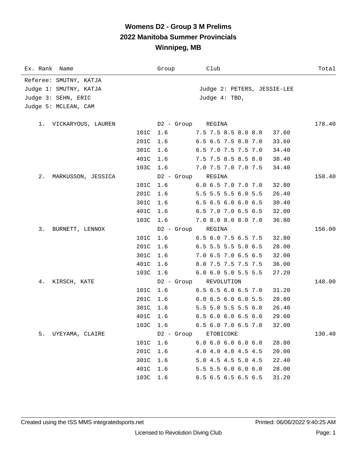# **Womens D2 - Group 3 M Prelims 2022 Manitoba Summer Provincials Winnipeg, MB**

| Ex. Rank Name            | Group             | Club                           | Total  |
|--------------------------|-------------------|--------------------------------|--------|
| Referee: SMUTNY, KATJA   |                   |                                |        |
| Judge 1: SMUTNY, KATJA   |                   | Judge 2: PETERS, JESSIE-LEE    |        |
| Judge 3: SEHN, ERIC      |                   | Judge 4: TBD,                  |        |
| Judge 5: MCLEAN, CAM     |                   |                                |        |
|                          |                   |                                |        |
| 1. VICKARYOUS, LAUREN    | D2 - Group REGINA |                                | 178.40 |
| 101C 1.6                 |                   | 7.5 7.5 8.5 8.0 8.0<br>37.60   |        |
| 201C                     | 1.6               | 6.5 6.5 7.5 8.0 7.0<br>33.60   |        |
| 301C                     | 1.6               | 6.5 7.0 7.5 7.5 7.0<br>34.40   |        |
| 401C                     | 1.6               | 7.5 7.5 8.5 8.5 8.0<br>38.40   |        |
| 103C                     | 1.6               | 7.0 7.5 7.0 7.0 7.5<br>34.40   |        |
| 2.<br>MARKUSSON, JESSICA | D2 - Group        | REGINA                         | 158.40 |
| 101C                     | 1.6               | 6.0 6.5 7.0 7.0 7.0<br>32.80   |        |
| 201C                     | 1.6               | 5.5 5.5 5.5 6.0 5.5<br>26.40   |        |
| 301C                     | 1.6               | 6.5 6.5 6.0 6.0 6.5<br>30.40   |        |
| 401C                     | 1.6               | 6.5 7.0 7.0 6.5 6.5<br>32.00   |        |
| 103C                     | 1.6               | 7.0 8.0 8.0 8.0 7.0<br>36.80   |        |
| 3.<br>BURNETT, LENNOX    | D2 - Group        | REGINA                         | 156.00 |
| 101C                     | 1.6               | 6.5 6.0 7.5 6.5 7.5<br>32.80   |        |
| 201C                     | 1.6               | 6.5 5.5 5.5 5.0 6.5<br>28.00   |        |
| 301C                     | 1.6               | 7.0 6.5 7.0 6.5 6.5<br>32.00   |        |
| 401C                     | 1.6               | 8.0 7.5 7.5 7.5 7.5<br>36.00   |        |
| 103C                     | 1.6               | 6.0 6.0 5.0 5.5 5.5<br>27.20   |        |
| 4.<br>KIRSCH, KATE       | D2 - Group        | REVOLUTION                     | 148.00 |
| 101C                     | 1.6               | 6.5 6.5 6.0 6.5 7.0<br>31.20   |        |
| 201C                     | 1.6               | $6.0$ 6.5 6.0 6.0 5.5<br>28.80 |        |
| 301C                     | 1.6               | 5.5 5.0 5.5 5.5 6.0<br>26.40   |        |
| 401C                     | 1.6               | 6.5 6.0 6.0 6.5 6.0<br>29.60   |        |
| 103C 1.6                 |                   | 6.5 6.0 7.0 6.5 7.0<br>32.00   |        |
| 5.<br>UYEYAMA, CLAIRE    | D2 - Group        | ETOBICOKE                      | 130.40 |
| 101C                     | 1.6               | 6.06.06.06.06.0<br>28.80       |        |
| 201C                     | 1.6               | 4.0 4.0 4.0 4.5 4.5<br>20.00   |        |
| 301C                     | 1.6               | 5.0 4.5 4.5 5.0 4.5<br>22.40   |        |
| 401C                     | 1.6               | 5.5 5.5 6.0 6.0 6.0<br>28.00   |        |
| 103C                     | 1.6               | 6.5 6.5 6.5 6.5 6.5<br>31.20   |        |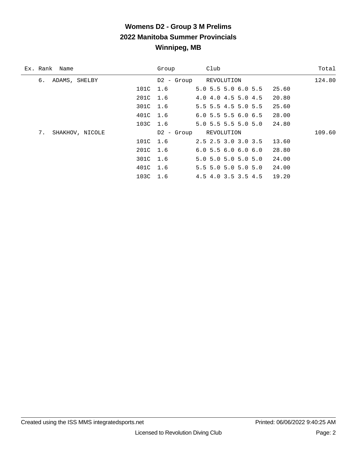# **Womens D2 - Group 3 M Prelims 2022 Manitoba Summer Provincials Winnipeg, MB**

|    | Ex. Rank Name   |          | Group      | Club                                   | Total  |
|----|-----------------|----------|------------|----------------------------------------|--------|
| б. | ADAMS, SHELBY   |          | D2 - Group | REVOLUTION                             | 124.80 |
|    |                 | 101C 1.6 |            | 5.0 5.5 5.0 6.0 5.5<br>25.60           |        |
|    |                 | 201C 1.6 |            | 4.0 4.0 4.5 5.0 4.5<br>20.80           |        |
|    |                 | 301C 1.6 |            | 5.5 5.5 4.5 5.0 5.5<br>25.60           |        |
|    |                 | 401C 1.6 |            | $6.0$ 5.5 5.5 6.0 6.5<br>28.00         |        |
|    |                 | 103C 1.6 |            | $5.0$ 5.5 5.5 5.0 5.0<br>24.80         |        |
| 7. | SHAKHOV, NICOLE |          | D2 - Group | REVOLUTION                             | 109.60 |
|    |                 | 101C 1.6 |            | $2.5$ $2.5$ $3.0$ $3.0$ $3.5$<br>13.60 |        |
|    |                 | 201C 1.6 |            | 28.80<br>6.05.56.06.06.0               |        |
|    |                 | 301C 1.6 |            | $5.0$ 5.0 5.0 5.0 5.0<br>24.00         |        |
|    |                 | 401C 1.6 |            | $5.5$ 5.0 5.0 5.0 5.0<br>24.00         |        |
|    |                 | 103C 1.6 |            | 19.20<br>4.5 4.0 3.5 3.5 4.5           |        |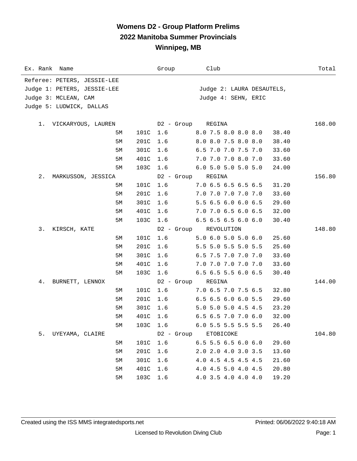## **Womens D2 - Group Platform Prelims 2022 Manitoba Summer Provincials Winnipeg, MB**

| Ex. Rank Name |                             |          | Group             | Club                      | Total  |
|---------------|-----------------------------|----------|-------------------|---------------------------|--------|
|               | Referee: PETERS, JESSIE-LEE |          |                   |                           |        |
|               | Judge 1: PETERS, JESSIE-LEE |          |                   | Judge 2: LAURA DESAUTELS, |        |
|               | Judge 3: MCLEAN, CAM        |          |                   | Judge 4: SEHN, ERIC       |        |
|               | Judge 5: LUDWICK, DALLAS    |          |                   |                           |        |
|               |                             |          |                   |                           |        |
|               | 1. VICKARYOUS, LAUREN       |          | D2 - Group REGINA |                           | 168.00 |
|               | 5M                          | 101C 1.6 |                   | 8.0 7.5 8.0 8.0 8.0       | 38.40  |
|               | 5М                          | 201C     | 1.6               | 8.0 8.0 7.5 8.0 8.0       | 38.40  |
|               | 5М                          | 301C     | 1.6               | 6.5 7.0 7.0 7.5 7.0       | 33.60  |
|               | 5M                          | 401C     | 1.6               | 7.0 7.0 7.0 8.0 7.0       | 33.60  |
|               | 5М                          | 103C     | 1.6               | $6.0$ 5.0 5.0 5.0 5.0     | 24.00  |
| 2.            | MARKUSSON, JESSICA          |          | D2 - Group        | REGINA                    | 156.80 |
|               | 5M                          | 101C     | 1.6               | 7.0 6.5 6.5 6.5 6.5       | 31.20  |
|               | 5M                          | 201C     | 1.6               | 7.0 7.0 7.0 7.0 7.0       | 33.60  |
|               | 5M                          | 301C     | 1.6               | 5.5 6.5 6.0 6.0 6.5       | 29.60  |
|               | 5M                          | 401C     | 1.6               | 7.0 7.0 6.5 6.0 6.5       | 32.00  |
|               | 5М                          | 103C     | 1.6               | 6.5 6.5 6.5 6.0 6.0       | 30.40  |
| 3.            | KIRSCH, KATE                |          | D2 - Group        | REVOLUTION                | 148.80 |
|               | 5M                          | 101C     | 1.6               | 5.06.05.05.06.0           | 25.60  |
|               | 5М                          | 201C     | 1.6               | 5.5 5.0 5.5 5.0 5.5       | 25.60  |
|               | 5М                          | 301C     | 1.6               | 6.5 7.5 7.0 7.0 7.0       | 33.60  |
|               | 5M                          | 401C     | 1.6               | 7.0 7.0 7.0 7.0 7.0       | 33.60  |
|               | 5М                          | 103C     | 1.6               | 6.5 6.5 5.5 6.0 6.5       | 30.40  |
| 4.            | BURNETT, LENNOX             |          | D2 - Group        | REGINA                    | 144.00 |
|               | 5М                          | 101C     | 1.6               | 7.0 6.5 7.0 7.5 6.5       | 32.80  |
|               | 5М                          | 201C     | 1.6               | 6.5 6.5 6.0 6.0 5.5       | 29.60  |
|               | 5М                          | 301C     | 1.6               | 5.0 5.0 5.0 4.5 4.5       | 23.20  |
|               | 5М                          | 401C     | 1.6               | 6.5 6.5 7.0 7.0 6.0       | 32.00  |
|               | 5M                          | 103C 1.6 |                   | 6.0 5.5 5.5 5.5 5.5       | 26.40  |
| 5.            | UYEYAMA, CLAIRE             |          |                   | D2 - Group ETOBICOKE      | 104.80 |
|               | 5M                          | 101C     | 1.6               | 6.5 5.5 6.5 6.0 6.0       | 29.60  |
|               | 5M                          | 201C     | 1.6               | 2.0 2.0 4.0 3.0 3.5       | 13.60  |
|               | 5M                          | 301C     | 1.6               | 4.0 4.5 4.5 4.5 4.5       | 21.60  |
|               | 5M                          | 401C     | 1.6               | 4.0 4.5 5.0 4.0 4.5       | 20.80  |
|               | 5M                          | 103C 1.6 |                   | 4.0 3.5 4.0 4.0 4.0       | 19.20  |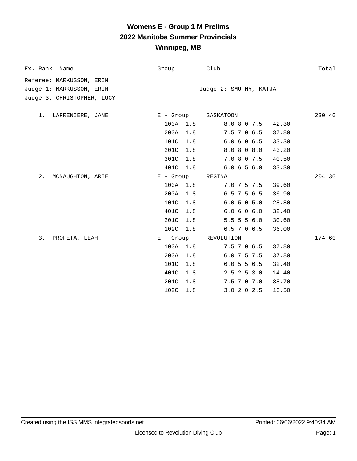# **Womens E - Group 1 M Prelims 2022 Manitoba Summer Provincials Winnipeg, MB**

| Ex. Rank Name              | Group       | Club                       | Total  |
|----------------------------|-------------|----------------------------|--------|
| Referee: MARKUSSON, ERIN   |             |                            |        |
| Judge 1: MARKUSSON, ERIN   |             | Judge 2: SMUTNY, KATJA     |        |
| Judge 3: CHRISTOPHER, LUCY |             |                            |        |
| 1. LAFRENIERE, JANE        | E - Group   | SASKATOON                  | 230.40 |
|                            | 100A 1.8    | 8.0 8.0 7.5<br>42.30       |        |
|                            | 200A<br>1.8 | 7.5 7.0 6.5<br>37.80       |        |
|                            | 101C<br>1.8 | 6.0 6.0 6.5<br>33.30       |        |
|                            | 201C<br>1.8 | 8.0 8.0 8.0<br>43.20       |        |
|                            | 301C<br>1.8 | 7.0 8.0 7.5<br>40.50       |        |
|                            | 401C 1.8    | 6.06.56.0<br>33.30         |        |
| $2$ .<br>MCNAUGHTON, ARIE  | E - Group   | REGINA                     | 204.30 |
|                            | 100A 1.8    | 7.0 7.5 7.5<br>39.60       |        |
|                            | 1.8<br>200A | $6.5$ 7.5 $6.5$<br>36.90   |        |
|                            | 101C<br>1.8 | 6.05.05.0<br>28.80         |        |
|                            | 401C<br>1.8 | 6.0 6.0 6.0<br>32.40       |        |
|                            | 201C<br>1.8 | $5.5$ 5.5 6.0<br>30.60     |        |
|                            | 102C<br>1.8 | $6.5$ 7.0 $6.5$<br>36.00   |        |
| 3.<br>PROFETA, LEAH        | E - Group   | REVOLUTION                 | 174.60 |
|                            | 100A 1.8    | $7.5$ $7.0$ $6.5$<br>37.80 |        |
|                            | 1.8<br>200A | 37.80<br>$6.0$ 7.5 7.5     |        |
|                            | 101C<br>1.8 | 6.05.56.5<br>32.40         |        |
|                            | 401C<br>1.8 | $2.5$ $2.5$ $3.0$<br>14.40 |        |
|                            | 201C<br>1.8 | 7.5 7.0 7.0<br>38.70       |        |
|                            | 102C<br>1.8 | $3.0$ 2.0 2.5<br>13.50     |        |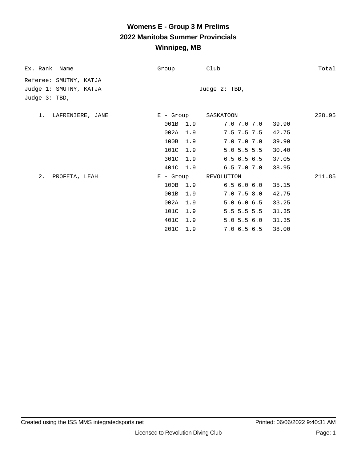## **Womens E - Group 3 M Prelims 2022 Manitoba Summer Provincials Winnipeg, MB**

| Ex. Rank Name          | Group       | Club              | Total  |
|------------------------|-------------|-------------------|--------|
| Referee: SMUTNY, KATJA |             |                   |        |
| Judge 1: SMUTNY, KATJA |             | Judge 2: TBD,     |        |
| Judge 3: TBD,          |             |                   |        |
|                        |             |                   |        |
| 1. LAFRENIERE, JANE    | E - Group   | SASKATOON         | 228.95 |
|                        | 001B 1.9    | $7.0$ $7.0$ $7.0$ | 39.90  |
|                        | 002A<br>1.9 | 7.5 7.5 7.5       | 42.75  |
|                        | 100B<br>1.9 | 7.0 7.0 7.0       | 39.90  |
|                        | 101C<br>1.9 | $5.0$ 5.5 5.5     | 30.40  |
|                        | 301C 1.9    | 6.56.56.5         | 37.05  |
|                        | 401C 1.9    | 6.5 7.0 7.0       | 38.95  |
| 2.<br>PROFETA, LEAH    | E - Group   | REVOLUTION        | 211.85 |
|                        | 100B 1.9    | 6.56.06.0         | 35.15  |
|                        | 001B<br>1.9 | $7.0$ $7.5$ $8.0$ | 42.75  |
|                        | 002A<br>1.9 | 5.06.06.5         | 33.25  |
|                        | 101C<br>1.9 | $5.5$ 5.5 5.5     | 31.35  |
|                        | 401C<br>1.9 | $5.0$ 5.5 $6.0$   | 31.35  |
|                        | 201C 1.9    | 7.06.56.5         | 38.00  |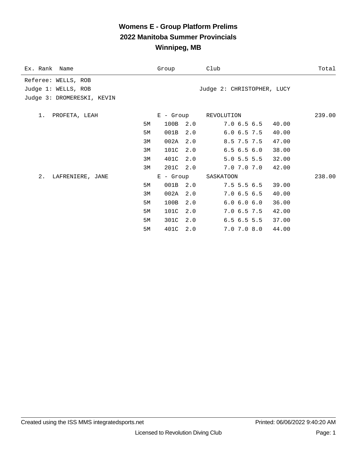### **Womens E - Group Platform Prelims 2022 Manitoba Summer Provincials Winnipeg, MB**

| Ex. Rank Name              | Group       | Club                          | Total  |
|----------------------------|-------------|-------------------------------|--------|
| Referee: WELLS, ROB        |             |                               |        |
| Judge 1: WELLS, ROB        |             | Judge 2: CHRISTOPHER, LUCY    |        |
| Judge 3: DROMERESKI, KEVIN |             |                               |        |
|                            |             |                               |        |
| $1$ .<br>PROFETA, LEAH     | E - Group   | REVOLUTION                    | 239.00 |
| 5M                         | 100B        | 7.06.56.5<br>2.0<br>40.00     |        |
| 5M                         | 001B        | 2.0<br>6.0 6.5 7.5<br>40.00   |        |
| 3M                         | 002A        | 2.0<br>8.5 7.5 7.5<br>47.00   |        |
| 3M                         | 101C        | 6.56.56.0<br>38.00<br>2.0     |        |
| 3M                         | 401C        | $5.0$ 5.5 5.5<br>2.0<br>32.00 |        |
| 3M                         | 201C 2.0    | 7.0 7.0 7.0<br>42.00          |        |
| 2.<br>LAFRENIERE, JANE     | E - Group   | SASKATOON                     | 238.00 |
| 5M                         | 001B 2.0    | $7.5$ 5.5 6.5<br>39.00        |        |
| 3M                         | 002A        | 2.0<br>7.06.56.5<br>40.00     |        |
| 5M                         | 100B        | 6.06.06.0<br>36.00<br>2.0     |        |
| 5M                         | 101C        | 7.06.57.5<br>42.00<br>2.0     |        |
| 5M                         | 301C<br>2.0 | $6.5$ $6.5$ $5.5$<br>37.00    |        |
| 5M                         | 401C<br>2.0 | 7.0 7.0 8.0<br>44.00          |        |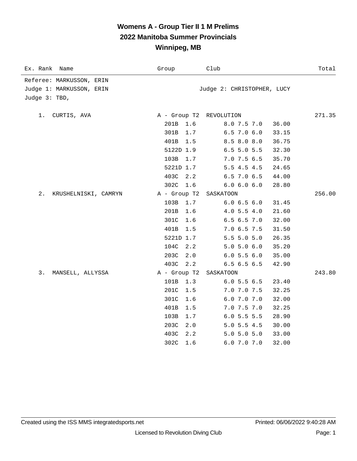### **Womens A - Group Tier II 1 M Prelims 2022 Manitoba Summer Provincials Winnipeg, MB**

| Ex. Rank Name                                                         | Group                                                                                                                                             | Club                                                                                                                                                                                                                            | Total  |
|-----------------------------------------------------------------------|---------------------------------------------------------------------------------------------------------------------------------------------------|---------------------------------------------------------------------------------------------------------------------------------------------------------------------------------------------------------------------------------|--------|
| Referee: MARKUSSON, ERIN<br>Judge 1: MARKUSSON, ERIN<br>Judge 3: TBD, |                                                                                                                                                   | Judge 2: CHRISTOPHER, LUCY                                                                                                                                                                                                      |        |
| 1.<br>CURTIS, AVA                                                     | A - Group T2 REVOLUTION<br>201B<br>1.6<br>1.7<br>301B<br>401B<br>1.5<br>5122D 1.9<br>103B<br>1.7<br>5221D 1.7<br>403C 2.2                         | 8.0 7.5 7.0<br>36.00<br>$6.5$ 7.0 $6.0$<br>33.15<br>8.5 8.0 8.0<br>36.75<br>$6.5$ 5.0 5.5<br>32.30<br>7.0 7.5 6.5<br>35.70<br>5.5 4.5 4.5<br>24.65<br>$6.5$ 7.0 $6.5$<br>44.00                                                  | 271.35 |
| $2$ .<br>KRUSHELNISKI, CAMRYN                                         | 302C<br>1.6<br>A - Group T2<br>103B<br>1.7<br>201B<br>1.6<br>301C<br>1.6<br>401B<br>1.5<br>5221D 1.7<br>104C<br>2.2<br>2.0<br>203C<br>403C<br>2.2 | 6.0 6.0 6.0<br>28.80<br>SASKATOON<br>6.0 6.5 6.0<br>31.45<br>$4.0$ 5.5 $4.0$<br>21.60<br>6.56.57.0<br>32.00<br>7.0 6.5 7.5<br>31.50<br>5.5 5.0 5.0<br>26.35<br>5.0 5.0 6.0<br>35.20<br>6.05.56.0<br>35.00<br>6.56.56.5<br>42.90 | 256.00 |
| 3.<br>MANSELL, ALLYSSA                                                | A - Group T2<br>101B 1.3<br>1.5<br>201C<br>301C<br>1.6<br>401B<br>1.5<br>103B<br>1.7<br>203C<br>2.0<br>403C<br>2.2<br>302C<br>1.6                 | SASKATOON<br>6.05.56.5<br>23.40<br>7.0 7.0 7.5<br>32.25<br>6.0 7.0 7.0<br>32.00<br>7.0 7.5 7.0<br>32.25<br>6.05.55.5<br>28.90<br>$5.0$ 5.5 4.5<br>30.00<br>5.0 5.0 5.0<br>33.00<br>6.07.07.0<br>32.00                           | 243.80 |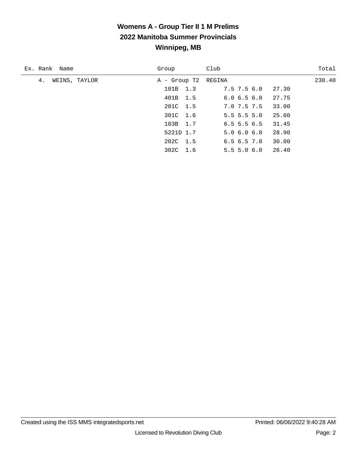## **Womens A - Group Tier II 1 M Prelims 2022 Manitoba Summer Provincials Winnipeg, MB**

| Ex. Rank Name       | Group               | Club                     | Total  |
|---------------------|---------------------|--------------------------|--------|
| 4.<br>WEINS, TAYLOR | A - Group T2 REGINA |                          | 230.40 |
|                     | 101B 1.3            | 7.5 7.5 6.0 27.30        |        |
|                     | 401B 1.5            | 27.75<br>6.06.56.0       |        |
|                     | 201C 1.5            | 7.0 7.5 7.5<br>33.00     |        |
|                     | 301C 1.6            | $5.5$ 5.5 5.0<br>25.60   |        |
|                     | 103B 1.7            | 31.45<br>$6.5$ 5.5 $6.5$ |        |
|                     | 5221D 1.7           | 28.90<br>5.06.06.0       |        |
|                     | 202C 1.5            | 6.56.57.0<br>30.00       |        |
|                     | 302C 1.6            | 26.40<br>5.55.06.0       |        |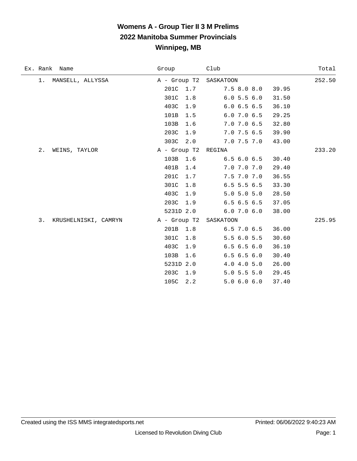## **Womens A - Group Tier II 3 M Prelims 2022 Manitoba Summer Provincials Winnipeg, MB**

| Ex. Rank<br>Name           | Group                  | Club              | Total  |
|----------------------------|------------------------|-------------------|--------|
| MANSELL, ALLYSSA<br>1.     | A - Group T2 SASKATOON |                   | 252.50 |
|                            | 201C<br>1.7            | 7.58.08.0         | 39.95  |
|                            | 301C<br>1.8            | 6.05.56.0         | 31.50  |
|                            | 403C<br>1.9            | 6.06.56.5         | 36.10  |
|                            | 101B<br>1.5            | $6.0$ 7.0 $6.5$   | 29.25  |
|                            | 103B<br>1.6            | $7.0$ $7.0$ $6.5$ | 32.80  |
|                            | 203C<br>1.9            | $7.0$ $7.5$ $6.5$ | 39.90  |
|                            | 303C<br>2.0            | 7.0 7.5 7.0       | 43.00  |
| 2.<br>WEINS, TAYLOR        | A - Group T2           | REGINA            | 233.20 |
|                            | 103B<br>1.6            | 6.56.06.5         | 30.40  |
|                            | 401B<br>1.4            | 7.0 7.0 7.0       | 29.40  |
|                            | 201C<br>1.7            | 7.5 7.0 7.0       | 36.55  |
|                            | 301C<br>1.8            | $6.5$ 5.5 $6.5$   | 33.30  |
|                            | 403C<br>1.9            | 5.0 5.0 5.0       | 28.50  |
|                            | 203C<br>1.9            | 6.56.56.5         | 37.05  |
|                            | 5231D 2.0              | 6.07.06.0         | 38.00  |
| 3.<br>KRUSHELNISKI, CAMRYN | A - Group T2           | SASKATOON         | 225.95 |
|                            | 201B<br>1.8            | $6.5$ 7.0 $6.5$   | 36.00  |
|                            | 301C<br>1.8            | 5.5 6.0 5.5       | 30.60  |
|                            | 403C<br>1.9            | 6.56.56.0         | 36.10  |
|                            | 103B<br>1.6            | 6.56.56.0         | 30.40  |
|                            | 5231D 2.0              | 4.0 4.0 5.0       | 26.00  |
|                            | 203C<br>1.9            | $5.0$ 5.5 5.0     | 29.45  |
|                            | 105C<br>2.2            | 5.06.06.0         | 37.40  |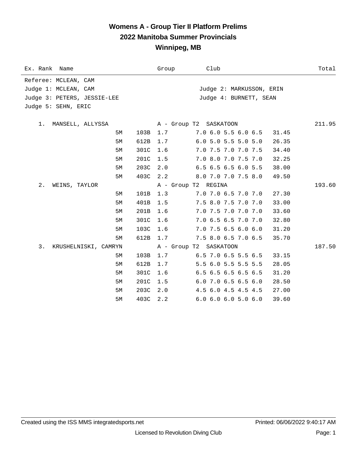#### **Womens A - Group Tier II Platform Prelims 2022 Manitoba Summer Provincials Winnipeg, MB**

| Ex. Rank Name               |      | Group               | Club                                   | Total  |
|-----------------------------|------|---------------------|----------------------------------------|--------|
| Referee: MCLEAN, CAM        |      |                     |                                        |        |
| Judge 1: MCLEAN, CAM        |      |                     | Judge 2: MARKUSSON, ERIN               |        |
| Judge 3: PETERS, JESSIE-LEE |      |                     | Judge 4: BURNETT, SEAN                 |        |
| Judge 5: SEHN, ERIC         |      |                     |                                        |        |
|                             |      |                     |                                        |        |
| 1. MANSELL, ALLYSSA         |      |                     | A - Group T2 SASKATOON                 | 211.95 |
| 5M                          | 103B | 1.7                 | 7.0 6.0 5.5 6.0 6.5<br>31.45           |        |
| 5M                          | 612B | 1.7                 | 6.0 5.0 5.5 5.0 5.0<br>26.35           |        |
| 5M                          | 301C | 1.6                 | 7.0 7.5 7.0 7.0 7.5<br>34.40           |        |
| 5M                          | 201C | 1.5                 | 7.0 8.0 7.0 7.5 7.0<br>32.25           |        |
| 5M                          | 203C | 2.0                 | 6.5 6.5 6.5 6.0 5.5<br>38.00           |        |
| 5М                          | 403C | 2.2                 | 8.0 7.0 7.0 7.5 8.0<br>49.50           |        |
| $2$ .<br>WEINS, TAYLOR      |      | A - Group T2 REGINA |                                        | 193.60 |
| 5M                          | 101B | 1.3                 | 7.0 7.0 6.5 7.0 7.0<br>27.30           |        |
| 5M                          | 401B | 1.5                 | 7.5 8.0 7.5 7.0 7.0<br>33.00           |        |
| 5M                          | 201B | 1.6                 | 7.0 7.5 7.0 7.0 7.0<br>33.60           |        |
| 5M                          | 301C | 1.6                 | 7.0 6.5 6.5 7.0 7.0<br>32.80           |        |
| 5M                          | 103C | 1.6                 | $7.0$ $7.5$ $6.5$ $6.0$ $6.0$<br>31.20 |        |
| 5M                          | 612B | 1.7                 | 7.5 8.0 6.5 7.0 6.5<br>35.70           |        |
| 3.<br>KRUSHELNISKI, CAMRYN  |      |                     | A - Group T2 SASKATOON                 | 187.50 |
| 5M                          | 103B | 1.7                 | 6.5 7.0 6.5 5.5 6.5<br>33.15           |        |
| 5M                          | 612B | 1.7                 | 5.5 6.0 5.5 5.5 5.5<br>28.05           |        |
| 5M                          | 301C | 1.6                 | 6.5 6.5 6.5 6.5 6.5<br>31.20           |        |
| 5M                          | 201C | 1.5                 | 6.0 7.0 6.5 6.5 6.0<br>28.50           |        |
| 5M                          | 203C | 2.0                 | 4.5 6.0 4.5 4.5 4.5<br>27.00           |        |
| 5M                          | 403C | 2.2                 | $6.0$ $6.0$ $6.0$ $5.0$ $6.0$<br>39.60 |        |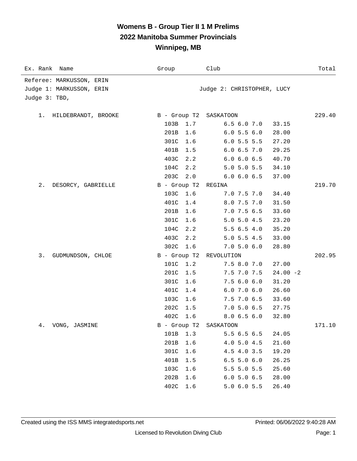### **Womens B - Group Tier II 1 M Prelims 2022 Manitoba Summer Provincials Winnipeg, MB**

| Ex. Rank Name                                                         | Club<br>Group                    | Total      |
|-----------------------------------------------------------------------|----------------------------------|------------|
| Referee: MARKUSSON, ERIN<br>Judge 1: MARKUSSON, ERIN<br>Judge 3: TBD, | Judge 2: CHRISTOPHER, LUCY       |            |
| 1. HILDEBRANDT, BROOKE                                                | B - Group T2 SASKATOON           | 229.40     |
|                                                                       | 103B<br>1.7<br>6.56.07.0         | 33.15      |
|                                                                       | 201B<br>1.6<br>6.05.56.0         | 28.00      |
|                                                                       | 301C<br>1.6<br>6.05.55.5         | 27.20      |
|                                                                       | 6.06.57.0<br>401B<br>1.5         | 29.25      |
|                                                                       | 6.0 6.0 6.5<br>403C<br>2.2       | 40.70      |
|                                                                       | $5.0$ 5.0 5.5<br>104C<br>2.2     | 34.10      |
|                                                                       | 6.0 6.0 6.5<br>203C<br>2.0       | 37.00      |
| $2$ .<br>DESORCY, GABRIELLE                                           | B - Group T2<br>REGINA           | 219.70     |
|                                                                       | 103C<br>1.6<br>$7.0$ $7.5$ $7.0$ | 34.40      |
|                                                                       | 401C<br>1.4<br>8.0 7.5 7.0       | 31.50      |
|                                                                       | 201B<br>1.6<br>7.0 7.5 6.5       | 33.60      |
|                                                                       | 5.0 5.0 4.5<br>301C<br>1.6       | 23.20      |
|                                                                       | 104C<br>2.2<br>5.56.54.0         | 35.20      |
|                                                                       | 403C<br>2.2<br>$5.0$ 5.5 4.5     | 33.00      |
|                                                                       | 302C<br>1.6<br>7.05.06.0         | 28.80      |
| 3.<br>GUDMUNDSON, CHLOE                                               | B - Group T2 REVOLUTION          | 202.95     |
|                                                                       | 101C<br>1.2<br>7.5 8.0 7.0       | 27.00      |
|                                                                       | 201C<br>7.5 7.0 7.5<br>1.5       | $24.00 -2$ |
|                                                                       | 7.56.06.0<br>301C<br>1.6         | 31.20      |
|                                                                       | 401C<br>6.07.06.0<br>1.4         | 26.60      |
|                                                                       | 103C<br>1.6<br>7.5 7.0 6.5       | 33.60      |
|                                                                       | 202C<br>7.05.06.5<br>1.5         | 27.75      |
|                                                                       | 402C<br>1.6<br>8.06.56.0         | 32.80      |
| VONG, JASMINE<br>4.                                                   | B - Group T2<br>SASKATOON        | 171.10     |
|                                                                       | 101B<br>1.3<br>5.5 6.5 6.5       | 24.05      |
|                                                                       | 201B<br>1.6<br>4.0 5.0 4.5       | 21.60      |
|                                                                       | 301C<br>1.6<br>4.5 4.0 3.5       | 19.20      |
|                                                                       | 6.55.06.0<br>401B<br>1.5         | 26.25      |
|                                                                       | 103C<br>5.5 5.0 5.5<br>1.6       | 25.60      |
|                                                                       | 202B<br>1.6<br>6.05.06.5         | 28.00      |
|                                                                       | 402C<br>5.06.05.5<br>1.6         | 26.40      |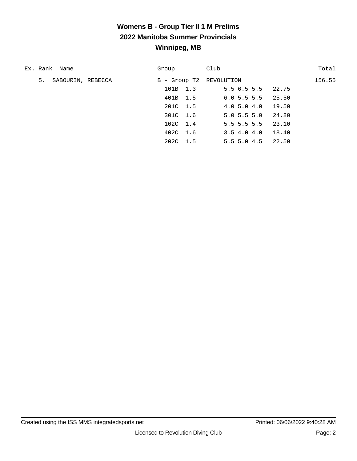## **Womens B - Group Tier II 1 M Prelims 2022 Manitoba Summer Provincials Winnipeg, MB**

| Ex. Rank Name           | Group                   | Club                      | Total  |
|-------------------------|-------------------------|---------------------------|--------|
| 5.<br>SABOURIN, REBECCA | B - Group T2 REVOLUTION |                           | 156.55 |
|                         | 101B 1.3                | $5.5 \t6.5 \t5.5 \t22.75$ |        |
|                         | 401B 1.5                | 6.05.55.5<br>25.50        |        |
|                         | 201C 1.5                | 19.50<br>4.0 5.0 4.0      |        |
|                         | 301C 1.6                | $5.0$ $5.5$ $5.0$ $24.80$ |        |
|                         | 102C 1.4                | 23.10<br>$5.5$ 5.5 5.5    |        |
|                         | 402C 1.6                | 18.40<br>3.54.04.0        |        |
|                         | 202C 1.5                | $5.5$ 5.0 4.5 22.50       |        |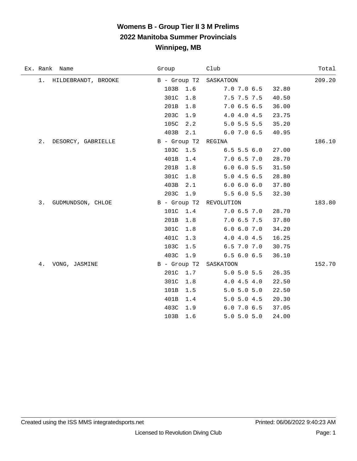## **Womens B - Group Tier II 3 M Prelims 2022 Manitoba Summer Provincials Winnipeg, MB**

| Ex. Rank Name               | Group                   | Club            | Total  |
|-----------------------------|-------------------------|-----------------|--------|
| 1. HILDEBRANDT, BROOKE      | B - Group T2 SASKATOON  |                 | 209.20 |
|                             | 103B 1.6                | 7.0 7.0 6.5     | 32.80  |
|                             | 301C<br>1.8             | 7.5 7.5 7.5     | 40.50  |
|                             | 201B<br>1.8             | 7.06.56.5       | 36.00  |
|                             | 203C<br>1.9             | 4.0 4.0 4.5     | 23.75  |
|                             | 105C<br>2.2             | $5.0$ 5.5 5.5   | 35.20  |
|                             | 403B<br>2.1             | 6.07.06.5       | 40.95  |
| $2$ .<br>DESORCY, GABRIELLE | B - Group T2 REGINA     |                 | 186.10 |
|                             | 103C<br>1.5             | $6.5$ 5.5 $6.0$ | 27.00  |
|                             | 401B<br>1.4             | 7.06.57.0       | 28.70  |
|                             | 201B<br>1.8             | 6.0 6.0 5.5     | 31.50  |
|                             | 301C<br>1.8             | 5.04.56.5       | 28.80  |
|                             | 403B<br>2.1             | 6.0 6.0 6.0     | 37.80  |
|                             | 203C<br>1.9             | 5.56.05.5       | 32.30  |
| 3.<br>GUDMUNDSON, CHLOE     | B - Group T2 REVOLUTION |                 | 183.80 |
|                             | 101C 1.4                | 7.06.57.0       | 28.70  |
|                             | 201B<br>1.8             | 7.0 6.5 7.5     | 37.80  |
|                             | 301C<br>1.8             | 6.0 6.0 7.0     | 34.20  |
|                             | 401C<br>1.3             | 4.0 4.0 4.5     | 16.25  |
|                             | 103C<br>1.5             | 6.5 7.0 7.0     | 30.75  |
|                             | 403C<br>1.9             | 6.56.06.5       | 36.10  |
| VONG, JASMINE<br>4.         | B - Group T2            | SASKATOON       | 152.70 |
|                             | 201C 1.7                | $5.0$ 5.0 5.5   | 26.35  |
|                             | 301C<br>1.8             | 4.04.54.0       | 22.50  |
|                             | 101B<br>1.5             | 5.0 5.0 5.0     | 22.50  |
|                             | 401B<br>1.4             | 5.0 5.0 4.5     | 20.30  |
|                             | 403C<br>1.9             | 6.07.06.5       | 37.05  |
|                             | 103B<br>1.6             | 5.0 5.0 5.0     | 24.00  |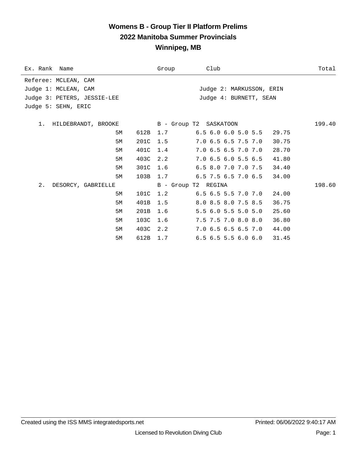#### **Womens B - Group Tier II Platform Prelims 2022 Manitoba Summer Provincials Winnipeg, MB**

| Ex. Rank Name                                 |          | Group               | Club                                   | Total  |
|-----------------------------------------------|----------|---------------------|----------------------------------------|--------|
| Referee: MCLEAN, CAM                          |          |                     |                                        |        |
| Judge 1: MCLEAN, CAM                          |          |                     | Judge 2: MARKUSSON, ERIN               |        |
| Judge 3: PETERS, JESSIE-LEE                   |          |                     | Judge 4: BURNETT, SEAN                 |        |
| Judge 5: SEHN, ERIC                           |          |                     |                                        |        |
|                                               |          |                     |                                        |        |
| 1. HILDEBRANDT, BROOKE B - Group T2 SASKATOON |          |                     |                                        | 199.40 |
| 5M                                            |          | 612B 1.7            | $6.5$ $6.0$ $6.0$ $5.0$ $5.5$ $29.75$  |        |
| 5M                                            | 201C     | 1.5                 | 7.0 6.5 6.5 7.5 7.0<br>30.75           |        |
| 5M                                            | 401C     | 1.4                 | 7.0 6.5 6.5 7.0 7.0<br>28.70           |        |
| 5M                                            | 403C     | 2.2                 | $7.0$ 6.5 6.0 5.5 6.5<br>41.80         |        |
| 5M                                            | 301C 1.6 |                     | 6.5 8.0 7.0 7.0 7.5<br>34.40           |        |
| 5M                                            | 103B     | 1.7                 | $6.5$ 7.5 $6.5$ 7.0 $6.5$<br>34.00     |        |
| 2.<br>DESORCY, GABRIELLE                      |          | B - Group T2 REGINA |                                        | 198.60 |
| 5M                                            | 101C 1.2 |                     | $6.5$ $6.5$ $5.5$ $7.0$ $7.0$ $24.00$  |        |
| 5M                                            | 401B     | 1.5                 | 8.0 8.5 8.0 7.5 8.5<br>36.75           |        |
| 5M                                            | 201B     | 1.6                 | 5.5 6.0 5.5 5.0 5.0<br>25.60           |        |
| 5M                                            | 103C     | 1.6                 | 7.5 7.5 7.0 8.0 8.0<br>36.80           |        |
| 5M                                            | 403C     | 2.2                 | 7.06.56.56.57.0<br>44.00               |        |
| 5M                                            | 612B 1.7 |                     | $6.5$ $6.5$ $5.5$ $6.0$ $6.0$<br>31.45 |        |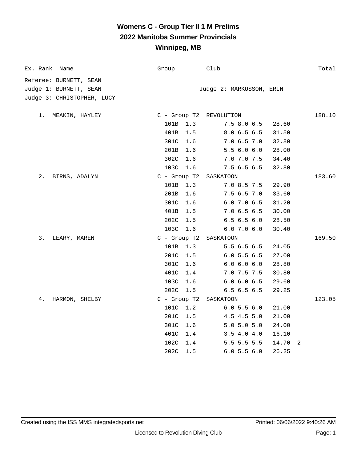### **Womens C - Group Tier II 1 M Prelims 2022 Manitoba Summer Provincials Winnipeg, MB**

| Ex. Rank<br>Name           | Group                   | Club                     | Total       |
|----------------------------|-------------------------|--------------------------|-------------|
| Referee: BURNETT, SEAN     |                         |                          |             |
| Judge 1: BURNETT, SEAN     |                         | Judge 2: MARKUSSON, ERIN |             |
| Judge 3: CHRISTOPHER, LUCY |                         |                          |             |
|                            |                         |                          |             |
| MEAKIN, HAYLEY<br>1.       | C - Group T2 REVOLUTION |                          | 188.10      |
|                            | 101B<br>1.3             | 7.5 8.0 6.5              | 28.60       |
|                            | 401B<br>1.5             | 8.0 6.5 6.5              | 31.50       |
|                            | 301C<br>1.6             | 7.0 6.5 7.0              | 32.80       |
|                            | 201B<br>1.6             | 5.56.06.0                | 28.00       |
|                            | 302C<br>1.6             | 7.0 7.0 7.5              | 34.40       |
|                            | 103C<br>1.6             | 7.5 6.5 6.5              | 32.80       |
| 2.<br>BIRNS, ADALYN        | C - Group T2            | SASKATOON                | 183.60      |
|                            | 101B<br>1.3             | 7.0 8.5 7.5              | 29.90       |
|                            | 201B<br>1.6             | 7.5 6.5 7.0              | 33.60       |
|                            | 301C<br>1.6             | 6.07.06.5                | 31.20       |
|                            | 401B<br>1.5             | 7.06.56.5                | 30.00       |
|                            | 202C<br>1.5             | 6.56.56.0                | 28.50       |
|                            | 103C<br>1.6             | 6.07.06.0                | 30.40       |
| 3.<br>LEARY, MAREN         | $C$ - Group T2          | SASKATOON                | 169.50      |
|                            | 101B<br>1.3             | 5.5 6.5 6.5              | 24.05       |
|                            | 201C<br>1.5             | 6.05.56.5                | 27.00       |
|                            | 301C<br>1.6             | 6.0 6.0 6.0              | 28.80       |
|                            | 401C<br>1.4             | 7.0 7.5 7.5              | 30.80       |
|                            | 103C<br>1.6             | 6.0 6.0 6.5              | 29.60       |
|                            | 202C<br>1.5             | 6.56.56.5                | 29.25       |
| 4.<br>HARMON, SHELBY       | C - Group T2            | SASKATOON                | 123.05      |
|                            | 101C<br>1.2             | 6.05.56.0                | 21.00       |
|                            | 201C<br>1.5             | 4.5 4.5 5.0              | 21.00       |
|                            | 301C<br>1.6             | 5.0 5.0 5.0              | 24.00       |
|                            | 401C<br>1.4             | 3.54.04.0                | 16.10       |
|                            | 102C<br>1.4             | 5.5 5.5 5.5              | $14.70 - 2$ |
|                            | 202C<br>1.5             | 6.05.56.0                | 26.25       |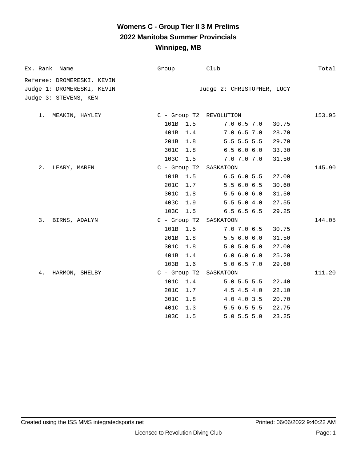### **Womens C - Group Tier II 3 M Prelims 2022 Manitoba Summer Provincials Winnipeg, MB**

| Ex. Rank Name                                                                     | Group                   | Club                       | Total  |
|-----------------------------------------------------------------------------------|-------------------------|----------------------------|--------|
| Referee: DROMERESKI, KEVIN<br>Judge 1: DROMERESKI, KEVIN<br>Judge 3: STEVENS, KEN |                         | Judge 2: CHRISTOPHER, LUCY |        |
| 1. MEAKIN, HAYLEY                                                                 | C - Group T2 REVOLUTION |                            | 153.95 |
|                                                                                   | 101B<br>1.5             | 7.06.57.0<br>30.75         |        |
|                                                                                   | 401B<br>1.4             | 7.06.57.0<br>28.70         |        |
|                                                                                   | 201B<br>1.8             | 5.5 5.5 5.5<br>29.70       |        |
|                                                                                   | 301C<br>1.8             | 6.56.06.0<br>33.30         |        |
|                                                                                   | 103C<br>1.5             | 7.0 7.0 7.0<br>31.50       |        |
| $2$ .<br>LEARY, MAREN                                                             | $C$ - Group T2          | SASKATOON                  | 145.90 |
|                                                                                   | 101B<br>1.5             | 6.56.05.5<br>27.00         |        |
|                                                                                   | 201C<br>1.7             | 5.5 6.0 6.5<br>30.60       |        |
|                                                                                   | 301C<br>1.8             | 5.56.06.0<br>31.50         |        |
|                                                                                   | 403C<br>1.9             | 5.5 5.0 4.0<br>27.55       |        |
|                                                                                   | 103C<br>1.5             | 6.56.56.5<br>29.25         |        |
| 3.<br>BIRNS, ADALYN                                                               | $C$ - Group T2          | SASKATOON                  | 144.05 |
|                                                                                   | 101B<br>1.5             | 7.0 7.0 6.5<br>30.75       |        |
|                                                                                   | 201B<br>1.8             | 5.56.06.0<br>31.50         |        |
|                                                                                   | 301C<br>1.8             | 5.0 5.0 5.0<br>27.00       |        |
|                                                                                   | 401B<br>1.4             | 6.0 6.0 6.0<br>25.20       |        |
|                                                                                   | 103B<br>1.6             | 5.06.57.0<br>29.60         |        |
| 4.<br>HARMON, SHELBY                                                              | C - Group T2            | SASKATOON                  | 111.20 |
|                                                                                   | 101C<br>1.4             | $5.0$ 5.5 5.5<br>22.40     |        |
|                                                                                   | 201C<br>1.7             | 4.5 4.5 4.0<br>22.10       |        |
|                                                                                   | 301C<br>1.8             | 4.0 4.0 3.5<br>20.70       |        |
|                                                                                   | 401C<br>1.3             | 5.56.55.5<br>22.75         |        |
|                                                                                   | 103C<br>1.5             | $5.0$ 5.5 5.0<br>23.25     |        |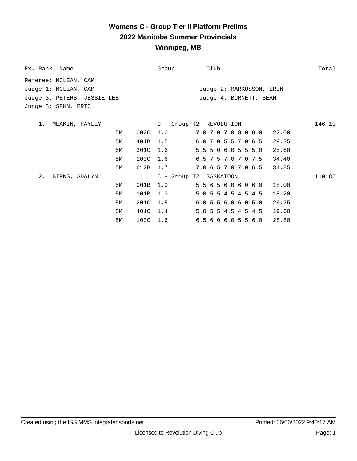#### **Womens C - Group Tier II Platform Prelims 2022 Manitoba Summer Provincials Winnipeg, MB**

| Ex. Rank Name                   |    |          | Group | Club                                   | Total  |
|---------------------------------|----|----------|-------|----------------------------------------|--------|
| Referee: MCLEAN, CAM            |    |          |       |                                        |        |
| Judge 1: MCLEAN, CAM            |    |          |       | Judge 2: MARKUSSON, ERIN               |        |
| Judge 3: PETERS, JESSIE-LEE     |    |          |       | Judge 4: BURNETT, SEAN                 |        |
| Judge 5: SEHN, ERIC             |    |          |       |                                        |        |
|                                 |    |          |       |                                        |        |
| MEAKIN, HAYLEY<br>1.            |    |          |       | C - Group T2 REVOLUTION                | 146.10 |
|                                 | 5M | 002C 1.0 |       | 7.0 7.0 7.0 8.0 8.0<br>22.00           |        |
|                                 | 5М | 401B 1.5 |       | $6.0$ 7.0 5.5 7.0 6.5<br>29.25         |        |
|                                 | 5М | 301C 1.6 |       | 5.5 5.0 6.0 5.5 5.0<br>25.60           |        |
|                                 | 5М | 103C 1.6 |       | 6.5 7.5 7.0 7.0 7.5<br>34.40           |        |
|                                 | 5M | 612B 1.7 |       | 7.0 6.5 7.0 7.0 6.5 34.85              |        |
| 2 <sub>1</sub><br>BIRNS, ADALYN |    |          |       | C - Group T2 SASKATOON                 | 110.85 |
|                                 | 5M | 001B     | 1.0   | $5.5$ 6.5 6.0 6.0 6.0<br>18.00         |        |
|                                 | 5М | 101B 1.3 |       | 5.0 5.5 4.5 4.5 4.5<br>18.20           |        |
|                                 | 5M | 201C 1.5 |       | 6.05.56.06.05.0<br>26.25               |        |
|                                 | 5М | 401C 1.4 |       | $5.0$ 5.5 4.5 4.5 4.5<br>19.60         |        |
|                                 | 5M | 103C 1.6 |       | $6.5$ $6.0$ $6.0$ $5.5$ $6.0$<br>28.80 |        |
|                                 |    |          |       |                                        |        |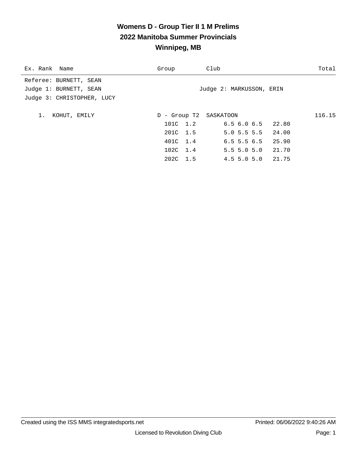## **Womens D - Group Tier II 1 M Prelims 2022 Manitoba Summer Provincials Winnipeg, MB**

| Ex. Rank Name              | Group                  | Club                     | Total  |
|----------------------------|------------------------|--------------------------|--------|
| Referee: BURNETT, SEAN     |                        |                          |        |
| Judge 1: BURNETT, SEAN     |                        | Judge 2: MARKUSSON, ERIN |        |
| Judge 3: CHRISTOPHER, LUCY |                        |                          |        |
|                            |                        |                          |        |
| KOHUT, EMILY<br>1.         | D - Group T2 SASKATOON |                          | 116.15 |
|                            | 101C 1.2               | $6.56.06.5$ 22.80        |        |
|                            | 201C 1.5               | $5.0$ 5.5 5.5<br>24.00   |        |
|                            | 401C 1.4               | $6.5$ 5.5 6.5 25.90      |        |
|                            | 102C 1.4               | $5.5$ 5.0 5.0 21.70      |        |
|                            | 202C 1.5               | 4.5 5.0 5.0 21.75        |        |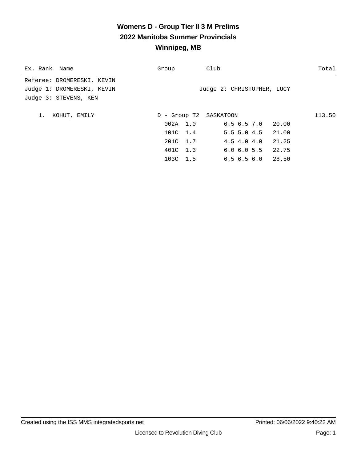## **Womens D - Group Tier II 3 M Prelims 2022 Manitoba Summer Provincials Winnipeg, MB**

| Ex. Rank Name              | Group    | Club                       | Total  |
|----------------------------|----------|----------------------------|--------|
| Referee: DROMERESKI, KEVIN |          |                            |        |
| Judge 1: DROMERESKI, KEVIN |          | Judge 2: CHRISTOPHER, LUCY |        |
| Judge 3: STEVENS, KEN      |          |                            |        |
|                            |          |                            |        |
| KOHUT, EMILY<br>1.         |          | D - Group T2 SASKATOON     | 113.50 |
|                            | 002A 1.0 | $6.56.57.0$ 20.00          |        |
|                            | 101C 1.4 | $5.5$ 5.0 4.5 21.00        |        |
|                            | 201C 1.7 | $4.5$ $4.0$ $4.0$          | 21.25  |
|                            | 401C 1.3 | $6.0$ $6.0$ $5.5$ $22.75$  |        |
|                            | 103C 1.5 | $6.5$ $6.5$ $6.0$ $28.50$  |        |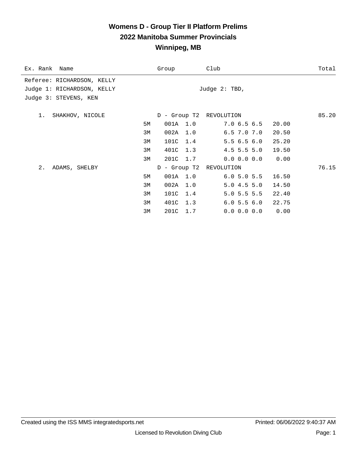#### **Womens D - Group Tier II Platform Prelims 2022 Manitoba Summer Provincials Winnipeg, MB**

| Ex. Rank Name                                                                     | Group          | Club                              | Total |
|-----------------------------------------------------------------------------------|----------------|-----------------------------------|-------|
| Referee: RICHARDSON, KELLY<br>Judge 1: RICHARDSON, KELLY<br>Judge 3: STEVENS, KEN |                | Judge $2: TBD$ ,                  |       |
| SHAKHOV, NICOLE<br>1.                                                             |                | D - Group T2 REVOLUTION           | 85.20 |
|                                                                                   | 001A 1.0<br>5M | 7.06.56.5<br>20.00                |       |
|                                                                                   | 002A<br>3M     | 1.0<br>$6.5$ $7.0$ $7.0$<br>20.50 |       |
|                                                                                   | 101C<br>3M     | 5.56.56.0<br>1.4<br>25.20         |       |
|                                                                                   | 401C<br>3M     | 1.3<br>$4.5$ 5.5 5.0<br>19.50     |       |
|                                                                                   | 201C 1.7<br>3M | 0.00<br>0.0 0.0 0.0               |       |
| 2.<br>ADAMS, SHELBY                                                               |                | D - Group T2 REVOLUTION           | 76.15 |
|                                                                                   | 001A 1.0<br>5М | 6.05.05.5<br>16.50                |       |
|                                                                                   | 002A 1.0<br>3M | 5.04.55.0<br>14.50                |       |
|                                                                                   | 101C<br>3M     | 1.4<br>$5.0$ 5.5 5.5<br>22.40     |       |
|                                                                                   | 401C<br>3M     | 1.3<br>6.05.56.0<br>22.75         |       |
|                                                                                   | 3M<br>201C 1.7 | 0.0 0.0 0.0<br>0.00               |       |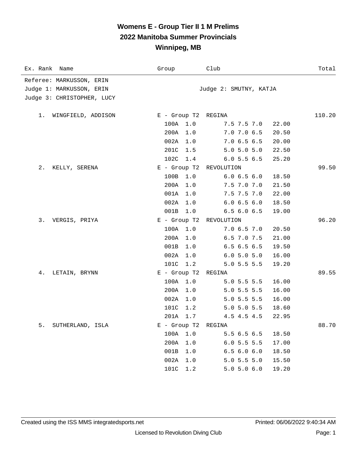## **Womens E - Group Tier II 1 M Prelims 2022 Manitoba Summer Provincials Winnipeg, MB**

| Ex. Rank Name              | Group               | Club                    | Total  |
|----------------------------|---------------------|-------------------------|--------|
| Referee: MARKUSSON, ERIN   |                     |                         |        |
| Judge 1: MARKUSSON, ERIN   |                     | Judge 2: SMUTNY, KATJA  |        |
| Judge 3: CHRISTOPHER, LUCY |                     |                         |        |
| 1. WINGFIELD, ADDISON      | E - Group T2 REGINA |                         | 110.20 |
|                            | 100A 1.0            | 7.5 7.5 7.0<br>22.00    |        |
|                            | 200A<br>1.0         | 7.0 7.0 6.5<br>20.50    |        |
|                            | 002A<br>1.0         | 7.06.56.5<br>20.00      |        |
|                            | 201C<br>1.5         | 5.0 5.0 5.0<br>22.50    |        |
|                            | 102C<br>1.4         | 6.05.56.5<br>25.20      |        |
| 2.<br>KELLY, SERENA        | $E$ - Group T2      | REVOLUTION              | 99.50  |
|                            | 100B<br>1.0         | 6.06.56.0<br>18.50      |        |
|                            | 200A<br>1.0         | 7.5 7.0 7.0<br>21.50    |        |
|                            | 001A<br>1.0         | 7.5 7.5 7.0<br>22.00    |        |
|                            | 002A<br>1.0         | 6.06.56.0<br>18.50      |        |
|                            | 001B<br>1.0         | 6.56.06.5<br>19.00      |        |
| 3.<br>VERGIS, PRIYA        |                     | E - Group T2 REVOLUTION | 96.20  |
|                            | 100A 1.0            | 7.06.57.0<br>20.50      |        |
|                            | 200A<br>1.0         | 6.5 7.0 7.5<br>21.00    |        |
|                            | 001B<br>1.0         | 6.56.56.5<br>19.50      |        |
|                            | 002A<br>1.0         | 6.05.05.0<br>16.00      |        |
|                            | 101C<br>1.2         | $5.0$ 5.5 5.5<br>19.20  |        |
| 4.<br>LETAIN, BRYNN        | $E$ - Group T2      | REGINA                  | 89.55  |
|                            | 100A 1.0            | $5.0$ 5.5 5.5<br>16.00  |        |
|                            | 200A<br>1.0         | $5.0$ 5.5 5.5<br>16.00  |        |
|                            | 002A<br>1.0         | $5.0$ 5.5 5.5<br>16.00  |        |
|                            | 101C<br>1.2         | $5.0$ 5.0 5.5<br>18.60  |        |
|                            | 201A<br>1.7         | 4.5 4.5 4.5<br>22.95    |        |
| SUTHERLAND, ISLA<br>5.     | $E$ - Group T2      | REGINA                  | 88.70  |
|                            | 100A 1.0            | 5.5 6.5 6.5<br>18.50    |        |
|                            | 200A<br>1.0         | 17.00<br>6.05.55.5      |        |
|                            | 001B<br>$1.0$       | 6.56.06.0<br>18.50      |        |
|                            | 002A<br>$1.0$       | $5.0$ 5.5 5.0<br>15.50  |        |
|                            | 101C<br>1.2         | 5.0 5.0 6.0<br>19.20    |        |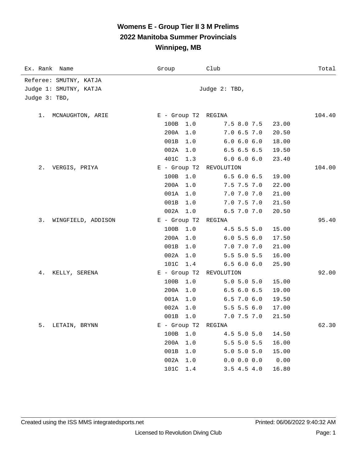### **Womens E - Group Tier II 3 M Prelims 2022 Manitoba Summer Provincials Winnipeg, MB**

| Ex. Rank Name                                                     | Group               | Club              | Total  |
|-------------------------------------------------------------------|---------------------|-------------------|--------|
| Referee: SMUTNY, KATJA<br>Judge 1: SMUTNY, KATJA<br>Judge 3: TBD, |                     | Judge 2: TBD,     |        |
| 1. MCNAUGHTON, ARIE                                               | E - Group T2 REGINA |                   | 104.40 |
|                                                                   | 100B<br>1.0         | 7.5 8.0 7.5       | 23.00  |
|                                                                   | 200A<br>1.0         | 7.06.57.0         | 20.50  |
|                                                                   | 001B<br>1.0         | 6.0 6.0 6.0       | 18.00  |
|                                                                   | 002A<br>1.0         | 6.56.56.5         | 19.50  |
|                                                                   | 401C<br>1.3         | 6.0 6.0 6.0       | 23.40  |
| 2.<br>VERGIS, PRIYA                                               | $E -$ Group T2      | REVOLUTION        | 104.00 |
|                                                                   | 100B<br>1.0         | 6.56.06.5         | 19.00  |
|                                                                   | 200A<br>1.0         | 7.5 7.5 7.0       | 22.00  |
|                                                                   | 001A<br>1.0         | 7.0 7.0 7.0       | 21.00  |
|                                                                   | 001B<br>1.0         | $7.0$ $7.5$ $7.0$ | 21.50  |
|                                                                   | 002A<br>1.0         | 6.5 7.0 7.0       | 20.50  |
| 3.<br>WINGFIELD, ADDISON                                          | $E -$ Group T2      | REGINA            | 95.40  |
|                                                                   | 100B<br>1.0         | 4.5 5.5 5.0       | 15.00  |
|                                                                   | 200A<br>1.0         | 6.05.56.0         | 17.50  |
|                                                                   | 001B<br>1.0         | 7.0 7.0 7.0       | 21.00  |
|                                                                   | 002A<br>1.0         | 5.5 5.0 5.5       | 16.00  |
|                                                                   | 101C<br>1.4         | 6.56.06.0         | 25.90  |
| 4.<br>KELLY, SERENA                                               | $E$ - Group T2      | REVOLUTION        | 92.00  |
|                                                                   | 100B<br>1.0         | 5.0 5.0 5.0       | 15.00  |
|                                                                   | 200A<br>1.0         | 6.56.06.5         | 19.00  |
|                                                                   | 001A<br>1.0         | $6.5$ 7.0 $6.0$   | 19.50  |
|                                                                   | 002A<br>1.0         | $5.5$ 5.5 6.0     | 17.00  |
|                                                                   | 001B<br>1.0         | 7.0 7.5 7.0       | 21.50  |
| 5.<br>LETAIN, BRYNN                                               | $E - Group T2$      | REGINA            | 62.30  |
|                                                                   | 100B<br>1.0         | $4.5$ 5.0 5.0     | 14.50  |
|                                                                   | 200A<br>$1.0$       | 5.5 5.0 5.5       | 16.00  |
|                                                                   | 001B<br>$1.0$       | 5.0 5.0 5.0       | 15.00  |
|                                                                   | 002A<br>$1.0$       | 0.0 0.0 0.0       | 0.00   |
|                                                                   | 101C<br>$1.4$       | 3.54.54.0         | 16.80  |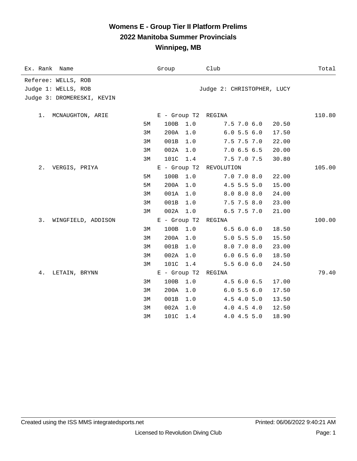#### **Womens E - Group Tier II Platform Prelims 2022 Manitoba Summer Provincials Winnipeg, MB**

| Ex. Rank Name              | Group          |                     | Club                       | Total  |
|----------------------------|----------------|---------------------|----------------------------|--------|
| Referee: WELLS, ROB        |                |                     |                            |        |
| Judge 1: WELLS, ROB        |                |                     | Judge 2: CHRISTOPHER, LUCY |        |
| Judge 3: DROMERESKI, KEVIN |                |                     |                            |        |
|                            |                |                     |                            |        |
| 1. MCNAUGHTON, ARIE        |                | E - Group T2 REGINA |                            | 110.80 |
|                            | 100B<br>5M     | 1.0                 | $7.5$ $7.0$ $6.0$          | 20.50  |
|                            | 200A<br>3M     | 1.0                 | 6.05.56.0                  | 17.50  |
|                            | 001B<br>3M     | 1.0                 | 7.5 7.5 7.0                | 22.00  |
|                            | 3M<br>002A     | 1.0                 | 7.06.56.5                  | 20.00  |
|                            | 101C<br>3M     | 1.4                 | 7.5 7.0 7.5                | 30.80  |
| $2$ .<br>VERGIS, PRIYA     | $E -$ Group T2 |                     | REVOLUTION                 | 105.00 |
|                            | 100B<br>5M     | 1.0                 | 7.0 7.0 8.0                | 22.00  |
|                            | 200A<br>5M     | 1.0                 | $4.5$ 5.5 5.0              | 15.00  |
|                            | 001A<br>3M     | 1.0                 | 8.0 8.0 8.0                | 24.00  |
|                            | 001B<br>3M     | 1.0                 | $7.5$ $7.5$ $8.0$          | 23.00  |
|                            | 002A<br>3M     | 1.0                 | 6.5 7.5 7.0                | 21.00  |
| 3.<br>WINGFIELD, ADDISON   | $E$ - Group T2 |                     | REGINA                     | 100.00 |
|                            | 100B<br>3M     | 1.0                 | 6.56.06.0                  | 18.50  |
|                            | 200A<br>3M     | 1.0                 | $5.0$ 5.5 5.0              | 15.50  |
|                            | 001B<br>3M     | 1.0                 | 8.0 7.0 8.0                | 23.00  |
|                            | 002A<br>3M     | 1.0                 | 6.0 6.5 6.0                | 18.50  |
|                            | 101C<br>3M     | 1.4                 | 5.56.06.0                  | 24.50  |
| 4.<br>LETAIN, BRYNN        | $E$ - Group T2 |                     | REGINA                     | 79.40  |
|                            | 100B<br>3M     | 1.0                 | 4.5 6.0 6.5                | 17.00  |
|                            | 200A<br>3M     | 1.0                 | 6.05.56.0                  | 17.50  |
|                            | 3M<br>001B     | 1.0                 | 4.5 4.0 5.0                | 13.50  |
|                            | 002A<br>3M     | 1.0                 | 4.04.54.0                  | 12.50  |
|                            | 3M<br>101C     | 1.4                 | 4.0 4.5 5.0                | 18.90  |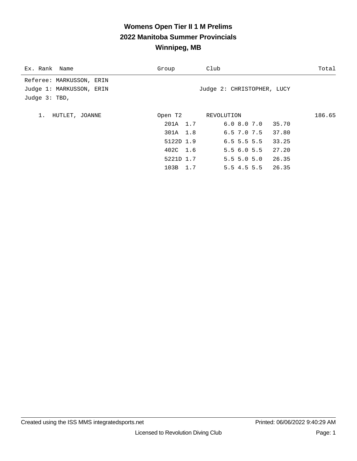# **Womens Open Tier II 1 M Prelims 2022 Manitoba Summer Provincials Winnipeg, MB**

| Ex. Rank Name            | Group     | Club                       | Total  |
|--------------------------|-----------|----------------------------|--------|
| Referee: MARKUSSON, ERIN |           |                            |        |
| Judge 1: MARKUSSON, ERIN |           | Judge 2: CHRISTOPHER, LUCY |        |
| Judge $3: TBD$ ,         |           |                            |        |
|                          |           |                            |        |
| 1.<br>HUTLET, JOANNE     | Open T2   | REVOLUTION                 | 186.65 |
|                          | 201A 1.7  | $6.0$ $8.0$ $7.0$ $35.70$  |        |
|                          | 301A 1.8  | 6.5 7.0 7.5 37.80          |        |
|                          | 5122D 1.9 | $6.5$ 5.5 5.5              | 33.25  |
|                          | 402C 1.6  | 5.56.05.5                  | 27.20  |
|                          | 5221D 1.7 | $5.5$ 5.0 5.0              | 26.35  |
|                          | 103B 1.7  | $5.5$ 4.5 5.5 26.35        |        |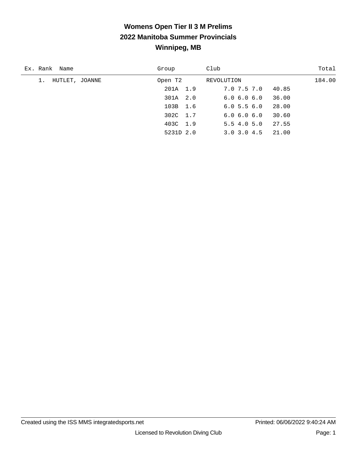# **Womens Open Tier II 3 M Prelims 2022 Manitoba Summer Provincials Winnipeg, MB**

| Ex. Rank Name        | Group     | Club                         | Total  |
|----------------------|-----------|------------------------------|--------|
| 1.<br>HUTLET, JOANNE | Open T2   | REVOLUTION                   | 184.00 |
|                      | 201A 1.9  | 40.85<br>7.0 7.5 7.0         |        |
|                      | 301A 2.0  | 36.00<br>6.06.06.0           |        |
|                      | 103B 1.6  | 28.00<br>6.05.56.0           |        |
|                      | 302C 1.7  | 30.60<br>6.06.06.0           |        |
|                      | 403C 1.9  | 27.55<br>5.54.05.0           |        |
|                      | 5231D 2.0 | 21.00<br>$3.0 \, 3.0 \, 4.5$ |        |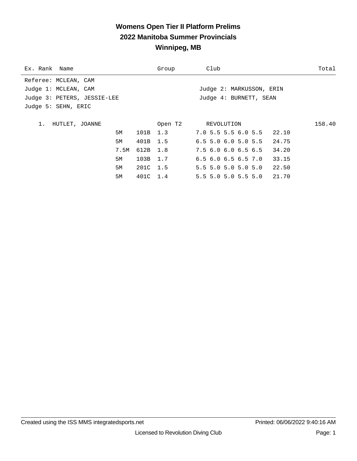## **Womens Open Tier II Platform Prelims 2022 Manitoba Summer Provincials Winnipeg, MB**

| Ex. Rank Name               |      |          | Group   | Club                          | Total  |
|-----------------------------|------|----------|---------|-------------------------------|--------|
| Referee: MCLEAN, CAM        |      |          |         |                               |        |
| Judge 1: MCLEAN, CAM        |      |          |         | Judge 2: MARKUSSON, ERIN      |        |
| Judge 3: PETERS, JESSIE-LEE |      |          |         | Judge 4: BURNETT, SEAN        |        |
| Judge 5: SEHN, ERIC         |      |          |         |                               |        |
|                             |      |          |         |                               |        |
| HUTLET, JOANNE<br>$1$ .     |      |          | Open T2 | REVOLUTION                    | 158.40 |
|                             | 5M   | 101B 1.3 |         | 7.0 5.5 5.5 6.0 5.5 22.10     |        |
|                             | 5M   | 401B 1.5 |         | $6.5$ 5.0 6.0 5.0 5.5 24.75   |        |
|                             | 7.5M | 612B 1.8 |         | $7.5$ 6.0 6.0 6.5 6.5 34.20   |        |
|                             | 5M   | 103B 1.7 |         | $6.5$ $6.0$ $6.5$ $6.5$ $7.0$ | 33.15  |
|                             | 5M   | 201C 1.5 |         | 5.5 5.0 5.0 5.0 5.0 22.50     |        |
|                             | 5M   | 401C 1.4 |         | $5.5$ 5.0 5.0 5.5 5.0 21.70   |        |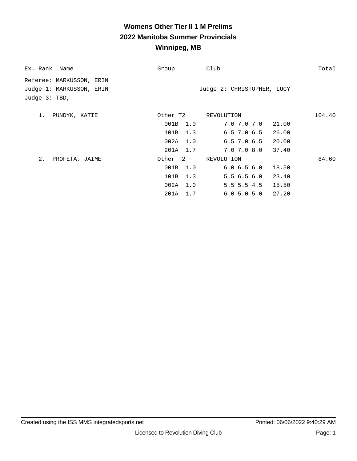# **Womens Other Tier II 1 M Prelims 2022 Manitoba Summer Provincials Winnipeg, MB**

| Ex. Rank Name            | Group       | Club                       | Total  |
|--------------------------|-------------|----------------------------|--------|
| Referee: MARKUSSON, ERIN |             |                            |        |
| Judge 1: MARKUSSON, ERIN |             | Judge 2: CHRISTOPHER, LUCY |        |
| Judge 3: TBD,            |             |                            |        |
|                          |             |                            |        |
| 1.<br>PUNDYK, KATIE      | Other T2    | REVOLUTION                 | 104.40 |
|                          | 001B 1.0    | 7.0 7.0 7.0 21.00          |        |
|                          | 101B<br>1.3 | 6.5 7.0 6.5<br>26.00       |        |
|                          | 002A 1.0    | $6.5$ 7.0 $6.5$ 20.00      |        |
|                          | 201A 1.7    | 7.0 7.0 8.0<br>37.40       |        |
| 2.<br>PROFETA, JAIME     | Other T2    | REVOLUTION                 | 84.60  |
|                          | 001B 1.0    | 6.06.56.0<br>18.50         |        |
|                          | 101B 1.3    | 5.56.56.0<br>23.40         |        |
|                          | $002A$ 1.0  | $5.5$ 5.5 4.5 15.50        |        |
|                          | 201A 1.7    | 27.20<br>6.05.05.0         |        |